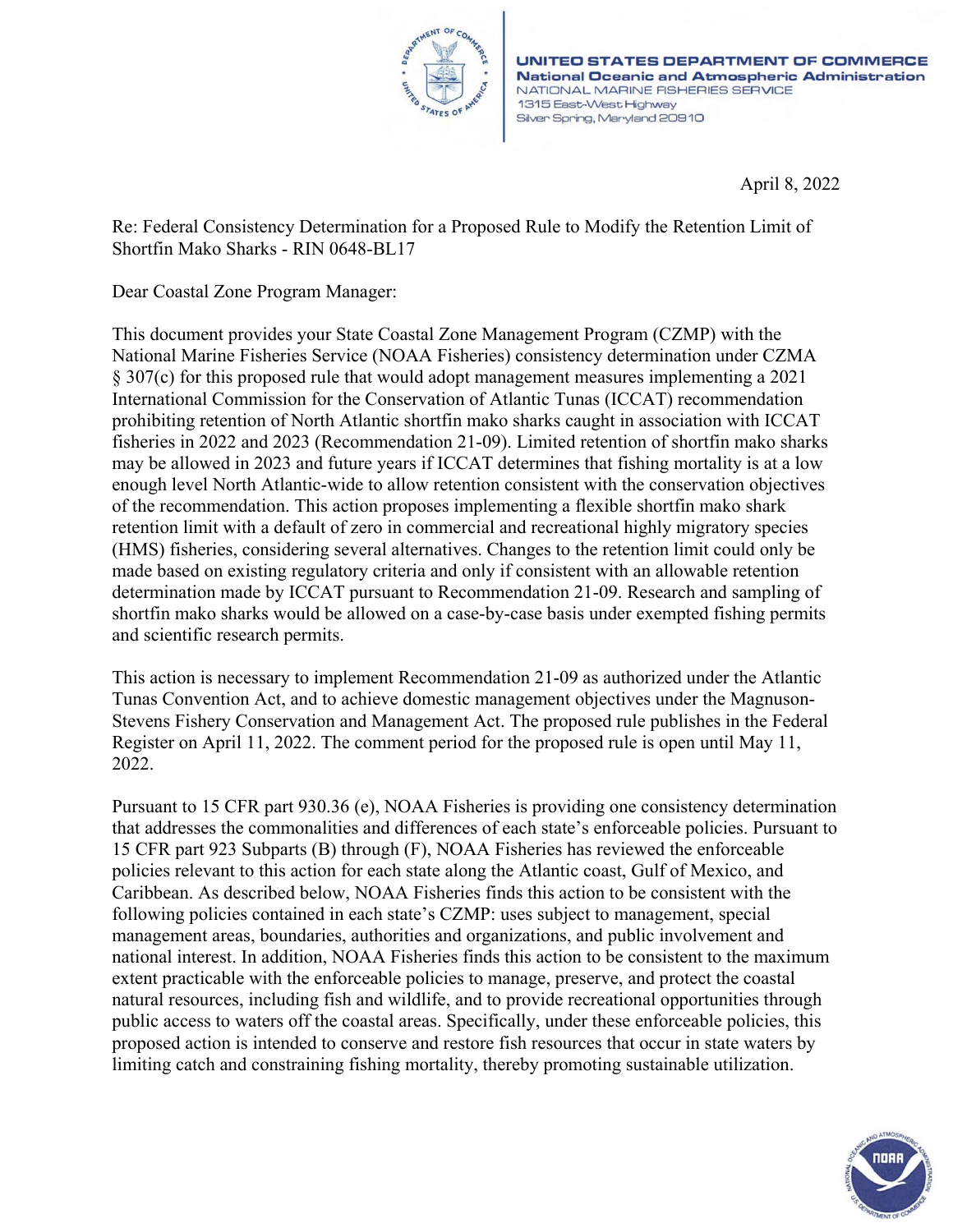

UNITED STATES DEPARTMENT OF COMMERCE **National Oceanic and Atmospheric Administration** NATIONAL MARINE FISHERIES SERVICE 1315 East-West Highway Silver Spring, Maryland 20910

April 8, 2022

Re: Federal Consistency Determination for a Proposed Rule to Modify the Retention Limit of Shortfin Mako Sharks - RIN 0648-BL17

Dear Coastal Zone Program Manager:

This document provides your State Coastal Zone Management Program (CZMP) with the National Marine Fisheries Service (NOAA Fisheries) consistency determination under CZMA § 307(c) for this proposed rule that would adopt management measures implementing a 2021 International Commission for the Conservation of Atlantic Tunas (ICCAT) recommendation prohibiting retention of North Atlantic shortfin mako sharks caught in association with ICCAT fisheries in 2022 and 2023 (Recommendation 21-09). Limited retention of shortfin mako sharks may be allowed in 2023 and future years if ICCAT determines that fishing mortality is at a low enough level North Atlantic-wide to allow retention consistent with the conservation objectives of the recommendation. This action proposes implementing a flexible shortfin mako shark retention limit with a default of zero in commercial and recreational highly migratory species (HMS) fisheries, considering several alternatives. Changes to the retention limit could only be made based on existing regulatory criteria and only if consistent with an allowable retention determination made by ICCAT pursuant to Recommendation 21-09. Research and sampling of shortfin mako sharks would be allowed on a case-by-case basis under exempted fishing permits and scientific research permits.

This action is necessary to implement Recommendation 21-09 as authorized under the Atlantic Tunas Convention Act, and to achieve domestic management objectives under the Magnuson-Stevens Fishery Conservation and Management Act. The proposed rule publishes in the Federal Register on April 11, 2022. The comment period for the proposed rule is open until May 11, 2022.

Pursuant to 15 CFR part 930.36 (e), NOAA Fisheries is providing one consistency determination that addresses the commonalities and differences of each state's enforceable policies. Pursuant to 15 CFR part 923 Subparts (B) through (F), NOAA Fisheries has reviewed the enforceable policies relevant to this action for each state along the Atlantic coast, Gulf of Mexico, and Caribbean. As described below, NOAA Fisheries finds this action to be consistent with the following policies contained in each state's CZMP: uses subject to management, special management areas, boundaries, authorities and organizations, and public involvement and national interest. In addition, NOAA Fisheries finds this action to be consistent to the maximum extent practicable with the enforceable policies to manage, preserve, and protect the coastal natural resources, including fish and wildlife, and to provide recreational opportunities through public access to waters off the coastal areas. Specifically, under these enforceable policies, this proposed action is intended to conserve and restore fish resources that occur in state waters by limiting catch and constraining fishing mortality, thereby promoting sustainable utilization.

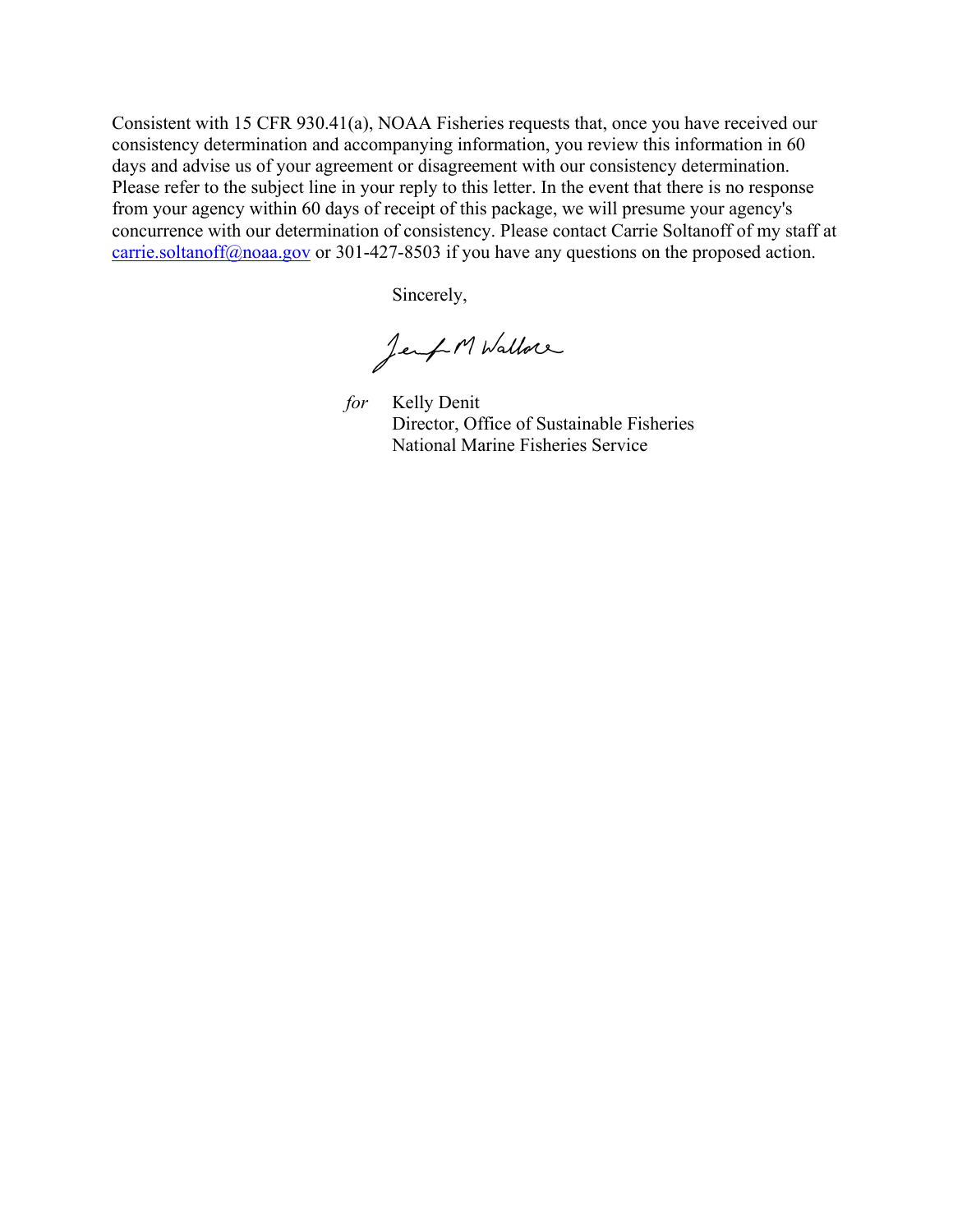Consistent with 15 CFR 930.41(a), NOAA Fisheries requests that, once you have received our consistency determination and accompanying information, you review this information in 60 days and advise us of your agreement or disagreement with our consistency determination. Please refer to the subject line in your reply to this letter. In the event that there is no response from your agency within 60 days of receipt of this package, we will presume your agency's concurrence with our determination of consistency. Please contact Carrie Soltanoff of my staff at [carrie.soltanoff@noaa.gov](mailto:carrie.soltanoff@noaa.gov) or 301-427-8503 if you have any questions on the proposed action.

Sincerely,

Jemp M Wallow

for Kelly Denit Director, Office of Sustainable Fisheries National Marine Fisheries Service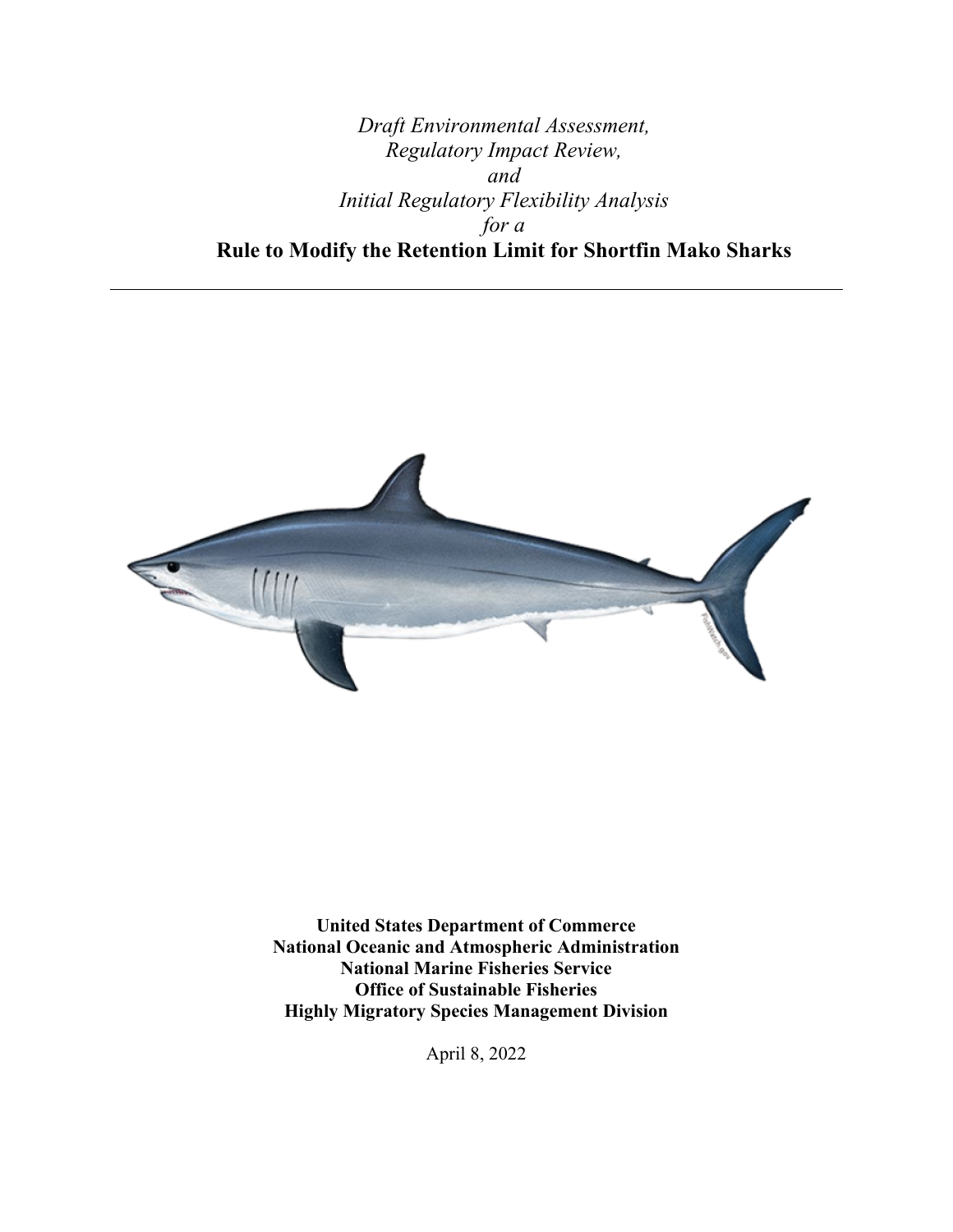# *Draft Environmental Assessment, Regulatory Impact Review, and Initial Regulatory Flexibility Analysis for a* **Rule to Modify the Retention Limit for Shortfin Mako Sharks**



**United States Department of Commerce National Oceanic and Atmospheric Administration National Marine Fisheries Service Office of Sustainable Fisheries Highly Migratory Species Management Division** 

April 8, 2022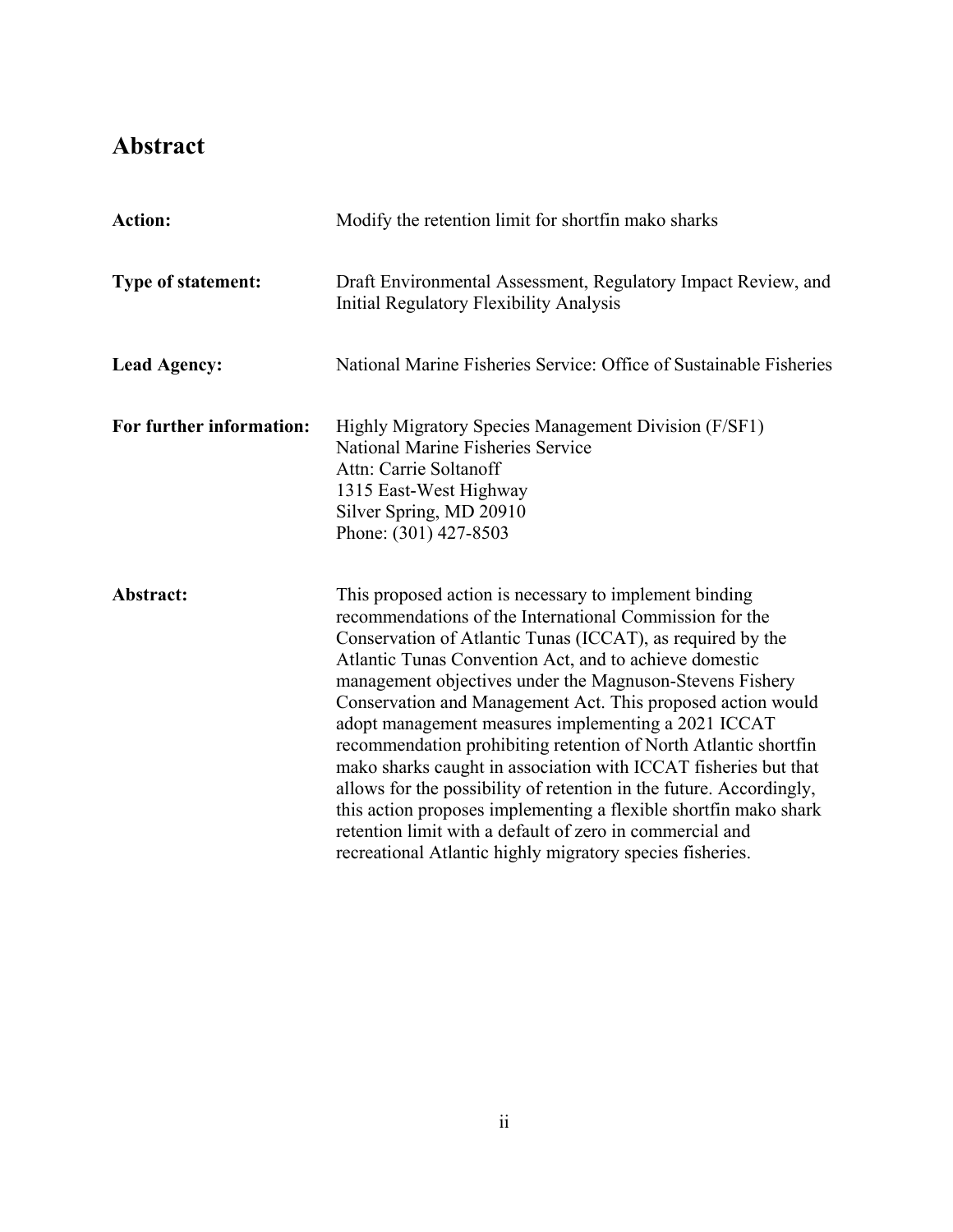# <span id="page-3-0"></span>**Abstract**

| <b>Action:</b>           | Modify the retention limit for shortfin mako sharks                                                                                                                                                                                                                                                                                                                                                                                                                                                                                                                                                                                                                                                                                                                                                                                   |  |
|--------------------------|---------------------------------------------------------------------------------------------------------------------------------------------------------------------------------------------------------------------------------------------------------------------------------------------------------------------------------------------------------------------------------------------------------------------------------------------------------------------------------------------------------------------------------------------------------------------------------------------------------------------------------------------------------------------------------------------------------------------------------------------------------------------------------------------------------------------------------------|--|
| Type of statement:       | Draft Environmental Assessment, Regulatory Impact Review, and<br><b>Initial Regulatory Flexibility Analysis</b>                                                                                                                                                                                                                                                                                                                                                                                                                                                                                                                                                                                                                                                                                                                       |  |
| <b>Lead Agency:</b>      | National Marine Fisheries Service: Office of Sustainable Fisheries                                                                                                                                                                                                                                                                                                                                                                                                                                                                                                                                                                                                                                                                                                                                                                    |  |
| For further information: | Highly Migratory Species Management Division (F/SF1)<br><b>National Marine Fisheries Service</b><br>Attn: Carrie Soltanoff<br>1315 East-West Highway<br>Silver Spring, MD 20910<br>Phone: (301) 427-8503                                                                                                                                                                                                                                                                                                                                                                                                                                                                                                                                                                                                                              |  |
| Abstract:                | This proposed action is necessary to implement binding<br>recommendations of the International Commission for the<br>Conservation of Atlantic Tunas (ICCAT), as required by the<br>Atlantic Tunas Convention Act, and to achieve domestic<br>management objectives under the Magnuson-Stevens Fishery<br>Conservation and Management Act. This proposed action would<br>adopt management measures implementing a 2021 ICCAT<br>recommendation prohibiting retention of North Atlantic shortfin<br>mako sharks caught in association with ICCAT fisheries but that<br>allows for the possibility of retention in the future. Accordingly,<br>this action proposes implementing a flexible shortfin mako shark<br>retention limit with a default of zero in commercial and<br>recreational Atlantic highly migratory species fisheries. |  |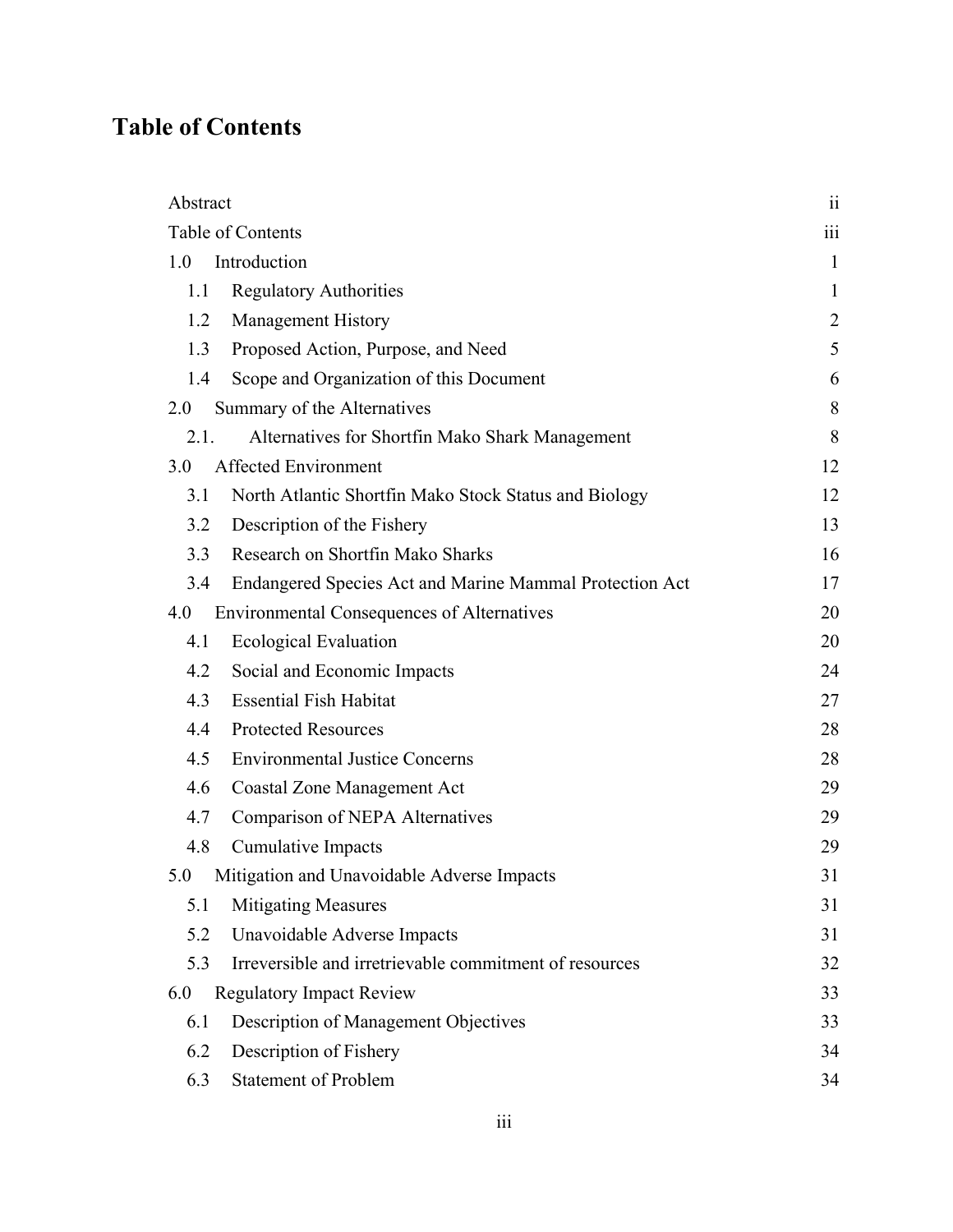# <span id="page-4-0"></span>**Table of Contents**

| Abstract                                                       | 11           |
|----------------------------------------------------------------|--------------|
| Table of Contents                                              | iii          |
| Introduction<br>1.0                                            | $\mathbf{1}$ |
| <b>Regulatory Authorities</b><br>1.1                           | $\mathbf{1}$ |
| <b>Management History</b><br>1.2                               | 2            |
| Proposed Action, Purpose, and Need<br>1.3                      | 5            |
| Scope and Organization of this Document<br>1.4                 | 6            |
| 2.0<br>Summary of the Alternatives                             | 8            |
| 2.1.<br>Alternatives for Shortfin Mako Shark Management        | 8            |
| <b>Affected Environment</b><br>3.0                             | 12           |
| North Atlantic Shortfin Mako Stock Status and Biology<br>3.1   | 12           |
| Description of the Fishery<br>3.2                              | 13           |
| Research on Shortfin Mako Sharks<br>3.3                        | 16           |
| Endangered Species Act and Marine Mammal Protection Act<br>3.4 | 17           |
| <b>Environmental Consequences of Alternatives</b><br>4.0       | 20           |
| <b>Ecological Evaluation</b><br>4.1                            | 20           |
| Social and Economic Impacts<br>4.2                             | 24           |
| <b>Essential Fish Habitat</b><br>4.3                           | 27           |
| <b>Protected Resources</b><br>4.4                              | 28           |
| <b>Environmental Justice Concerns</b><br>4.5                   | 28           |
| <b>Coastal Zone Management Act</b><br>4.6                      | 29           |
| Comparison of NEPA Alternatives<br>4.7                         | 29           |
| <b>Cumulative Impacts</b><br>4.8                               | 29           |
| Mitigation and Unavoidable Adverse Impacts<br>5.0              | 31           |
| <b>Mitigating Measures</b><br>5.1                              | 31           |
| Unavoidable Adverse Impacts<br>5.2                             | 31           |
| Irreversible and irretrievable commitment of resources<br>5.3  | 32           |
| <b>Regulatory Impact Review</b><br>6.0                         | 33           |
| Description of Management Objectives<br>6.1                    | 33           |
| Description of Fishery<br>6.2                                  | 34           |
| <b>Statement of Problem</b><br>6.3                             | 34           |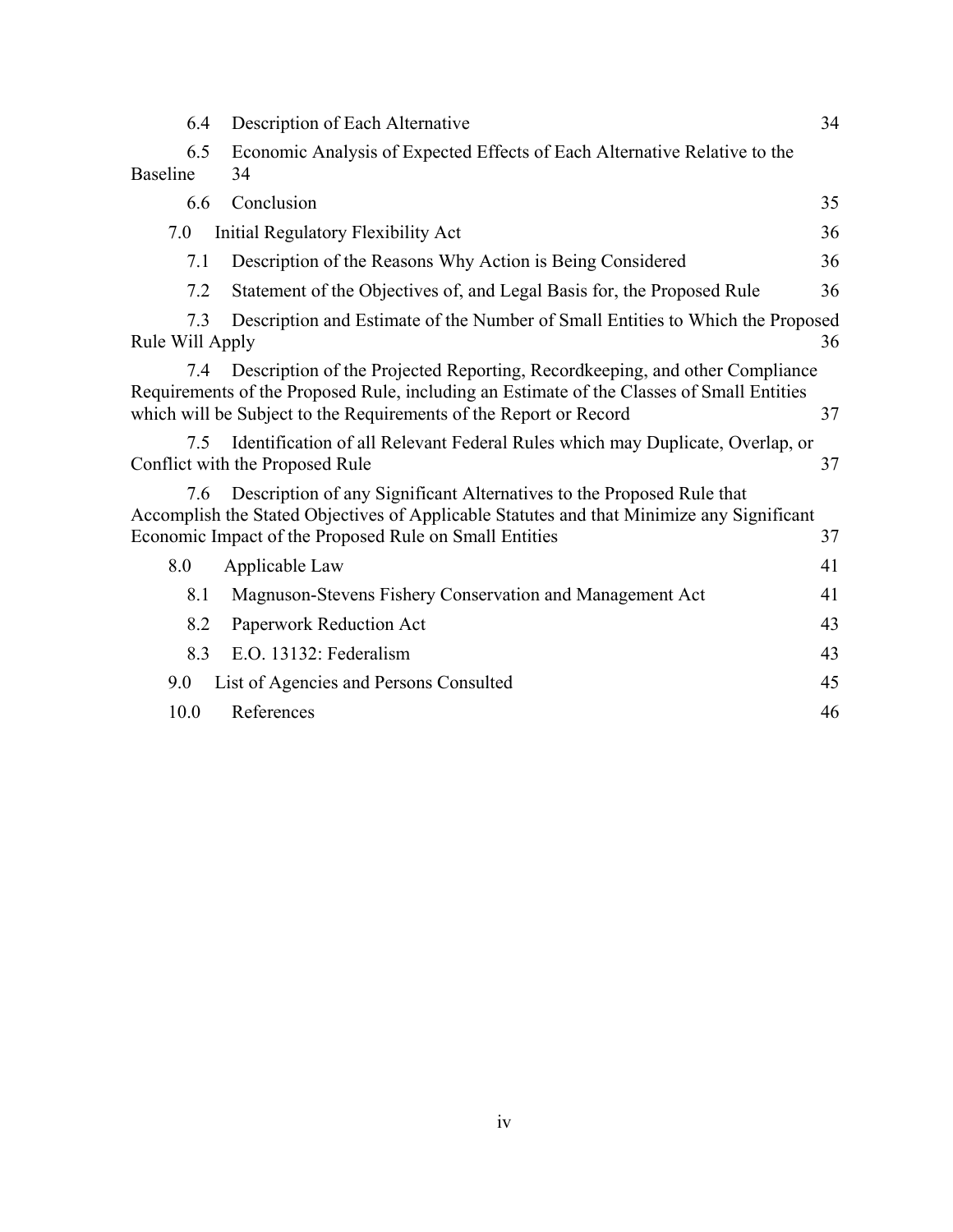| 6.4                    | Description of Each Alternative                                                                                                                                                                                                               | 34 |
|------------------------|-----------------------------------------------------------------------------------------------------------------------------------------------------------------------------------------------------------------------------------------------|----|
| 6.5<br><b>Baseline</b> | Economic Analysis of Expected Effects of Each Alternative Relative to the<br>34                                                                                                                                                               |    |
| 6.6                    | Conclusion                                                                                                                                                                                                                                    | 35 |
| 7.0                    | Initial Regulatory Flexibility Act                                                                                                                                                                                                            | 36 |
| 7.1                    | Description of the Reasons Why Action is Being Considered                                                                                                                                                                                     | 36 |
| 7.2                    | Statement of the Objectives of, and Legal Basis for, the Proposed Rule                                                                                                                                                                        | 36 |
| 7.3<br>Rule Will Apply | Description and Estimate of the Number of Small Entities to Which the Proposed                                                                                                                                                                | 36 |
| 7.4                    | Description of the Projected Reporting, Recordkeeping, and other Compliance<br>Requirements of the Proposed Rule, including an Estimate of the Classes of Small Entities<br>which will be Subject to the Requirements of the Report or Record | 37 |
| 7.5                    | Identification of all Relevant Federal Rules which may Duplicate, Overlap, or<br>Conflict with the Proposed Rule                                                                                                                              | 37 |
| 7.6                    | Description of any Significant Alternatives to the Proposed Rule that<br>Accomplish the Stated Objectives of Applicable Statutes and that Minimize any Significant<br>Economic Impact of the Proposed Rule on Small Entities                  | 37 |
| 8.0                    | Applicable Law                                                                                                                                                                                                                                | 41 |
| 8.1                    | Magnuson-Stevens Fishery Conservation and Management Act                                                                                                                                                                                      | 41 |
| 8.2                    | Paperwork Reduction Act                                                                                                                                                                                                                       | 43 |
| 8.3                    | E.O. 13132: Federalism                                                                                                                                                                                                                        | 43 |
| 9.0                    | List of Agencies and Persons Consulted                                                                                                                                                                                                        | 45 |
| 10.0                   | References                                                                                                                                                                                                                                    | 46 |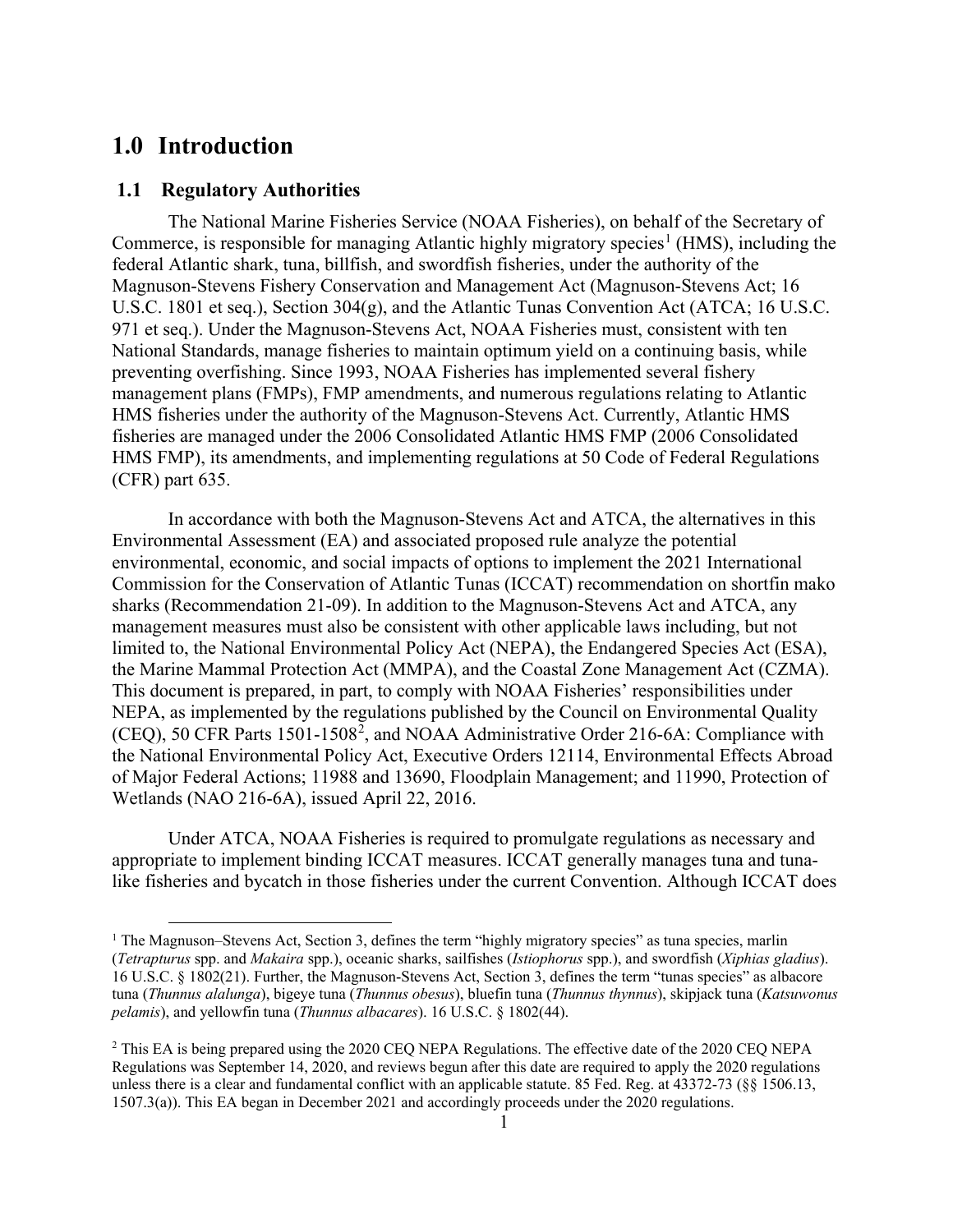# <span id="page-6-0"></span>**1.0 Introduction**

## <span id="page-6-1"></span>**1.1 Regulatory Authorities**

The National Marine Fisheries Service (NOAA Fisheries), on behalf of the Secretary of Commerce, is responsible for managing Atlantic highly migratory species<sup>[1](#page-6-2)</sup> (HMS), including the federal Atlantic shark, tuna, billfish, and swordfish fisheries, under the authority of the Magnuson-Stevens Fishery Conservation and Management Act (Magnuson-Stevens Act; 16 U.S.C. 1801 et seq.), Section 304(g), and the Atlantic Tunas Convention Act (ATCA; 16 U.S.C. 971 et seq.). Under the Magnuson-Stevens Act, NOAA Fisheries must, consistent with ten National Standards, manage fisheries to maintain optimum yield on a continuing basis, while preventing overfishing. Since 1993, NOAA Fisheries has implemented several fishery management plans (FMPs), FMP amendments, and numerous regulations relating to Atlantic HMS fisheries under the authority of the Magnuson-Stevens Act. Currently, Atlantic HMS fisheries are managed under the 2006 Consolidated Atlantic HMS FMP (2006 Consolidated HMS FMP), its amendments, and implementing regulations at 50 Code of Federal Regulations (CFR) part 635.

In accordance with both the Magnuson-Stevens Act and ATCA, the alternatives in this Environmental Assessment (EA) and associated proposed rule analyze the potential environmental, economic, and social impacts of options to implement the 2021 International Commission for the Conservation of Atlantic Tunas (ICCAT) recommendation on shortfin mako sharks (Recommendation 21-09). In addition to the Magnuson-Stevens Act and ATCA, any management measures must also be consistent with other applicable laws including, but not limited to, the National Environmental Policy Act (NEPA), the Endangered Species Act (ESA), the Marine Mammal Protection Act (MMPA), and the Coastal Zone Management Act (CZMA). This document is prepared, in part, to comply with NOAA Fisheries' responsibilities under NEPA, as implemented by the regulations published by the Council on Environmental Quality (CEQ), 50 CFR Parts 1501-1508<sup>[2](#page-6-3)</sup>, and NOAA Administrative Order 216-6A: Compliance with the National Environmental Policy Act, Executive Orders 12114, Environmental Effects Abroad of Major Federal Actions; 11988 and 13690, Floodplain Management; and 11990, Protection of Wetlands (NAO 216-6A), issued April 22, 2016.

Under ATCA, NOAA Fisheries is required to promulgate regulations as necessary and appropriate to implement binding ICCAT measures. ICCAT generally manages tuna and tunalike fisheries and bycatch in those fisheries under the current Convention. Although ICCAT does

<span id="page-6-2"></span><sup>&</sup>lt;sup>1</sup> The Magnuson–Stevens Act, Section 3, defines the term "highly migratory species" as tuna species, marlin (*Tetrapturus* spp. and *Makaira* spp.), oceanic sharks, sailfishes (*Istiophorus* spp.), and swordfish (*Xiphias gladius*). 16 U.S.C. § 1802(21). Further, the Magnuson-Stevens Act, Section 3, defines the term "tunas species" as albacore tuna (*Thunnus alalunga*), bigeye tuna (*Thunnus obesus*), bluefin tuna (*Thunnus thynnus*), skipjack tuna (*Katsuwonus pelamis*), and yellowfin tuna (*Thunnus albacares*). 16 U.S.C. § 1802(44).

<span id="page-6-3"></span><sup>&</sup>lt;sup>2</sup> This EA is being prepared using the 2020 CEO NEPA Regulations. The effective date of the 2020 CEO NEPA Regulations was September 14, 2020, and reviews begun after this date are required to apply the 2020 regulations unless there is a clear and fundamental conflict with an applicable statute. 85 Fed. Reg. at 43372-73 (§§ 1506.13, 1507.3(a)). This EA began in December 2021 and accordingly proceeds under the 2020 regulations.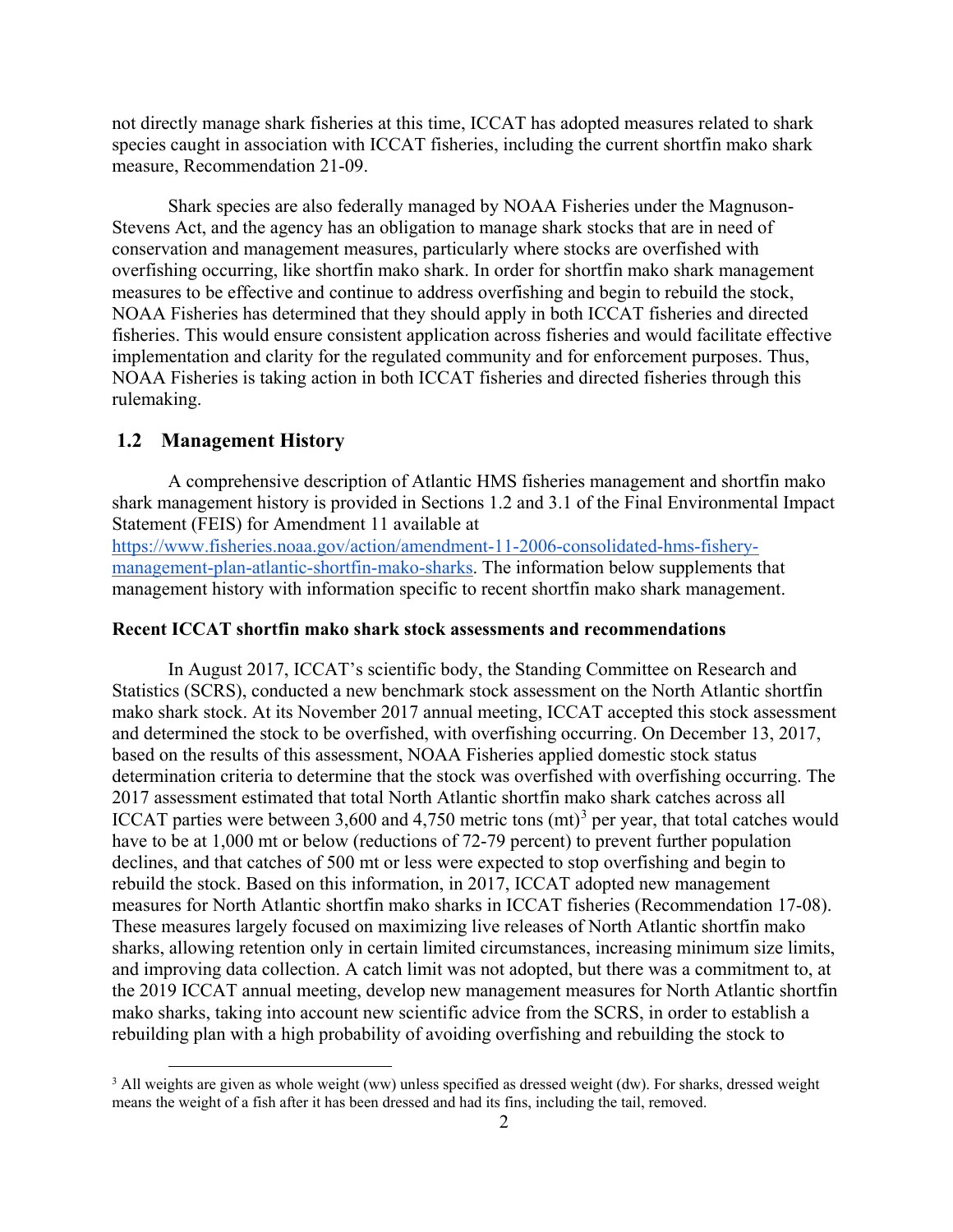not directly manage shark fisheries at this time, ICCAT has adopted measures related to shark species caught in association with ICCAT fisheries, including the current shortfin mako shark measure, Recommendation 21-09.

Shark species are also federally managed by NOAA Fisheries under the Magnuson-Stevens Act, and the agency has an obligation to manage shark stocks that are in need of conservation and management measures, particularly where stocks are overfished with overfishing occurring, like shortfin mako shark. In order for shortfin mako shark management measures to be effective and continue to address overfishing and begin to rebuild the stock, NOAA Fisheries has determined that they should apply in both ICCAT fisheries and directed fisheries. This would ensure consistent application across fisheries and would facilitate effective implementation and clarity for the regulated community and for enforcement purposes. Thus, NOAA Fisheries is taking action in both ICCAT fisheries and directed fisheries through this rulemaking.

## <span id="page-7-0"></span>**1.2 Management History**

A comprehensive description of Atlantic HMS fisheries management and shortfin mako shark management history is provided in Sections 1.2 and 3.1 of the Final Environmental Impact Statement (FEIS) for Amendment 11 available a[t](https://www.fisheries.noaa.gov/action/amendment-7-2006-consolidated-hms-fishery-management-plan-bluefin-tuna-management)

[https://www.fisheries.noaa.gov/action/amendment-11-2006-consolidated-hms-fishery](https://www.fisheries.noaa.gov/action/amendment-11-2006-consolidated-hms-fishery-management-plan-atlantic-shortfin-mako-sharks)[management-plan-atlantic-shortfin-mako-sharks.](https://www.fisheries.noaa.gov/action/amendment-11-2006-consolidated-hms-fishery-management-plan-atlantic-shortfin-mako-sharks) The information below supplements that management history with information specific to recent shortfin mako shark management.

#### **Recent ICCAT shortfin mako shark stock assessments and recommendations**

In August 2017, ICCAT's scientific body, the Standing Committee on Research and Statistics (SCRS), conducted a new benchmark stock assessment on the North Atlantic shortfin mako shark stock. At its November 2017 annual meeting, ICCAT accepted this stock assessment and determined the stock to be overfished, with overfishing occurring. On December 13, 2017, based on the results of this assessment, NOAA Fisheries applied domestic stock status determination criteria to determine that the stock was overfished with overfishing occurring. The 2017 assessment estimated that total North Atlantic shortfin mako shark catches across all ICCAT parties were between [3](#page-7-1),600 and 4,750 metric tons  $(mt)^3$  per year, that total catches would have to be at 1,000 mt or below (reductions of 72-79 percent) to prevent further population declines, and that catches of 500 mt or less were expected to stop overfishing and begin to rebuild the stock. Based on this information, in 2017, ICCAT adopted new management measures for North Atlantic shortfin mako sharks in ICCAT fisheries (Recommendation 17-08). These measures largely focused on maximizing live releases of North Atlantic shortfin mako sharks, allowing retention only in certain limited circumstances, increasing minimum size limits, and improving data collection. A catch limit was not adopted, but there was a commitment to, at the 2019 ICCAT annual meeting, develop new management measures for North Atlantic shortfin mako sharks, taking into account new scientific advice from the SCRS, in order to establish a rebuilding plan with a high probability of avoiding overfishing and rebuilding the stock to

<span id="page-7-1"></span><sup>&</sup>lt;sup>3</sup> All weights are given as whole weight (ww) unless specified as dressed weight (dw). For sharks, dressed weight means the weight of a fish after it has been dressed and had its fins, including the tail, removed.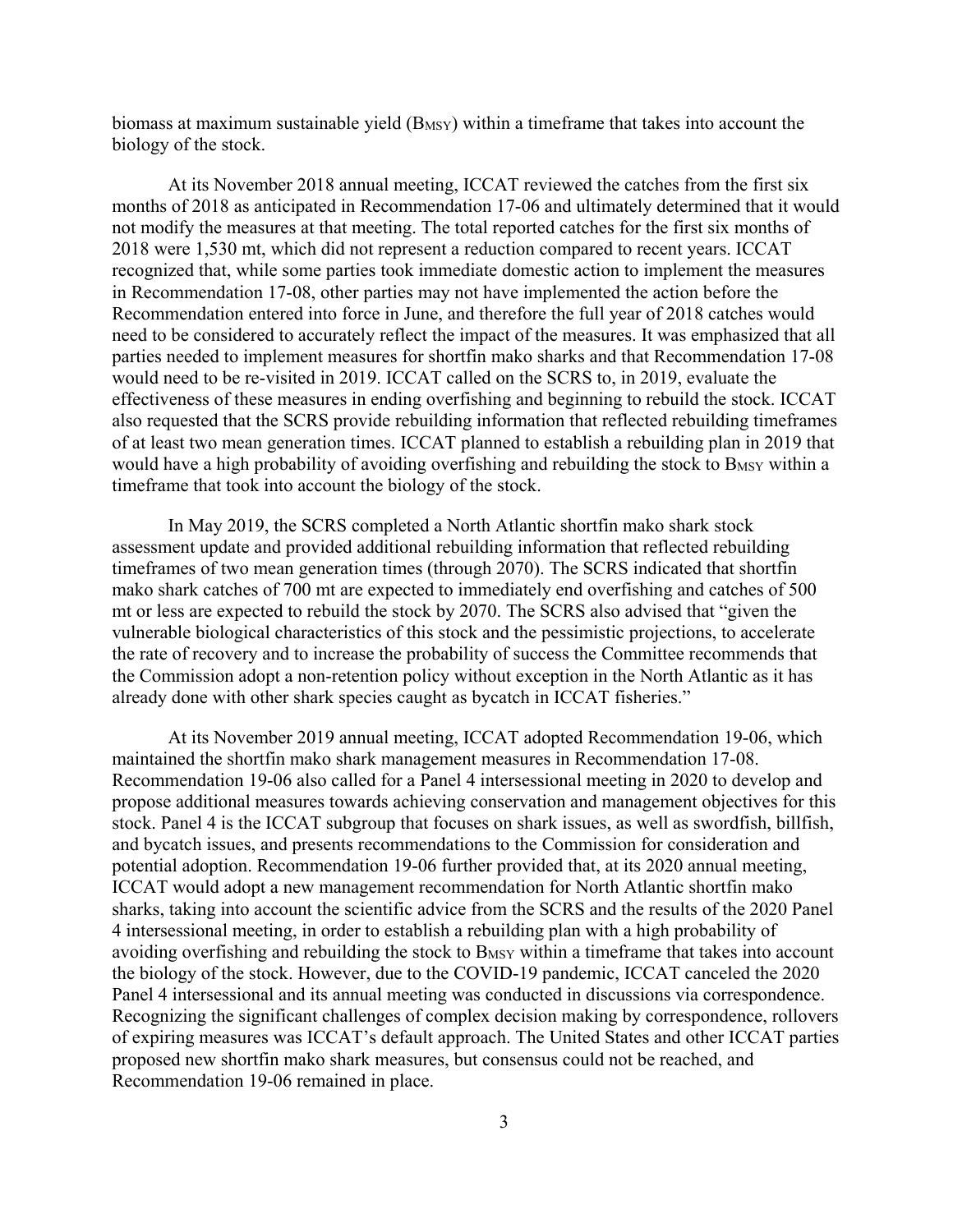biomass at maximum sustainable yield (B<sub>MSY</sub>) within a timeframe that takes into account the biology of the stock.

At its November 2018 annual meeting, ICCAT reviewed the catches from the first six months of 2018 as anticipated in Recommendation 17-06 and ultimately determined that it would not modify the measures at that meeting. The total reported catches for the first six months of 2018 were 1,530 mt, which did not represent a reduction compared to recent years. ICCAT recognized that, while some parties took immediate domestic action to implement the measures in Recommendation 17-08, other parties may not have implemented the action before the Recommendation entered into force in June, and therefore the full year of 2018 catches would need to be considered to accurately reflect the impact of the measures. It was emphasized that all parties needed to implement measures for shortfin mako sharks and that Recommendation 17-08 would need to be re-visited in 2019. ICCAT called on the SCRS to, in 2019, evaluate the effectiveness of these measures in ending overfishing and beginning to rebuild the stock. ICCAT also requested that the SCRS provide rebuilding information that reflected rebuilding timeframes of at least two mean generation times. ICCAT planned to establish a rebuilding plan in 2019 that would have a high probability of avoiding overfishing and rebuilding the stock to B<sub>MSY</sub> within a timeframe that took into account the biology of the stock.

In May 2019, the SCRS completed a North Atlantic shortfin mako shark stock assessment update and provided additional rebuilding information that reflected rebuilding timeframes of two mean generation times (through 2070). The SCRS indicated that shortfin mako shark catches of 700 mt are expected to immediately end overfishing and catches of 500 mt or less are expected to rebuild the stock by 2070. The SCRS also advised that "given the vulnerable biological characteristics of this stock and the pessimistic projections, to accelerate the rate of recovery and to increase the probability of success the Committee recommends that the Commission adopt a non-retention policy without exception in the North Atlantic as it has already done with other shark species caught as bycatch in ICCAT fisheries."

At its November 2019 annual meeting, ICCAT adopted Recommendation 19-06, which maintained the shortfin mako shark management measures in Recommendation 17-08. Recommendation 19-06 also called for a Panel 4 intersessional meeting in 2020 to develop and propose additional measures towards achieving conservation and management objectives for this stock. Panel 4 is the ICCAT subgroup that focuses on shark issues, as well as swordfish, billfish, and bycatch issues, and presents recommendations to the Commission for consideration and potential adoption. Recommendation 19-06 further provided that, at its 2020 annual meeting, ICCAT would adopt a new management recommendation for North Atlantic shortfin mako sharks, taking into account the scientific advice from the SCRS and the results of the 2020 Panel 4 intersessional meeting, in order to establish a rebuilding plan with a high probability of avoiding overfishing and rebuilding the stock to B<sub>MSY</sub> within a timeframe that takes into account the biology of the stock. However, due to the COVID-19 pandemic, ICCAT canceled the 2020 Panel 4 intersessional and its annual meeting was conducted in discussions via correspondence. Recognizing the significant challenges of complex decision making by correspondence, rollovers of expiring measures was ICCAT's default approach. The United States and other ICCAT parties proposed new shortfin mako shark measures, but consensus could not be reached, and Recommendation 19-06 remained in place.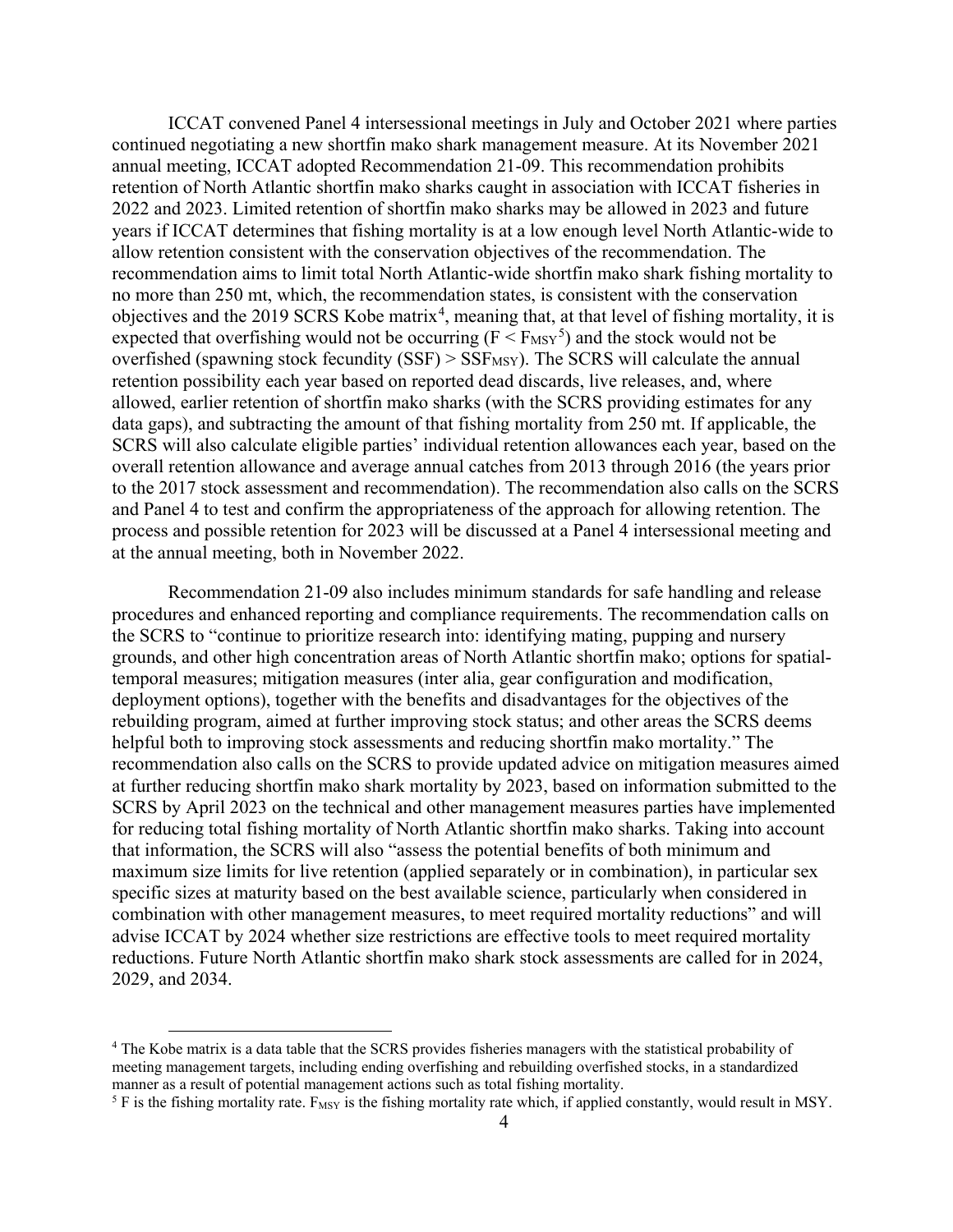ICCAT convened Panel 4 intersessional meetings in July and October 2021 where parties continued negotiating a new shortfin mako shark management measure. At its November 2021 annual meeting, ICCAT adopted Recommendation 21-09. This recommendation prohibits retention of North Atlantic shortfin mako sharks caught in association with ICCAT fisheries in 2022 and 2023. Limited retention of shortfin mako sharks may be allowed in 2023 and future years if ICCAT determines that fishing mortality is at a low enough level North Atlantic-wide to allow retention consistent with the conservation objectives of the recommendation. The recommendation aims to limit total North Atlantic-wide shortfin mako shark fishing mortality to no more than 250 mt, which, the recommendation states, is consistent with the conservation objectives and the 2019 SCRS Kobe matrix<sup>[4](#page-9-0)</sup>, meaning that, at that level of fishing mortality, it is expected that overfishing would not be occurring ( $F < F_{MSY}^5$  $F < F_{MSY}^5$ ) and the stock would not be overfished (spawning stock fecundity  $(SSF)$  >  $SSF$ <sub>MSY</sub>). The SCRS will calculate the annual retention possibility each year based on reported dead discards, live releases, and, where allowed, earlier retention of shortfin mako sharks (with the SCRS providing estimates for any data gaps), and subtracting the amount of that fishing mortality from 250 mt. If applicable, the SCRS will also calculate eligible parties' individual retention allowances each year, based on the overall retention allowance and average annual catches from 2013 through 2016 (the years prior to the 2017 stock assessment and recommendation). The recommendation also calls on the SCRS and Panel 4 to test and confirm the appropriateness of the approach for allowing retention. The process and possible retention for 2023 will be discussed at a Panel 4 intersessional meeting and at the annual meeting, both in November 2022.

Recommendation 21-09 also includes minimum standards for safe handling and release procedures and enhanced reporting and compliance requirements. The recommendation calls on the SCRS to "continue to prioritize research into: identifying mating, pupping and nursery grounds, and other high concentration areas of North Atlantic shortfin mako; options for spatialtemporal measures; mitigation measures (inter alia, gear configuration and modification, deployment options), together with the benefits and disadvantages for the objectives of the rebuilding program, aimed at further improving stock status; and other areas the SCRS deems helpful both to improving stock assessments and reducing shortfin mako mortality." The recommendation also calls on the SCRS to provide updated advice on mitigation measures aimed at further reducing shortfin mako shark mortality by 2023, based on information submitted to the SCRS by April 2023 on the technical and other management measures parties have implemented for reducing total fishing mortality of North Atlantic shortfin mako sharks. Taking into account that information, the SCRS will also "assess the potential benefits of both minimum and maximum size limits for live retention (applied separately or in combination), in particular sex specific sizes at maturity based on the best available science, particularly when considered in combination with other management measures, to meet required mortality reductions" and will advise ICCAT by 2024 whether size restrictions are effective tools to meet required mortality reductions. Future North Atlantic shortfin mako shark stock assessments are called for in 2024, 2029, and 2034.

<span id="page-9-0"></span> <sup>4</sup> The Kobe matrix is a data table that the SCRS provides fisheries managers with the statistical probability of meeting management targets, including ending overfishing and rebuilding overfished stocks, in a standardized manner as a result of potential management actions such as total fishing mortality.

<span id="page-9-1"></span><sup>&</sup>lt;sup>5</sup> F is the fishing mortality rate. F<sub>MSY</sub> is the fishing mortality rate which, if applied constantly, would result in MSY.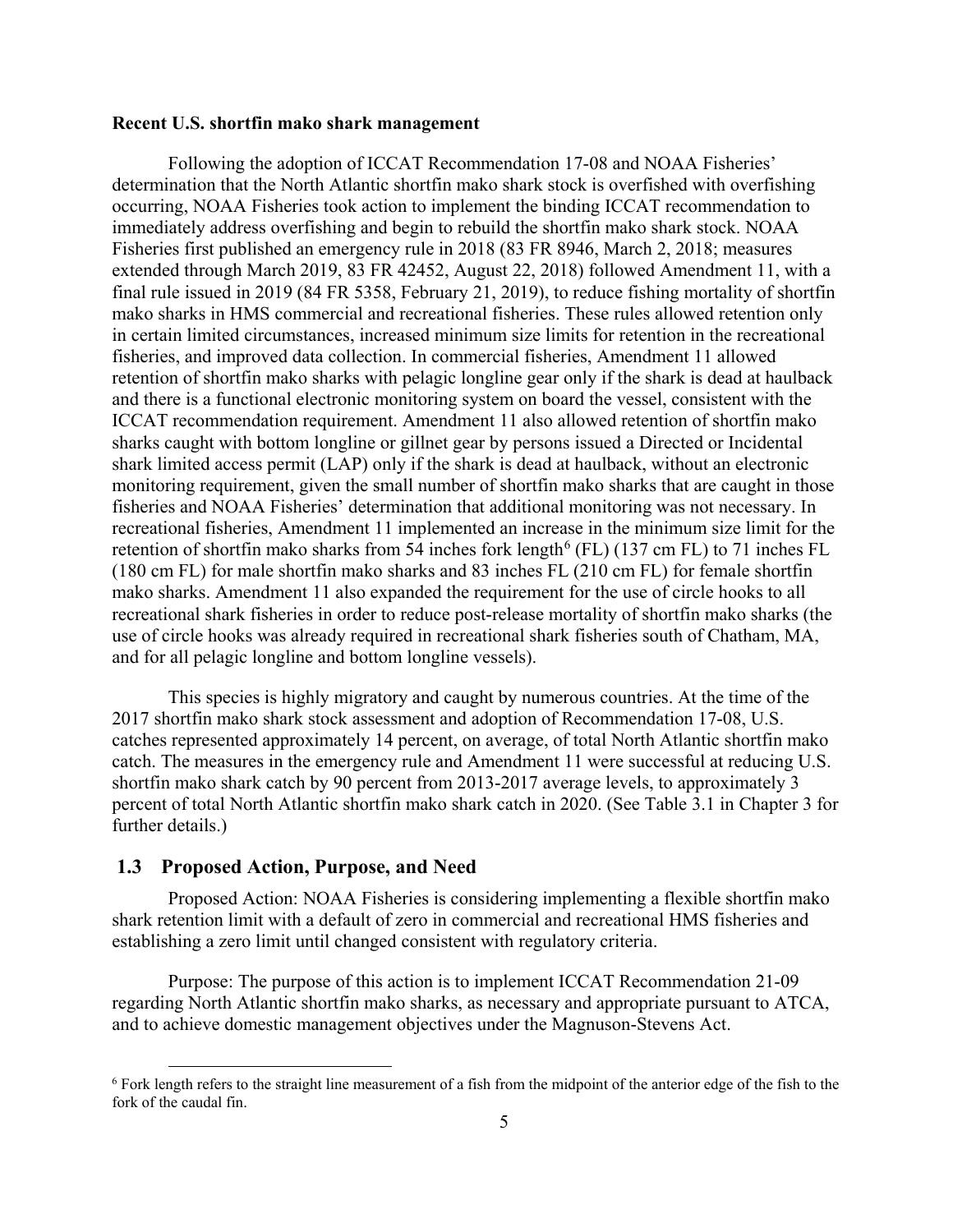#### **Recent U.S. shortfin mako shark management**

Following the adoption of ICCAT Recommendation 17-08 and NOAA Fisheries' determination that the North Atlantic shortfin mako shark stock is overfished with overfishing occurring, NOAA Fisheries took action to implement the binding ICCAT recommendation to immediately address overfishing and begin to rebuild the shortfin mako shark stock. NOAA Fisheries first published an emergency rule in 2018 (83 FR 8946, March 2, 2018; measures extended through March 2019, 83 FR 42452, August 22, 2018) followed Amendment 11, with a final rule issued in 2019 (84 FR 5358, February 21, 2019), to reduce fishing mortality of shortfin mako sharks in HMS commercial and recreational fisheries. These rules allowed retention only in certain limited circumstances, increased minimum size limits for retention in the recreational fisheries, and improved data collection. In commercial fisheries, Amendment 11 allowed retention of shortfin mako sharks with pelagic longline gear only if the shark is dead at haulback and there is a functional electronic monitoring system on board the vessel, consistent with the ICCAT recommendation requirement. Amendment 11 also allowed retention of shortfin mako sharks caught with bottom longline or gillnet gear by persons issued a Directed or Incidental shark limited access permit (LAP) only if the shark is dead at haulback, without an electronic monitoring requirement, given the small number of shortfin mako sharks that are caught in those fisheries and NOAA Fisheries' determination that additional monitoring was not necessary. In recreational fisheries, Amendment 11 implemented an increase in the minimum size limit for the retention of shortfin mako sharks from 54 inches fork length<sup>[6](#page-10-1)</sup> (FL) (137 cm FL) to 71 inches FL (180 cm FL) for male shortfin mako sharks and 83 inches FL (210 cm FL) for female shortfin mako sharks. Amendment 11 also expanded the requirement for the use of circle hooks to all recreational shark fisheries in order to reduce post-release mortality of shortfin mako sharks (the use of circle hooks was already required in recreational shark fisheries south of Chatham, MA, and for all pelagic longline and bottom longline vessels).

This species is highly migratory and caught by numerous countries. At the time of the 2017 shortfin mako shark stock assessment and adoption of Recommendation 17-08, U.S. catches represented approximately 14 percent, on average, of total North Atlantic shortfin mako catch. The measures in the emergency rule and Amendment 11 were successful at reducing U.S. shortfin mako shark catch by 90 percent from 2013-2017 average levels, to approximately 3 percent of total North Atlantic shortfin mako shark catch in 2020. (See Table 3.1 in Chapter 3 for further details.)

# <span id="page-10-0"></span>**1.3 Proposed Action, Purpose, and Need**

Proposed Action: NOAA Fisheries is considering implementing a flexible shortfin mako shark retention limit with a default of zero in commercial and recreational HMS fisheries and establishing a zero limit until changed consistent with regulatory criteria.

Purpose: The purpose of this action is to implement ICCAT Recommendation 21-09 regarding North Atlantic shortfin mako sharks, as necessary and appropriate pursuant to ATCA, and to achieve domestic management objectives under the Magnuson-Stevens Act.

<span id="page-10-1"></span> <sup>6</sup> Fork length refers to the straight line measurement of a fish from the midpoint of the anterior edge of the fish to the fork of the caudal fin.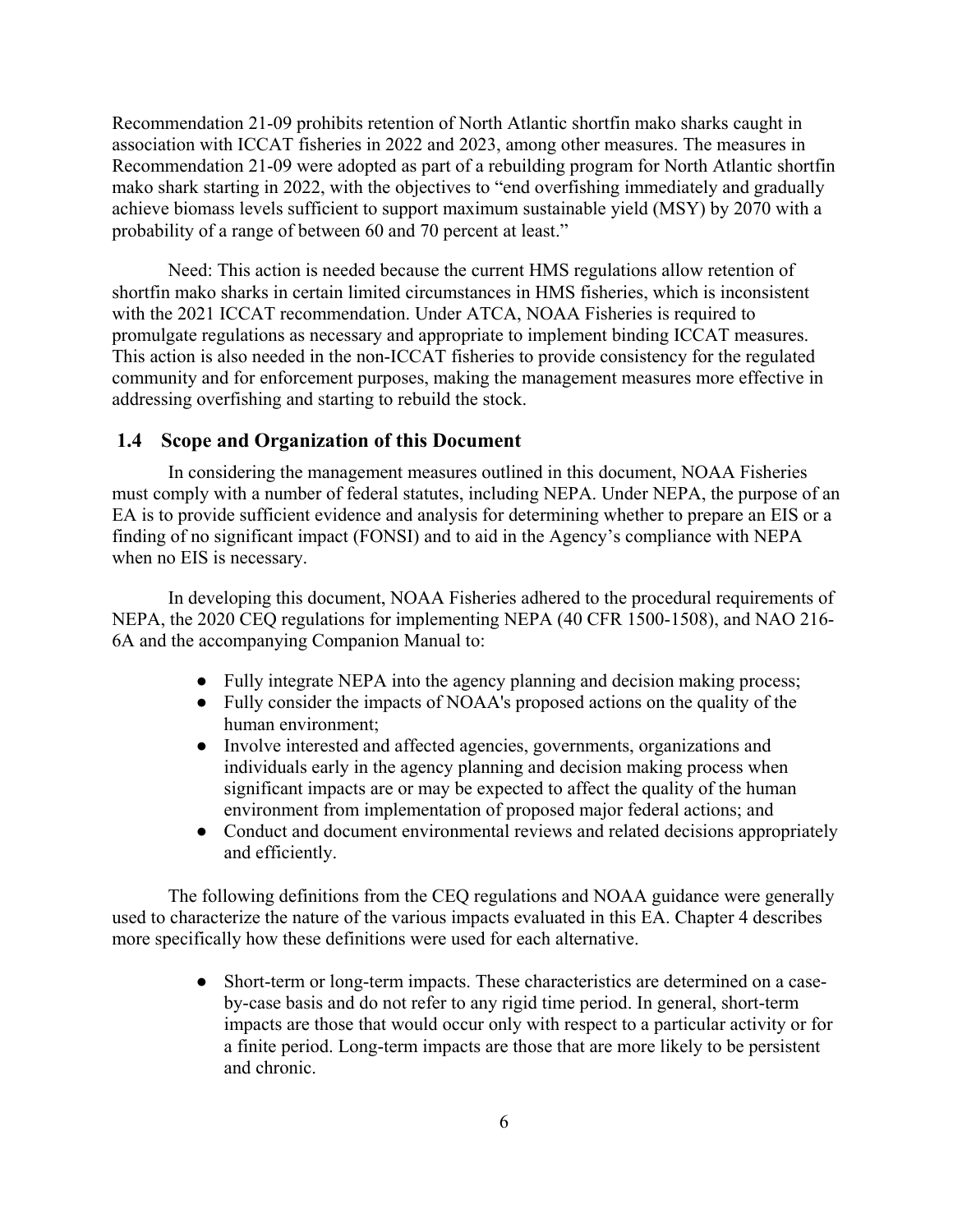Recommendation 21-09 prohibits retention of North Atlantic shortfin mako sharks caught in association with ICCAT fisheries in 2022 and 2023, among other measures. The measures in Recommendation 21-09 were adopted as part of a rebuilding program for North Atlantic shortfin mako shark starting in 2022, with the objectives to "end overfishing immediately and gradually achieve biomass levels sufficient to support maximum sustainable yield (MSY) by 2070 with a probability of a range of between 60 and 70 percent at least."

Need: This action is needed because the current HMS regulations allow retention of shortfin mako sharks in certain limited circumstances in HMS fisheries, which is inconsistent with the 2021 ICCAT recommendation. Under ATCA, NOAA Fisheries is required to promulgate regulations as necessary and appropriate to implement binding ICCAT measures. This action is also needed in the non-ICCAT fisheries to provide consistency for the regulated community and for enforcement purposes, making the management measures more effective in addressing overfishing and starting to rebuild the stock.

#### <span id="page-11-0"></span>**1.4 Scope and Organization of this Document**

In considering the management measures outlined in this document, NOAA Fisheries must comply with a number of federal statutes, including NEPA. Under NEPA, the purpose of an EA is to provide sufficient evidence and analysis for determining whether to prepare an EIS or a finding of no significant impact (FONSI) and to aid in the Agency's compliance with NEPA when no EIS is necessary.

In developing this document, NOAA Fisheries adhered to the procedural requirements of NEPA, the 2020 CEQ regulations for implementing NEPA (40 CFR 1500-1508), and NAO 216- 6A and the accompanying Companion Manual to:

- Fully integrate NEPA into the agency planning and decision making process;
- Fully consider the impacts of NOAA's proposed actions on the quality of the human environment;
- Involve interested and affected agencies, governments, organizations and individuals early in the agency planning and decision making process when significant impacts are or may be expected to affect the quality of the human environment from implementation of proposed major federal actions; and
- Conduct and document environmental reviews and related decisions appropriately and efficiently.

The following definitions from the CEQ regulations and NOAA guidance were generally used to characterize the nature of the various impacts evaluated in this EA. Chapter 4 describes more specifically how these definitions were used for each alternative.

> • Short-term or long-term impacts. These characteristics are determined on a caseby-case basis and do not refer to any rigid time period. In general, short-term impacts are those that would occur only with respect to a particular activity or for a finite period. Long-term impacts are those that are more likely to be persistent and chronic.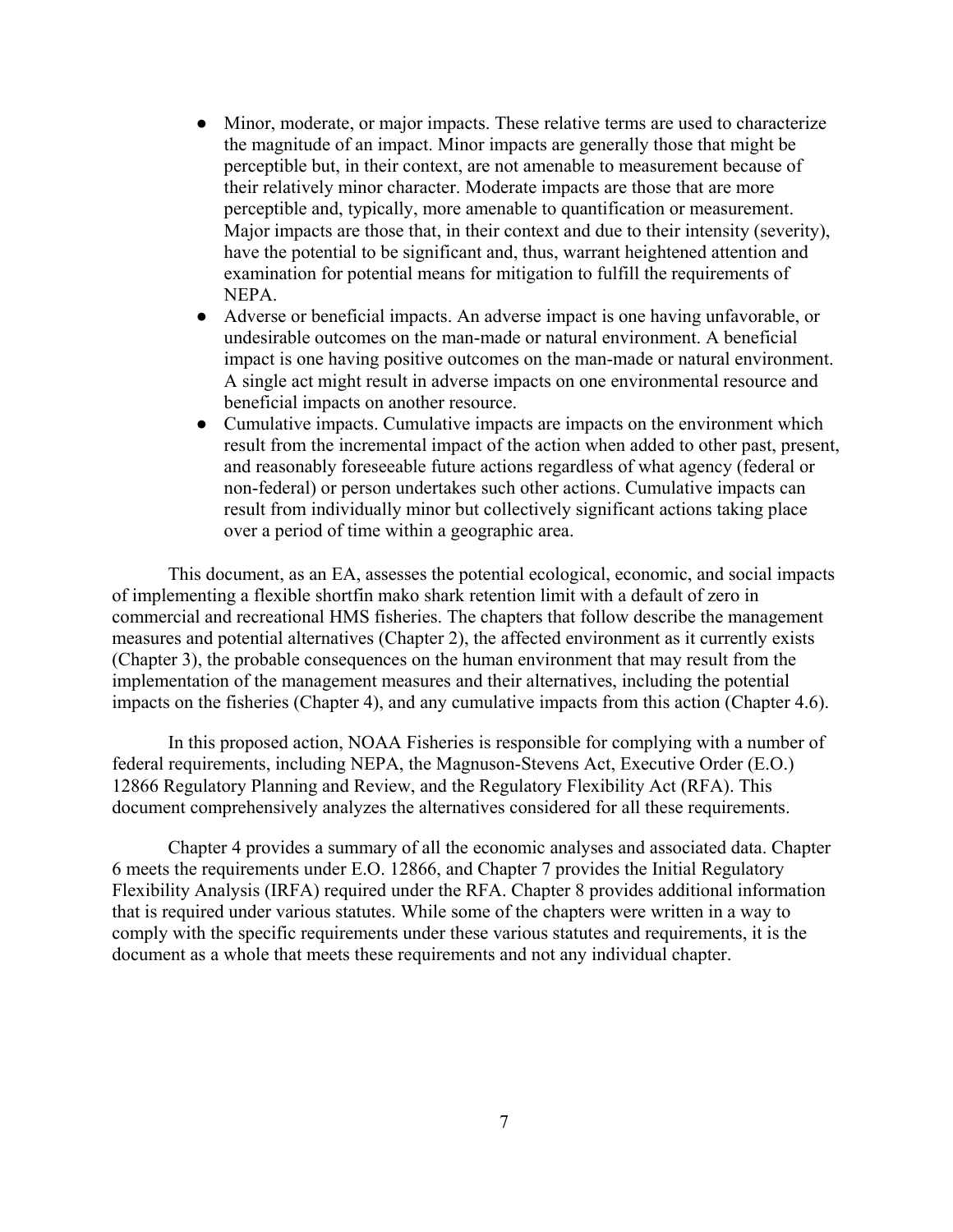- Minor, moderate, or major impacts. These relative terms are used to characterize the magnitude of an impact. Minor impacts are generally those that might be perceptible but, in their context, are not amenable to measurement because of their relatively minor character. Moderate impacts are those that are more perceptible and, typically, more amenable to quantification or measurement. Major impacts are those that, in their context and due to their intensity (severity), have the potential to be significant and, thus, warrant heightened attention and examination for potential means for mitigation to fulfill the requirements of NEPA.
- Adverse or beneficial impacts. An adverse impact is one having unfavorable, or undesirable outcomes on the man-made or natural environment. A beneficial impact is one having positive outcomes on the man-made or natural environment. A single act might result in adverse impacts on one environmental resource and beneficial impacts on another resource.
- Cumulative impacts. Cumulative impacts are impacts on the environment which result from the incremental impact of the action when added to other past, present, and reasonably foreseeable future actions regardless of what agency (federal or non-federal) or person undertakes such other actions. Cumulative impacts can result from individually minor but collectively significant actions taking place over a period of time within a geographic area.

This document, as an EA, assesses the potential ecological, economic, and social impacts of implementing a flexible shortfin mako shark retention limit with a default of zero in commercial and recreational HMS fisheries. The chapters that follow describe the management measures and potential alternatives (Chapter 2), the affected environment as it currently exists (Chapter 3), the probable consequences on the human environment that may result from the implementation of the management measures and their alternatives, including the potential impacts on the fisheries (Chapter 4), and any cumulative impacts from this action (Chapter 4.6).

In this proposed action, NOAA Fisheries is responsible for complying with a number of federal requirements, including NEPA, the Magnuson-Stevens Act, Executive Order (E.O.) 12866 Regulatory Planning and Review, and the Regulatory Flexibility Act (RFA). This document comprehensively analyzes the alternatives considered for all these requirements.

Chapter 4 provides a summary of all the economic analyses and associated data. Chapter 6 meets the requirements under E.O. 12866, and Chapter 7 provides the Initial Regulatory Flexibility Analysis (IRFA) required under the RFA. Chapter 8 provides additional information that is required under various statutes. While some of the chapters were written in a way to comply with the specific requirements under these various statutes and requirements, it is the document as a whole that meets these requirements and not any individual chapter.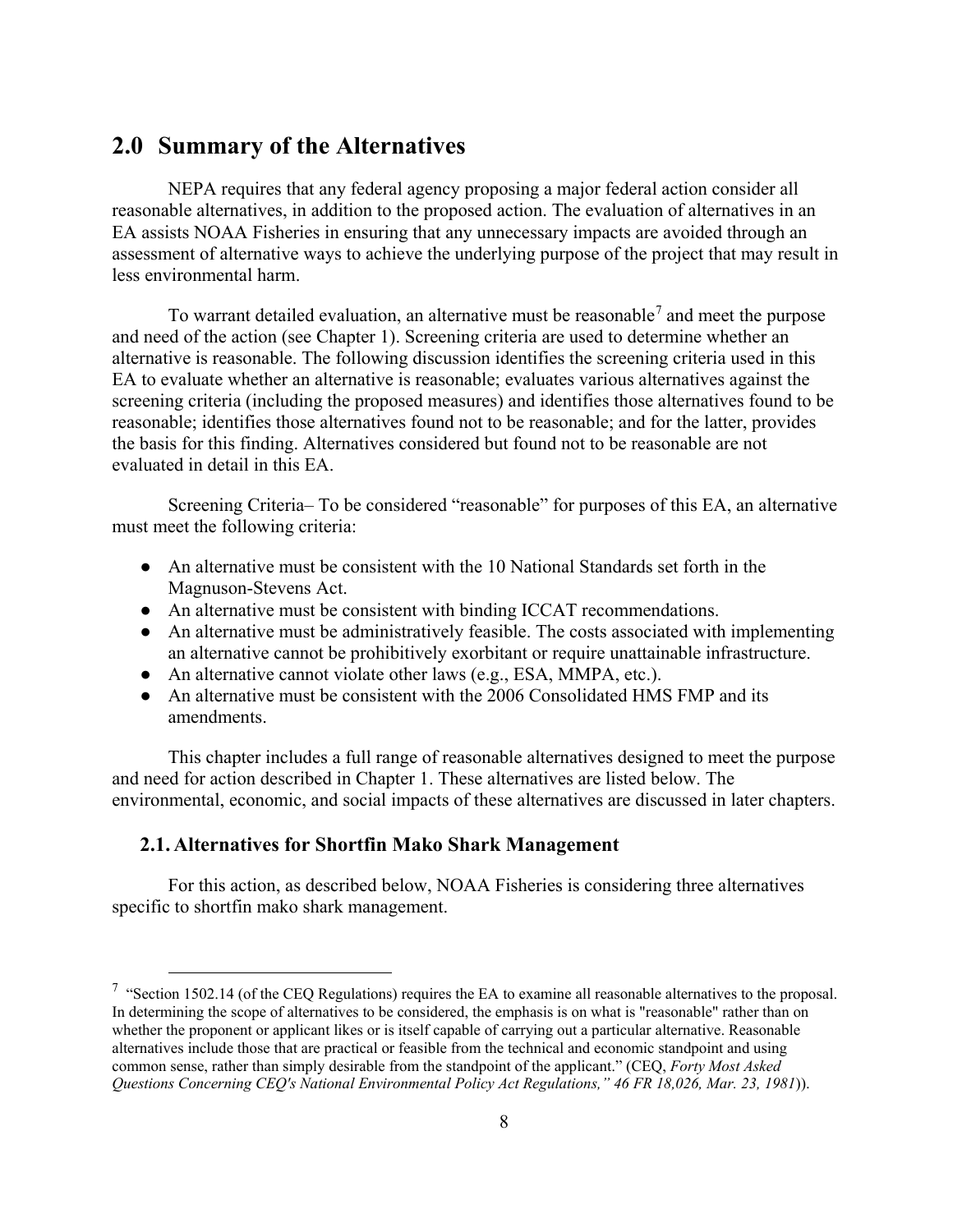# <span id="page-13-0"></span>**2.0 Summary of the Alternatives**

NEPA requires that any federal agency proposing a major federal action consider all reasonable alternatives, in addition to the proposed action. The evaluation of alternatives in an EA assists NOAA Fisheries in ensuring that any unnecessary impacts are avoided through an assessment of alternative ways to achieve the underlying purpose of the project that may result in less environmental harm.

To warrant detailed evaluation, an alternative must be reasonable<sup>[7](#page-13-2)</sup> and meet the purpose and need of the action (see Chapter 1). Screening criteria are used to determine whether an alternative is reasonable. The following discussion identifies the screening criteria used in this EA to evaluate whether an alternative is reasonable; evaluates various alternatives against the screening criteria (including the proposed measures) and identifies those alternatives found to be reasonable; identifies those alternatives found not to be reasonable; and for the latter, provides the basis for this finding. Alternatives considered but found not to be reasonable are not evaluated in detail in this EA.

Screening Criteria– To be considered "reasonable" for purposes of this EA, an alternative must meet the following criteria:

- An alternative must be consistent with the 10 National Standards set forth in the Magnuson-Stevens Act.
- An alternative must be consistent with binding ICCAT recommendations.
- An alternative must be administratively feasible. The costs associated with implementing an alternative cannot be prohibitively exorbitant or require unattainable infrastructure.
- An alternative cannot violate other laws (e.g., ESA, MMPA, etc.).
- An alternative must be consistent with the 2006 Consolidated HMS FMP and its amendments.

This chapter includes a full range of reasonable alternatives designed to meet the purpose and need for action described in Chapter 1. These alternatives are listed below. The environmental, economic, and social impacts of these alternatives are discussed in later chapters.

## <span id="page-13-1"></span>**2.1. Alternatives for Shortfin Mako Shark Management**

For this action, as described below, NOAA Fisheries is considering three alternatives specific to shortfin mako shark management.

<span id="page-13-2"></span><sup>&</sup>lt;sup>7</sup> "Section 1502.14 (of the CEQ Regulations) requires the EA to examine all reasonable alternatives to the proposal. In determining the scope of alternatives to be considered, the emphasis is on what is "reasonable" rather than on whether the proponent or applicant likes or is itself capable of carrying out a particular alternative. Reasonable alternatives include those that are practical or feasible from the technical and economic standpoint and using common sense, rather than simply desirable from the standpoint of the applicant." (CEQ, *Forty Most Asked Questions Concerning CEQ's National Environmental Policy Act Regulations," 46 FR 18,026, Mar. 23, 1981*)).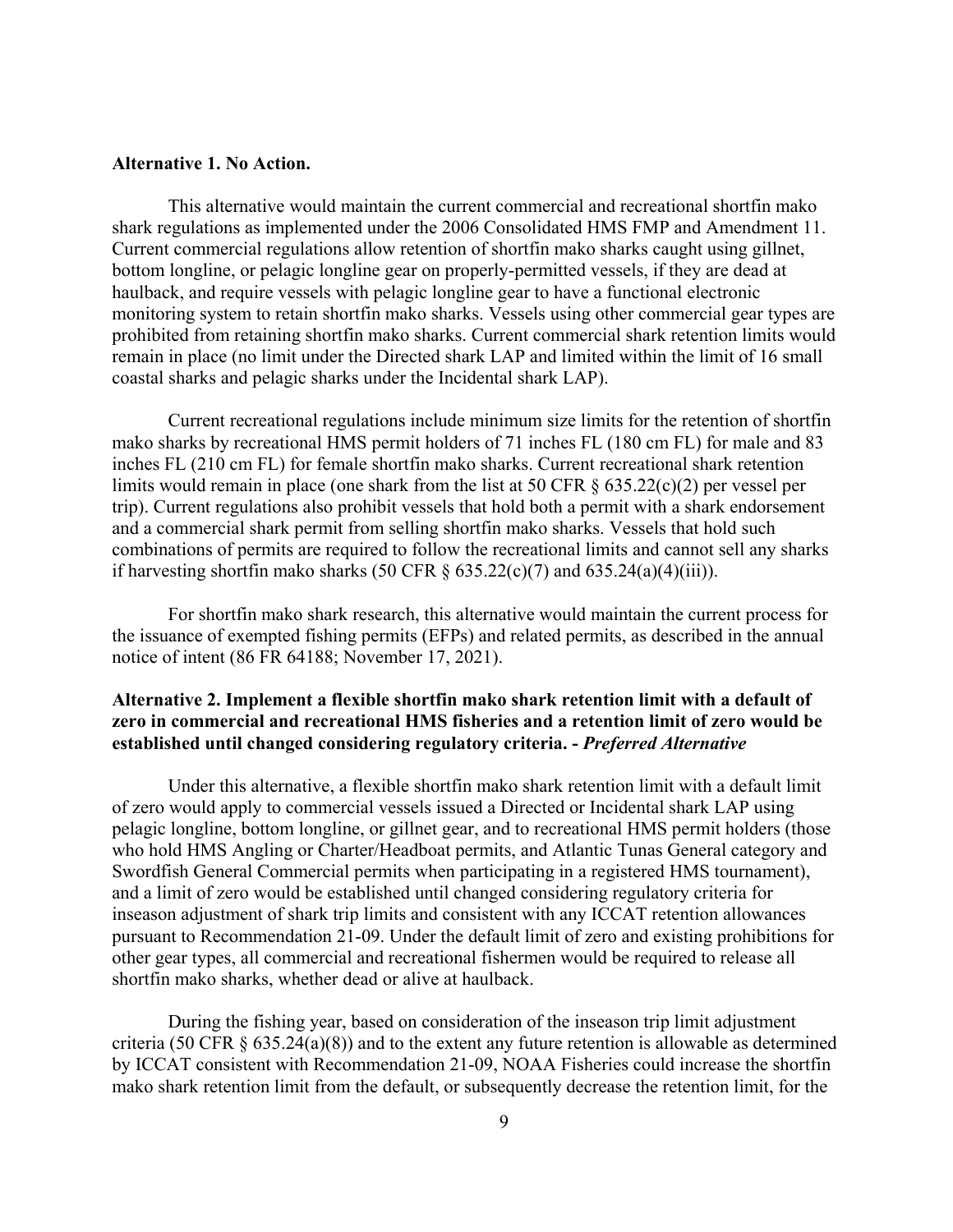#### **Alternative 1. No Action.**

This alternative would maintain the current commercial and recreational shortfin mako shark regulations as implemented under the 2006 Consolidated HMS FMP and Amendment 11. Current commercial regulations allow retention of shortfin mako sharks caught using gillnet, bottom longline, or pelagic longline gear on properly-permitted vessels, if they are dead at haulback, and require vessels with pelagic longline gear to have a functional electronic monitoring system to retain shortfin mako sharks. Vessels using other commercial gear types are prohibited from retaining shortfin mako sharks. Current commercial shark retention limits would remain in place (no limit under the Directed shark LAP and limited within the limit of 16 small coastal sharks and pelagic sharks under the Incidental shark LAP).

Current recreational regulations include minimum size limits for the retention of shortfin mako sharks by recreational HMS permit holders of 71 inches FL (180 cm FL) for male and 83 inches FL (210 cm FL) for female shortfin mako sharks. Current recreational shark retention limits would remain in place (one shark from the list at 50 CFR § 635.22(c)(2) per vessel per trip). Current regulations also prohibit vessels that hold both a permit with a shark endorsement and a commercial shark permit from selling shortfin mako sharks. Vessels that hold such combinations of permits are required to follow the recreational limits and cannot sell any sharks if harvesting shortfin mako sharks (50 CFR  $\S$  635.22(c)(7) and 635.24(a)(4)(iii)).

For shortfin mako shark research, this alternative would maintain the current process for the issuance of exempted fishing permits (EFPs) and related permits, as described in the annual notice of intent (86 FR 64188; November 17, 2021).

# **Alternative 2. Implement a flexible shortfin mako shark retention limit with a default of zero in commercial and recreational HMS fisheries and a retention limit of zero would be established until changed considering regulatory criteria. -** *Preferred Alternative*

Under this alternative, a flexible shortfin mako shark retention limit with a default limit of zero would apply to commercial vessels issued a Directed or Incidental shark LAP using pelagic longline, bottom longline, or gillnet gear, and to recreational HMS permit holders (those who hold HMS Angling or Charter/Headboat permits, and Atlantic Tunas General category and Swordfish General Commercial permits when participating in a registered HMS tournament), and a limit of zero would be established until changed considering regulatory criteria for inseason adjustment of shark trip limits and consistent with any ICCAT retention allowances pursuant to Recommendation 21-09. Under the default limit of zero and existing prohibitions for other gear types, all commercial and recreational fishermen would be required to release all shortfin mako sharks, whether dead or alive at haulback.

During the fishing year, based on consideration of the inseason trip limit adjustment criteria (50 CFR § 635.24(a)(8)) and to the extent any future retention is allowable as determined by ICCAT consistent with Recommendation 21-09, NOAA Fisheries could increase the shortfin mako shark retention limit from the default, or subsequently decrease the retention limit, for the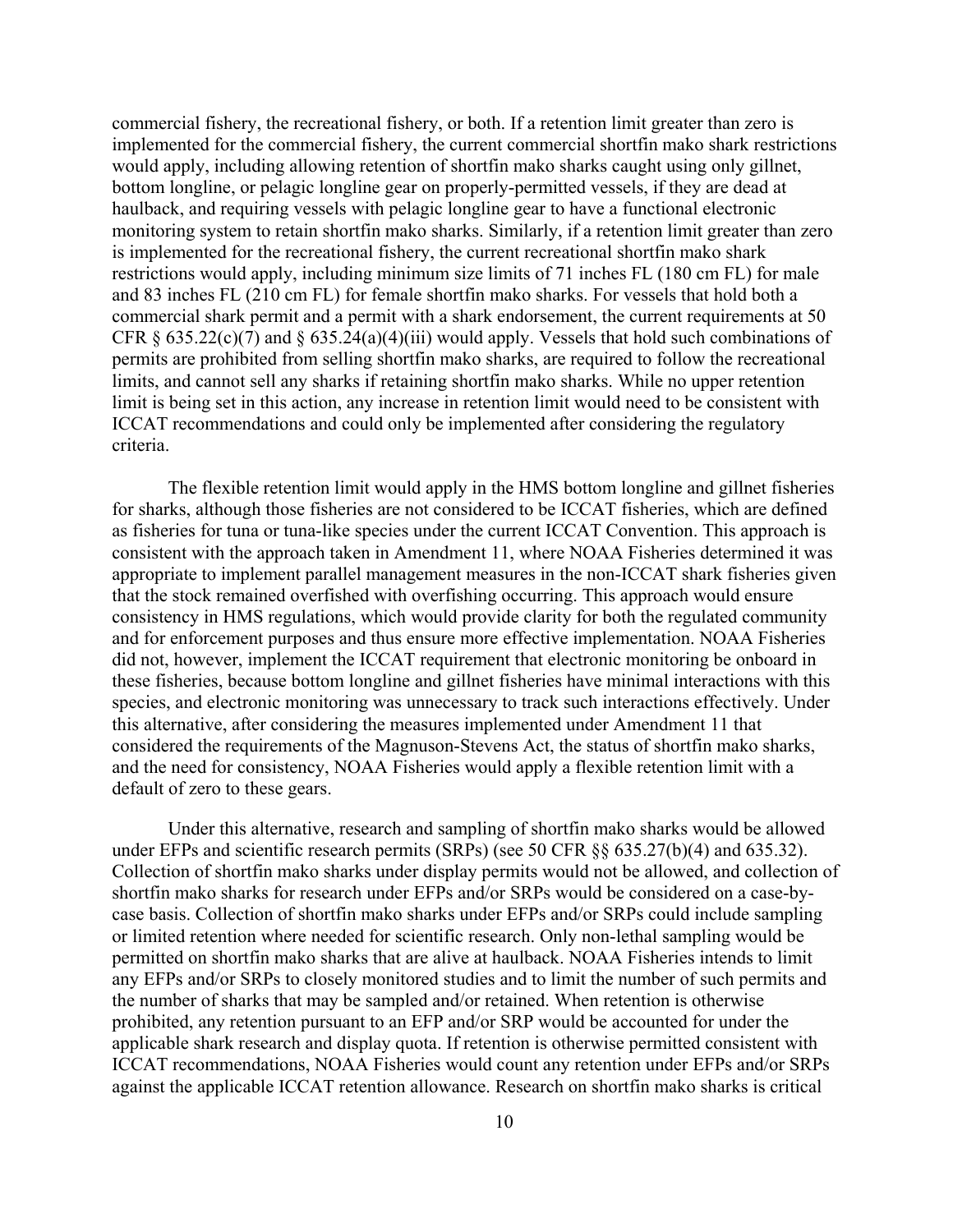commercial fishery, the recreational fishery, or both. If a retention limit greater than zero is implemented for the commercial fishery, the current commercial shortfin mako shark restrictions would apply, including allowing retention of shortfin mako sharks caught using only gillnet, bottom longline, or pelagic longline gear on properly-permitted vessels, if they are dead at haulback, and requiring vessels with pelagic longline gear to have a functional electronic monitoring system to retain shortfin mako sharks. Similarly, if a retention limit greater than zero is implemented for the recreational fishery, the current recreational shortfin mako shark restrictions would apply, including minimum size limits of 71 inches FL (180 cm FL) for male and 83 inches FL (210 cm FL) for female shortfin mako sharks. For vessels that hold both a commercial shark permit and a permit with a shark endorsement, the current requirements at 50 CFR  $\S 635.22(c)(7)$  and  $\S 635.24(a)(4)(iii)$  would apply. Vessels that hold such combinations of permits are prohibited from selling shortfin mako sharks, are required to follow the recreational limits, and cannot sell any sharks if retaining shortfin mako sharks. While no upper retention limit is being set in this action, any increase in retention limit would need to be consistent with ICCAT recommendations and could only be implemented after considering the regulatory criteria.

The flexible retention limit would apply in the HMS bottom longline and gillnet fisheries for sharks, although those fisheries are not considered to be ICCAT fisheries, which are defined as fisheries for tuna or tuna-like species under the current ICCAT Convention. This approach is consistent with the approach taken in Amendment 11, where NOAA Fisheries determined it was appropriate to implement parallel management measures in the non-ICCAT shark fisheries given that the stock remained overfished with overfishing occurring. This approach would ensure consistency in HMS regulations, which would provide clarity for both the regulated community and for enforcement purposes and thus ensure more effective implementation. NOAA Fisheries did not, however, implement the ICCAT requirement that electronic monitoring be onboard in these fisheries, because bottom longline and gillnet fisheries have minimal interactions with this species, and electronic monitoring was unnecessary to track such interactions effectively. Under this alternative, after considering the measures implemented under Amendment 11 that considered the requirements of the Magnuson-Stevens Act, the status of shortfin mako sharks, and the need for consistency, NOAA Fisheries would apply a flexible retention limit with a default of zero to these gears.

Under this alternative, research and sampling of shortfin mako sharks would be allowed under EFPs and scientific research permits (SRPs) (see 50 CFR §§ 635.27(b)(4) and 635.32). Collection of shortfin mako sharks under display permits would not be allowed, and collection of shortfin mako sharks for research under EFPs and/or SRPs would be considered on a case-bycase basis. Collection of shortfin mako sharks under EFPs and/or SRPs could include sampling or limited retention where needed for scientific research. Only non-lethal sampling would be permitted on shortfin mako sharks that are alive at haulback. NOAA Fisheries intends to limit any EFPs and/or SRPs to closely monitored studies and to limit the number of such permits and the number of sharks that may be sampled and/or retained. When retention is otherwise prohibited, any retention pursuant to an EFP and/or SRP would be accounted for under the applicable shark research and display quota. If retention is otherwise permitted consistent with ICCAT recommendations, NOAA Fisheries would count any retention under EFPs and/or SRPs against the applicable ICCAT retention allowance. Research on shortfin mako sharks is critical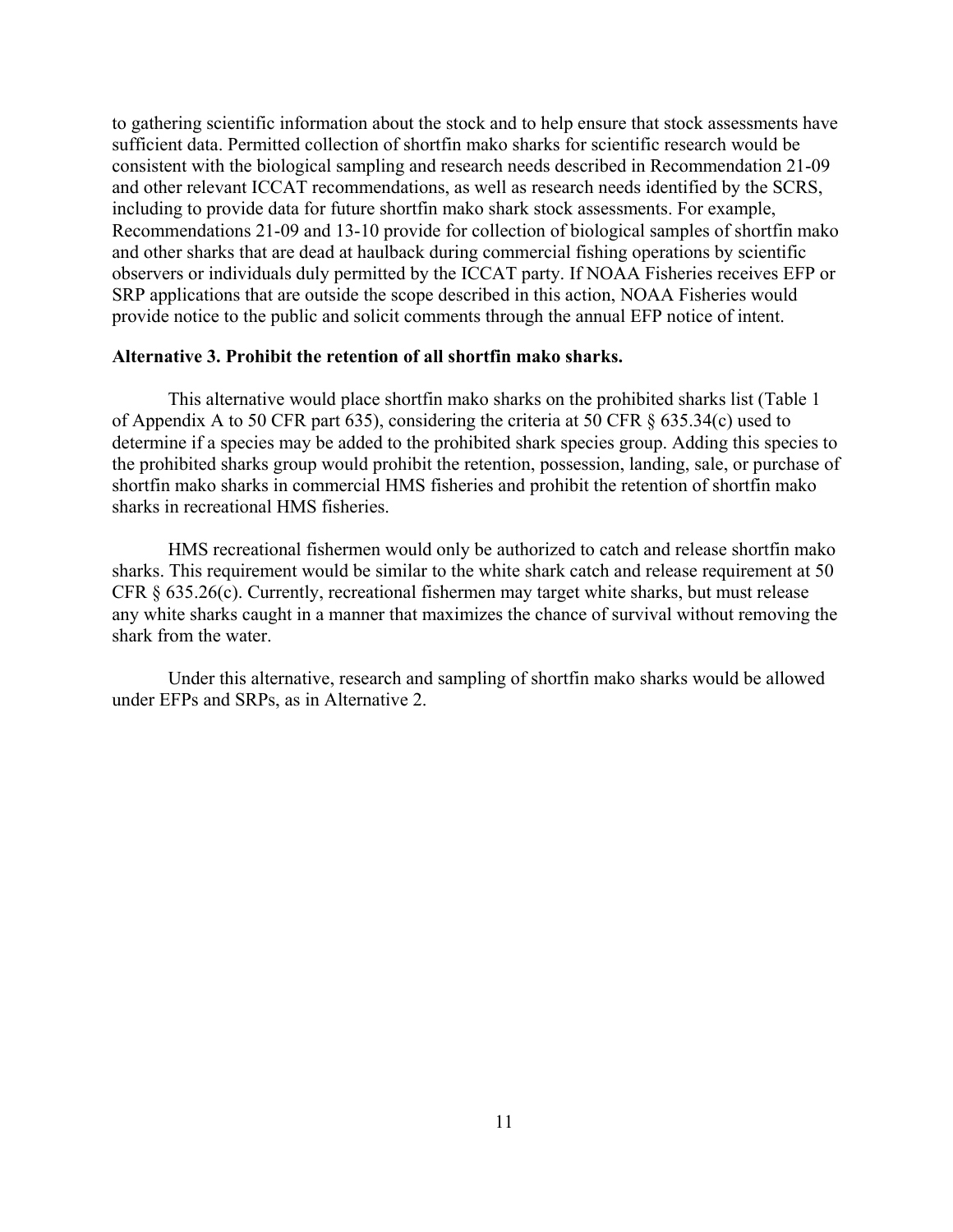to gathering scientific information about the stock and to help ensure that stock assessments have sufficient data. Permitted collection of shortfin mako sharks for scientific research would be consistent with the biological sampling and research needs described in Recommendation 21-09 and other relevant ICCAT recommendations, as well as research needs identified by the SCRS, including to provide data for future shortfin mako shark stock assessments. For example, Recommendations 21-09 and 13-10 provide for collection of biological samples of shortfin mako and other sharks that are dead at haulback during commercial fishing operations by scientific observers or individuals duly permitted by the ICCAT party. If NOAA Fisheries receives EFP or SRP applications that are outside the scope described in this action, NOAA Fisheries would provide notice to the public and solicit comments through the annual EFP notice of intent.

#### **Alternative 3. Prohibit the retention of all shortfin mako sharks.**

This alternative would place shortfin mako sharks on the prohibited sharks list (Table 1 of Appendix A to 50 CFR part 635), considering the criteria at 50 CFR § 635.34(c) used to determine if a species may be added to the prohibited shark species group. Adding this species to the prohibited sharks group would prohibit the retention, possession, landing, sale, or purchase of shortfin mako sharks in commercial HMS fisheries and prohibit the retention of shortfin mako sharks in recreational HMS fisheries.

HMS recreational fishermen would only be authorized to catch and release shortfin mako sharks. This requirement would be similar to the white shark catch and release requirement at 50 CFR § 635.26(c). Currently, recreational fishermen may target white sharks, but must release any white sharks caught in a manner that maximizes the chance of survival without removing the shark from the water.

Under this alternative, research and sampling of shortfin mako sharks would be allowed under EFPs and SRPs, as in Alternative 2.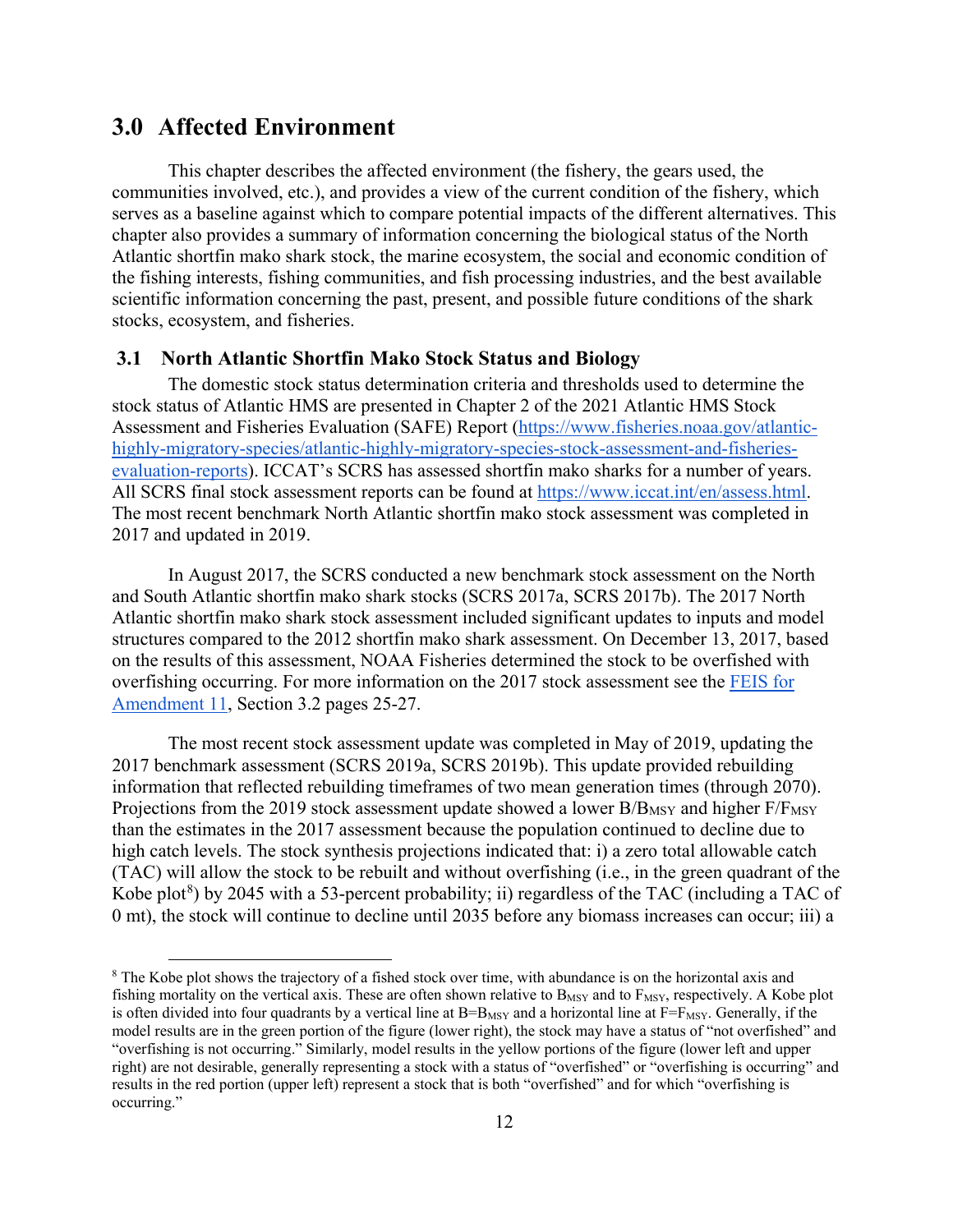# <span id="page-17-0"></span>**3.0 Affected Environment**

This chapter describes the affected environment (the fishery, the gears used, the communities involved, etc.), and provides a view of the current condition of the fishery, which serves as a baseline against which to compare potential impacts of the different alternatives. This chapter also provides a summary of information concerning the biological status of the North Atlantic shortfin mako shark stock, the marine ecosystem, the social and economic condition of the fishing interests, fishing communities, and fish processing industries, and the best available scientific information concerning the past, present, and possible future conditions of the shark stocks, ecosystem, and fisheries.

## <span id="page-17-1"></span>**3.1 North Atlantic Shortfin Mako Stock Status and Biology**

The domestic stock status determination criteria and thresholds used to determine the stock status of Atlantic HMS are presented in Chapter 2 of the 2021 Atlantic HMS Stock Assessment and Fisheries Evaluation (SAFE) Report [\(https://www.fisheries.noaa.gov/atlantic](https://www.fisheries.noaa.gov/atlantic-highly-migratory-species/atlantic-highly-migratory-species-stock-assessment-and-fisheries-evaluation-reports)[highly-migratory-species/atlantic-highly-migratory-species-stock-assessment-and-fisheries](https://www.fisheries.noaa.gov/atlantic-highly-migratory-species/atlantic-highly-migratory-species-stock-assessment-and-fisheries-evaluation-reports)[evaluation-reports\)](https://www.fisheries.noaa.gov/atlantic-highly-migratory-species/atlantic-highly-migratory-species-stock-assessment-and-fisheries-evaluation-reports). ICCAT's SCRS has assessed shortfin mako sharks for a number of years. All SCRS final stock assessment reports can be found at [https://www.iccat.int/en/assess.html.](https://www.iccat.int/en/assess.html) The most recent benchmark North Atlantic shortfin mako stock assessment was completed in 2017 and updated in 2019.

In August 2017, the SCRS conducted a new benchmark stock assessment on the North and South Atlantic shortfin mako shark stocks (SCRS 2017a, SCRS 2017b). The 2017 North Atlantic shortfin mako shark stock assessment included significant updates to inputs and model structures compared to the 2012 shortfin mako shark assessment. On December 13, 2017, based on the results of this assessment, NOAA Fisheries determined the stock to be overfished with overfishing occurring. For more information on the 2017 stock assessment see the **FEIS** for [Amendment 11,](https://media.fisheries.noaa.gov/dam-migration/final_amendment_11_to_the_2006_consolidated_hms_fmp.pdf) Section 3.2 pages 25-27.

The most recent stock assessment update was completed in May of 2019, updating the 2017 benchmark assessment (SCRS 2019a, SCRS 2019b). This update provided rebuilding information that reflected rebuilding timeframes of two mean generation times (through 2070). Projections from the 2019 stock assessment update showed a lower B/BMSY and higher F/FMSY than the estimates in the 2017 assessment because the population continued to decline due to high catch levels. The stock synthesis projections indicated that: i) a zero total allowable catch (TAC) will allow the stock to be rebuilt and without overfishing (i.e., in the green quadrant of the Kobe plot<sup>[8](#page-17-2)</sup>) by 2045 with a 53-percent probability; ii) regardless of the TAC (including a TAC of 0 mt), the stock will continue to decline until 2035 before any biomass increases can occur; iii) a

<span id="page-17-2"></span><sup>&</sup>lt;sup>8</sup> The Kobe plot shows the trajectory of a fished stock over time, with abundance is on the horizontal axis and fishing mortality on the vertical axis. These are often shown relative to  $B_{MSY}$  and to  $F_{MSY}$ , respectively. A Kobe plot is often divided into four quadrants by a vertical line at  $B=B_{MSY}$  and a horizontal line at  $F=F_{MSY}$ . Generally, if the model results are in the green portion of the figure (lower right), the stock may have a status of "not overfished" and "overfishing is not occurring." Similarly, model results in the yellow portions of the figure (lower left and upper right) are not desirable, generally representing a stock with a status of "overfished" or "overfishing is occurring" and results in the red portion (upper left) represent a stock that is both "overfished" and for which "overfishing is occurring."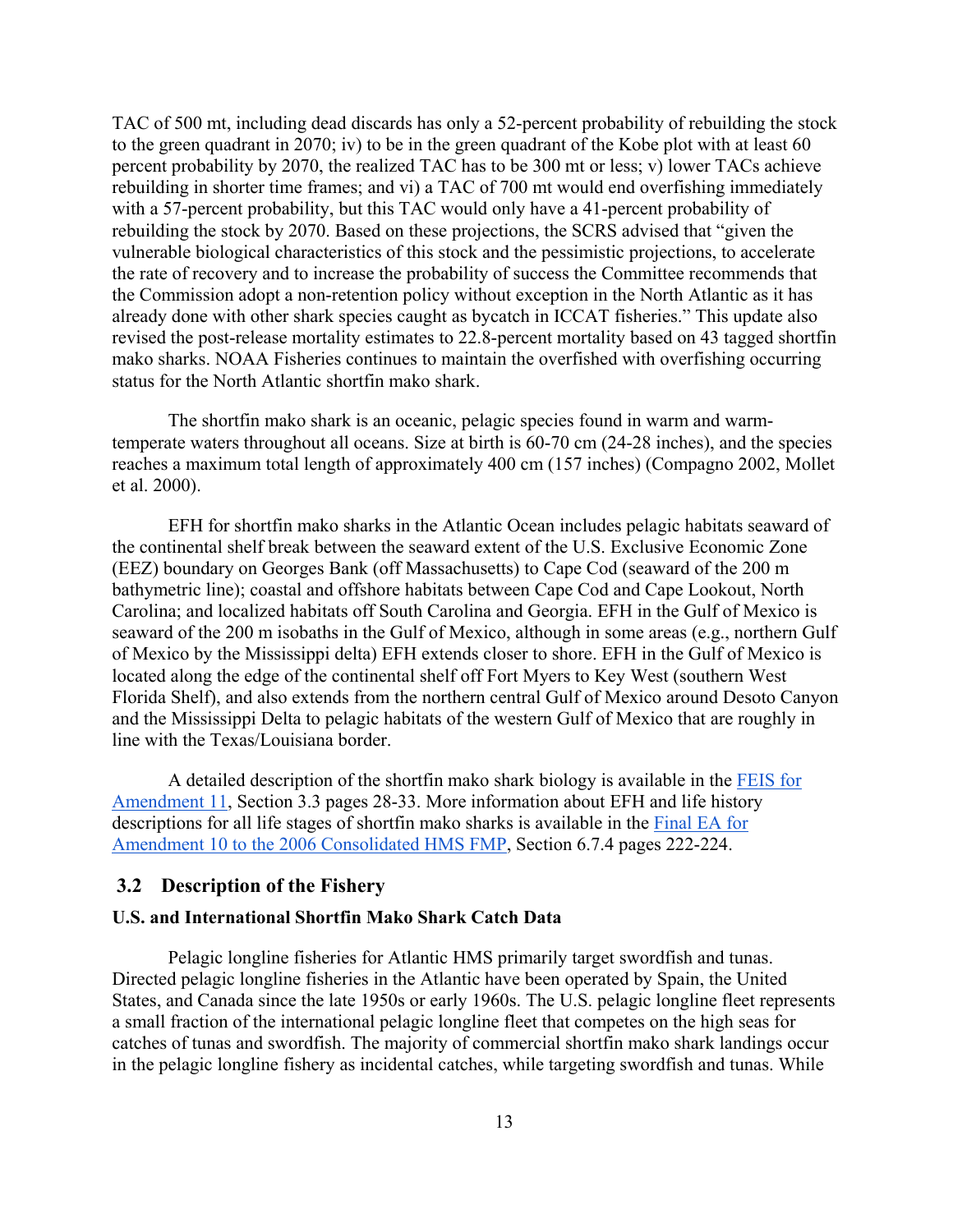TAC of 500 mt, including dead discards has only a 52-percent probability of rebuilding the stock to the green quadrant in 2070; iv) to be in the green quadrant of the Kobe plot with at least 60 percent probability by 2070, the realized TAC has to be 300 mt or less; v) lower TACs achieve rebuilding in shorter time frames; and vi) a TAC of 700 mt would end overfishing immediately with a 57-percent probability, but this TAC would only have a 41-percent probability of rebuilding the stock by 2070. Based on these projections, the SCRS advised that "given the vulnerable biological characteristics of this stock and the pessimistic projections, to accelerate the rate of recovery and to increase the probability of success the Committee recommends that the Commission adopt a non-retention policy without exception in the North Atlantic as it has already done with other shark species caught as bycatch in ICCAT fisheries." This update also revised the post-release mortality estimates to 22.8-percent mortality based on 43 tagged shortfin mako sharks. NOAA Fisheries continues to maintain the overfished with overfishing occurring status for the North Atlantic shortfin mako shark.

The shortfin mako shark is an oceanic, pelagic species found in warm and warmtemperate waters throughout all oceans. Size at birth is 60-70 cm (24-28 inches), and the species reaches a maximum total length of approximately 400 cm (157 inches) (Compagno 2002, Mollet et al. 2000).

EFH for shortfin mako sharks in the Atlantic Ocean includes pelagic habitats seaward of the continental shelf break between the seaward extent of the U.S. Exclusive Economic Zone (EEZ) boundary on Georges Bank (off Massachusetts) to Cape Cod (seaward of the 200 m bathymetric line); coastal and offshore habitats between Cape Cod and Cape Lookout, North Carolina; and localized habitats off South Carolina and Georgia. EFH in the Gulf of Mexico is seaward of the 200 m isobaths in the Gulf of Mexico, although in some areas (e.g., northern Gulf of Mexico by the Mississippi delta) EFH extends closer to shore. EFH in the Gulf of Mexico is located along the edge of the continental shelf off Fort Myers to Key West (southern West Florida Shelf), and also extends from the northern central Gulf of Mexico around Desoto Canyon and the Mississippi Delta to pelagic habitats of the western Gulf of Mexico that are roughly in line with the Texas/Louisiana border.

A detailed description of the shortfin mako shark biology is available in the [FEIS for](https://media.fisheries.noaa.gov/dam-migration/final_amendment_11_to_the_2006_consolidated_hms_fmp.pdf)  [Amendment 11,](https://media.fisheries.noaa.gov/dam-migration/final_amendment_11_to_the_2006_consolidated_hms_fmp.pdf) Section 3.3 pages 28-33. More information about EFH and life history descriptions for all life stages of shortfin mako sharks is available in the [Final EA for](https://media.fisheries.noaa.gov/dam-migration/final_a10_ea_signed_fonsi_092017.pdf)  [Amendment 10 to the 2006 Consolidated HMS FMP,](https://media.fisheries.noaa.gov/dam-migration/final_a10_ea_signed_fonsi_092017.pdf) Section 6.7.4 pages 222-224.

#### <span id="page-18-0"></span>**3.2 Description of the Fishery**

## **U.S. and International Shortfin Mako Shark Catch Data**

Pelagic longline fisheries for Atlantic HMS primarily target swordfish and tunas. Directed pelagic longline fisheries in the Atlantic have been operated by Spain, the United States, and Canada since the late 1950s or early 1960s. The U.S. pelagic longline fleet represents a small fraction of the international pelagic longline fleet that competes on the high seas for catches of tunas and swordfish. The majority of commercial shortfin mako shark landings occur in the pelagic longline fishery as incidental catches, while targeting swordfish and tunas. While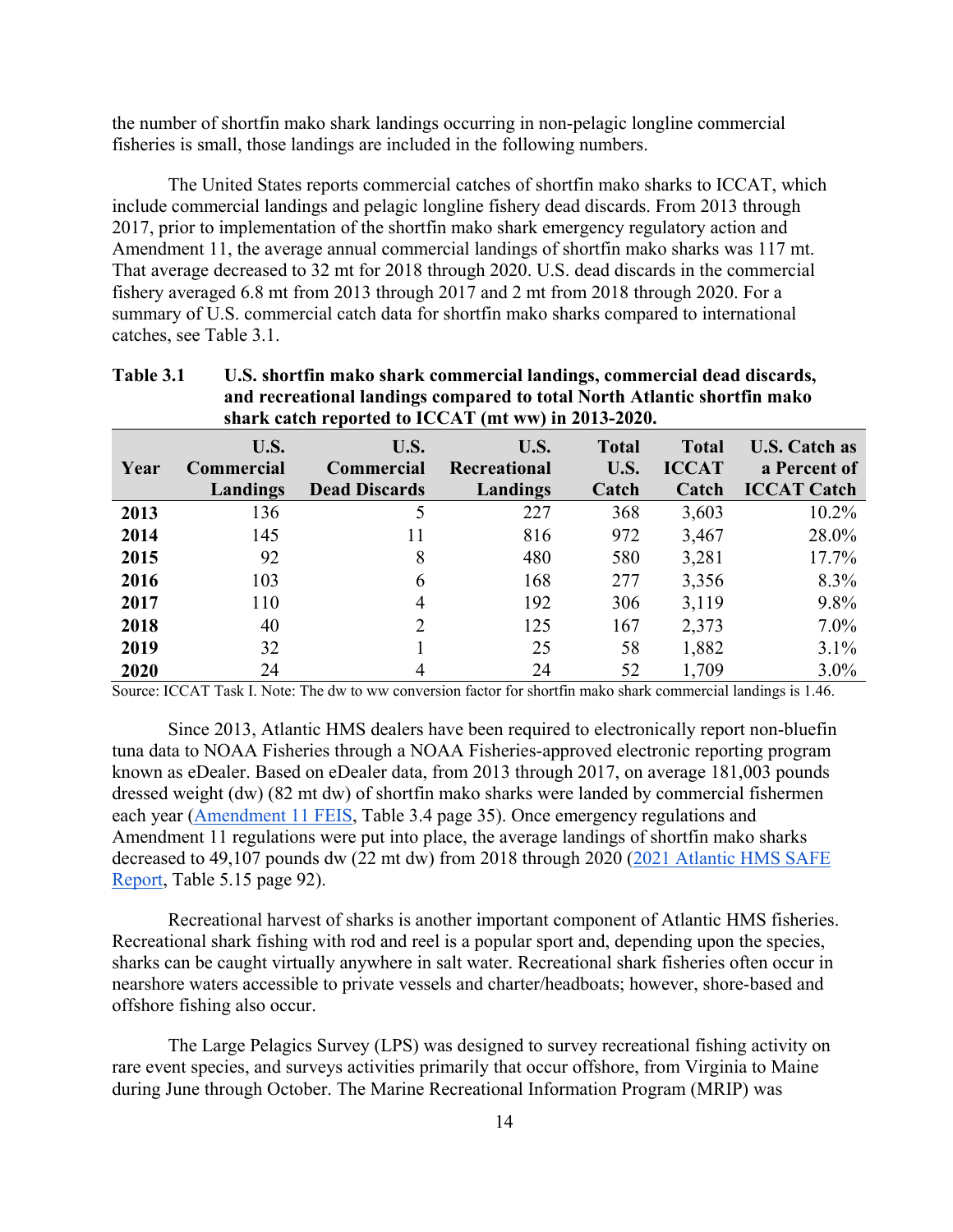the number of shortfin mako shark landings occurring in non-pelagic longline commercial fisheries is small, those landings are included in the following numbers.

The United States reports commercial catches of shortfin mako sharks to ICCAT, which include commercial landings and pelagic longline fishery dead discards. From 2013 through 2017, prior to implementation of the shortfin mako shark emergency regulatory action and Amendment 11, the average annual commercial landings of shortfin mako sharks was 117 mt. That average decreased to 32 mt for 2018 through 2020. U.S. dead discards in the commercial fishery averaged 6.8 mt from 2013 through 2017 and 2 mt from 2018 through 2020. For a summary of U.S. commercial catch data for shortfin mako sharks compared to international catches, see Table 3.1.

| and recreational landings compared to total North Atlantic shortfin mako<br>shark catch reported to ICCAT (mt ww) in 2013-2020. |                                       |                                                   |                                         |                               |                                       |                                                            |
|---------------------------------------------------------------------------------------------------------------------------------|---------------------------------------|---------------------------------------------------|-----------------------------------------|-------------------------------|---------------------------------------|------------------------------------------------------------|
| Year                                                                                                                            | U.S.<br><b>Commercial</b><br>Landings | U.S.<br><b>Commercial</b><br><b>Dead Discards</b> | U.S.<br><b>Recreational</b><br>Landings | <b>Total</b><br>U.S.<br>Catch | <b>Total</b><br><b>ICCAT</b><br>Catch | <b>U.S. Catch as</b><br>a Percent of<br><b>ICCAT Catch</b> |
| 2013                                                                                                                            | 136                                   |                                                   | 227                                     | 368                           | 3,603                                 | $10.2\%$                                                   |
| 2014                                                                                                                            | 145                                   | 11                                                | 816                                     | 972                           | 3,467                                 | 28.0%                                                      |
| 2015                                                                                                                            | 92                                    | 8                                                 | 480                                     | 580                           | 3,281                                 | 17.7%                                                      |
| 2016                                                                                                                            | 103                                   | 6                                                 | 168                                     | 277                           | 3,356                                 | 8.3%                                                       |
| 2017                                                                                                                            | 110                                   | 4                                                 | 192                                     | 306                           | 3,119                                 | $9.8\%$                                                    |
| 2018                                                                                                                            | 40                                    | $\mathfrak{D}$                                    | 125                                     | 167                           | 2,373                                 | $7.0\%$                                                    |
| 2019                                                                                                                            | 32                                    |                                                   | 25                                      | 58                            | 1,882                                 | $3.1\%$                                                    |
| 2020                                                                                                                            | 24                                    | 4                                                 | 24                                      | 52                            | 1,709                                 | $3.0\%$                                                    |

# **Table 3.1 U.S. shortfin mako shark commercial landings, commercial dead discards, and recreational landings compared to total North Atlantic shortfin mako**

Source: ICCAT Task I. Note: The dw to ww conversion factor for shortfin mako shark commercial landings is 1.46.

Since 2013, Atlantic HMS dealers have been required to electronically report non-bluefin tuna data to NOAA Fisheries through a NOAA Fisheries-approved electronic reporting program known as eDealer. Based on eDealer data, from 2013 through 2017, on average 181,003 pounds dressed weight (dw) (82 mt dw) of shortfin mako sharks were landed by commercial fishermen each year [\(Amendment 11 FEIS,](https://media.fisheries.noaa.gov/dam-migration/final_amendment_11_to_the_2006_consolidated_hms_fmp.pdf) Table 3.4 page 35). Once emergency regulations and Amendment 11 regulations were put into place, the average landings of shortfin mako sharks decreased to 49,107 pounds dw (22 mt dw) from 2018 through 2020 [\(2021 Atlantic HMS SAFE](https://www.fisheries.noaa.gov/atlantic-highly-migratory-species/atlantic-highly-migratory-species-stock-assessment-and-fisheries-evaluation-reports)  [Report,](https://www.fisheries.noaa.gov/atlantic-highly-migratory-species/atlantic-highly-migratory-species-stock-assessment-and-fisheries-evaluation-reports) Table 5.15 page 92).

Recreational harvest of sharks is another important component of Atlantic HMS fisheries. Recreational shark fishing with rod and reel is a popular sport and, depending upon the species, sharks can be caught virtually anywhere in salt water. Recreational shark fisheries often occur in nearshore waters accessible to private vessels and charter/headboats; however, shore-based and offshore fishing also occur.

The Large Pelagics Survey (LPS) was designed to survey recreational fishing activity on rare event species, and surveys activities primarily that occur offshore, from Virginia to Maine during June through October. The Marine Recreational Information Program (MRIP) was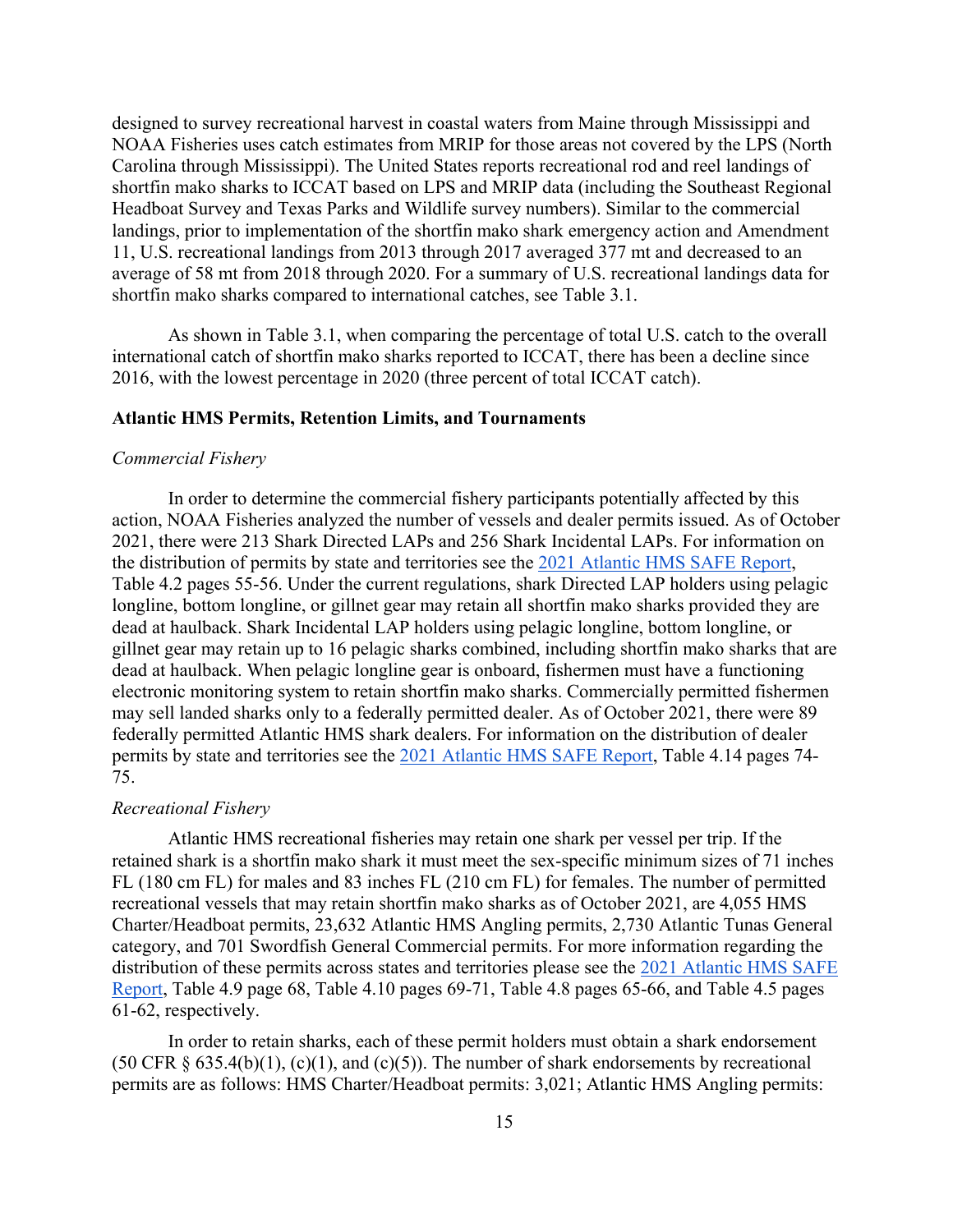designed to survey recreational harvest in coastal waters from Maine through Mississippi and NOAA Fisheries uses catch estimates from MRIP for those areas not covered by the LPS (North Carolina through Mississippi). The United States reports recreational rod and reel landings of shortfin mako sharks to ICCAT based on LPS and MRIP data (including the Southeast Regional Headboat Survey and Texas Parks and Wildlife survey numbers). Similar to the commercial landings, prior to implementation of the shortfin mako shark emergency action and Amendment 11, U.S. recreational landings from 2013 through 2017 averaged 377 mt and decreased to an average of 58 mt from 2018 through 2020. For a summary of U.S. recreational landings data for shortfin mako sharks compared to international catches, see Table 3.1.

As shown in Table 3.1, when comparing the percentage of total U.S. catch to the overall international catch of shortfin mako sharks reported to ICCAT, there has been a decline since 2016, with the lowest percentage in 2020 (three percent of total ICCAT catch).

#### **Atlantic HMS Permits, Retention Limits, and Tournaments**

#### *Commercial Fishery*

In order to determine the commercial fishery participants potentially affected by this action, NOAA Fisheries analyzed the number of vessels and dealer permits issued. As of October 2021, there were 213 Shark Directed LAPs and 256 Shark Incidental LAPs. For information on the distribution of permits by state and territories see the [2021 Atlantic HMS SAFE Report,](https://www.fisheries.noaa.gov/atlantic-highly-migratory-species/atlantic-highly-migratory-species-stock-assessment-and-fisheries-evaluation-reports) Table 4.2 pages 55-56. Under the current regulations, shark Directed LAP holders using pelagic longline, bottom longline, or gillnet gear may retain all shortfin mako sharks provided they are dead at haulback. Shark Incidental LAP holders using pelagic longline, bottom longline, or gillnet gear may retain up to 16 pelagic sharks combined, including shortfin mako sharks that are dead at haulback. When pelagic longline gear is onboard, fishermen must have a functioning electronic monitoring system to retain shortfin mako sharks. Commercially permitted fishermen may sell landed sharks only to a federally permitted dealer. As of October 2021, there were 89 federally permitted Atlantic HMS shark dealers. For information on the distribution of dealer permits by state and territories see the [2021 Atlantic HMS SAFE Report,](https://www.fisheries.noaa.gov/atlantic-highly-migratory-species/atlantic-highly-migratory-species-stock-assessment-and-fisheries-evaluation-reports) Table 4.14 pages 74- 75.

#### *Recreational Fishery*

Atlantic HMS recreational fisheries may retain one shark per vessel per trip. If the retained shark is a shortfin mako shark it must meet the sex-specific minimum sizes of 71 inches FL (180 cm FL) for males and 83 inches FL (210 cm FL) for females. The number of permitted recreational vessels that may retain shortfin mako sharks as of October 2021, are 4,055 HMS Charter/Headboat permits, 23,632 Atlantic HMS Angling permits, 2,730 Atlantic Tunas General category, and 701 Swordfish General Commercial permits. For more information regarding the distribution of these permits across states and territories please see the [2021 Atlantic HMS SAFE](https://www.fisheries.noaa.gov/atlantic-highly-migratory-species/atlantic-highly-migratory-species-stock-assessment-and-fisheries-evaluation-reports)  [Report,](https://www.fisheries.noaa.gov/atlantic-highly-migratory-species/atlantic-highly-migratory-species-stock-assessment-and-fisheries-evaluation-reports) Table 4.9 page 68, Table 4.10 pages 69-71, Table 4.8 pages 65-66, and Table 4.5 pages 61-62, respectively.

In order to retain sharks, each of these permit holders must obtain a shark endorsement (50 CFR  $\S$  635.4(b)(1), (c)(1), and (c)(5)). The number of shark endorsements by recreational permits are as follows: HMS Charter/Headboat permits: 3,021; Atlantic HMS Angling permits: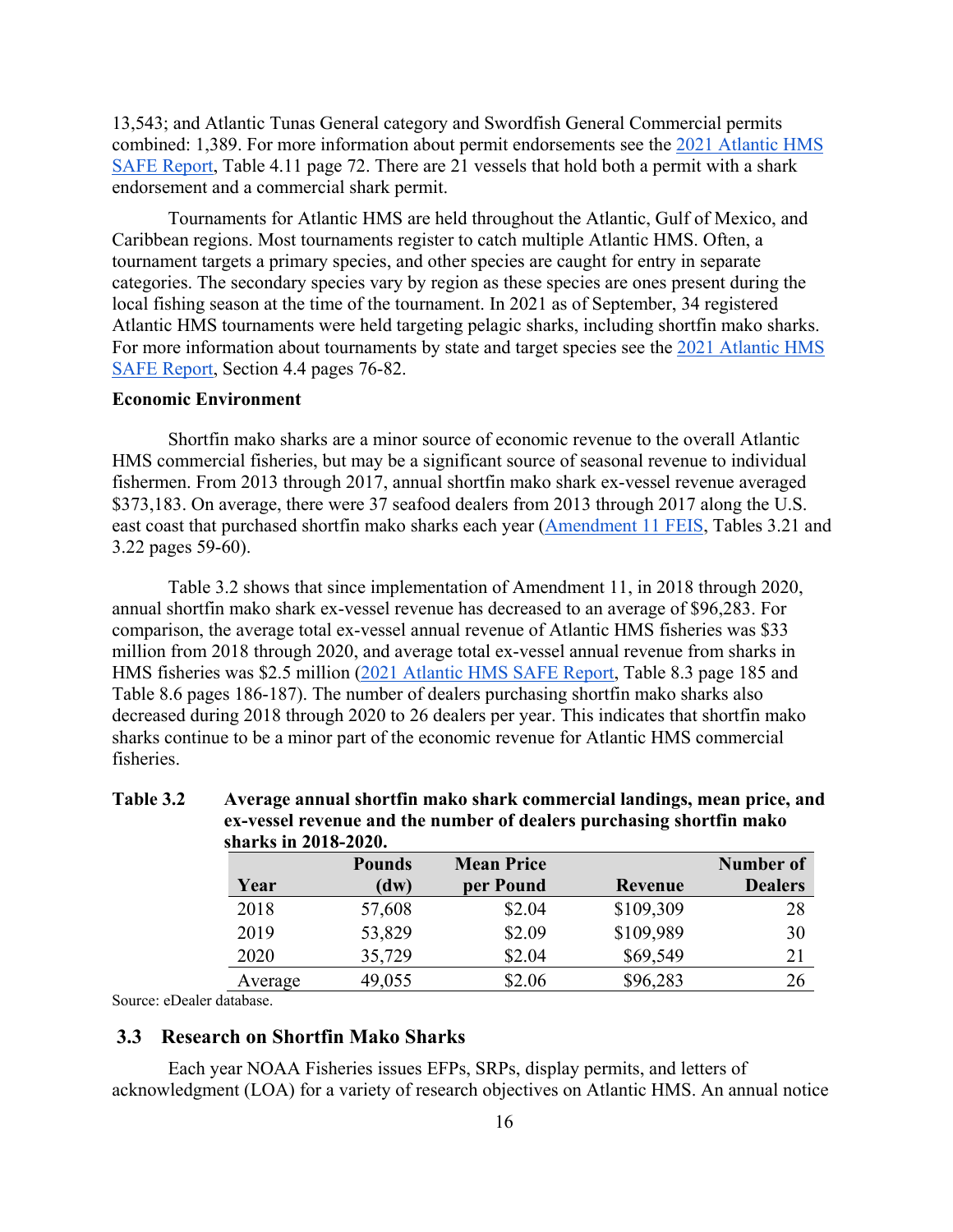13,543; and Atlantic Tunas General category and Swordfish General Commercial permits combined: 1,389. For more information about permit endorsements see the [2021 Atlantic HMS](https://www.fisheries.noaa.gov/atlantic-highly-migratory-species/atlantic-highly-migratory-species-stock-assessment-and-fisheries-evaluation-reports)  [SAFE Report,](https://www.fisheries.noaa.gov/atlantic-highly-migratory-species/atlantic-highly-migratory-species-stock-assessment-and-fisheries-evaluation-reports) Table 4.11 page 72. There are 21 vessels that hold both a permit with a shark endorsement and a commercial shark permit.

Tournaments for Atlantic HMS are held throughout the Atlantic, Gulf of Mexico, and Caribbean regions. Most tournaments register to catch multiple Atlantic HMS. Often, a tournament targets a primary species, and other species are caught for entry in separate categories. The secondary species vary by region as these species are ones present during the local fishing season at the time of the tournament. In 2021 as of September, 34 registered Atlantic HMS tournaments were held targeting pelagic sharks, including shortfin mako sharks. For more information about tournaments by state and target species see the [2021 Atlantic HMS](https://www.fisheries.noaa.gov/atlantic-highly-migratory-species/atlantic-highly-migratory-species-stock-assessment-and-fisheries-evaluation-reports)  [SAFE Report,](https://www.fisheries.noaa.gov/atlantic-highly-migratory-species/atlantic-highly-migratory-species-stock-assessment-and-fisheries-evaluation-reports) Section 4.4 pages 76-82.

#### **Economic Environment**

Shortfin mako sharks are a minor source of economic revenue to the overall Atlantic HMS commercial fisheries, but may be a significant source of seasonal revenue to individual fishermen. From 2013 through 2017, annual shortfin mako shark ex-vessel revenue averaged \$373,183. On average, there were 37 seafood dealers from 2013 through 2017 along the U.S. east coast that purchased shortfin mako sharks each year [\(Amendment 11 FEIS,](https://media.fisheries.noaa.gov/dam-migration/final_amendment_11_to_the_2006_consolidated_hms_fmp.pdf) Tables 3.21 and 3.22 pages 59-60).

Table 3.2 shows that since implementation of Amendment 11, in 2018 through 2020, annual shortfin mako shark ex-vessel revenue has decreased to an average of \$96,283. For comparison, the average total ex-vessel annual revenue of Atlantic HMS fisheries was \$33 million from 2018 through 2020, and average total ex-vessel annual revenue from sharks in HMS fisheries was \$2.5 million [\(2021 Atlantic HMS SAFE Report,](https://www.fisheries.noaa.gov/atlantic-highly-migratory-species/atlantic-highly-migratory-species-stock-assessment-and-fisheries-evaluation-reports) Table 8.3 page 185 and Table 8.6 pages 186-187). The number of dealers purchasing shortfin mako sharks also decreased during 2018 through 2020 to 26 dealers per year. This indicates that shortfin mako sharks continue to be a minor part of the economic revenue for Atlantic HMS commercial fisheries.

#### **Table 3.2 Average annual shortfin mako shark commercial landings, mean price, and ex-vessel revenue and the number of dealers purchasing shortfin mako sharks in 2018-2020.**

|         | <b>Pounds</b> | <b>Mean Price</b> |           | Number of      |
|---------|---------------|-------------------|-----------|----------------|
| Year    | (dw)          | per Pound         | Revenue   | <b>Dealers</b> |
| 2018    | 57,608        | \$2.04            | \$109,309 | 28             |
| 2019    | 53,829        | \$2.09            | \$109,989 | 30             |
| 2020    | 35,729        | \$2.04            | \$69,549  | 21             |
| Average | 49,055        | \$2.06            | \$96,283  | 26             |

<span id="page-21-0"></span>Source: eDealer database.

## **3.3 Research on Shortfin Mako Sharks**

Each year NOAA Fisheries issues EFPs, SRPs, display permits, and letters of acknowledgment (LOA) for a variety of research objectives on Atlantic HMS. An annual notice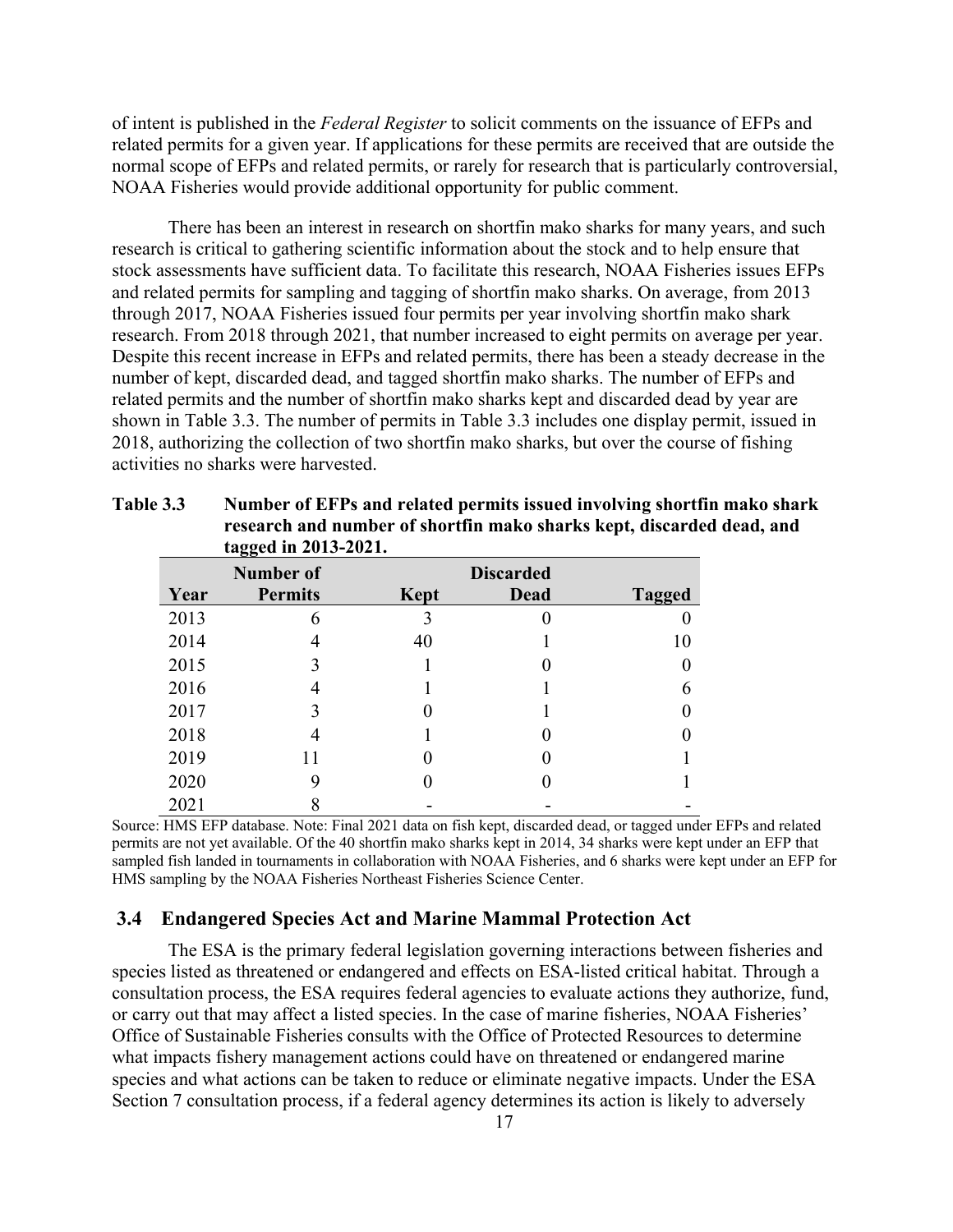of intent is published in the *Federal Register* to solicit comments on the issuance of EFPs and related permits for a given year. If applications for these permits are received that are outside the normal scope of EFPs and related permits, or rarely for research that is particularly controversial, NOAA Fisheries would provide additional opportunity for public comment.

There has been an interest in research on shortfin mako sharks for many years, and such research is critical to gathering scientific information about the stock and to help ensure that stock assessments have sufficient data. To facilitate this research, NOAA Fisheries issues EFPs and related permits for sampling and tagging of shortfin mako sharks. On average, from 2013 through 2017, NOAA Fisheries issued four permits per year involving shortfin mako shark research. From 2018 through 2021, that number increased to eight permits on average per year. Despite this recent increase in EFPs and related permits, there has been a steady decrease in the number of kept, discarded dead, and tagged shortfin mako sharks. The number of EFPs and related permits and the number of shortfin mako sharks kept and discarded dead by year are shown in Table 3.3. The number of permits in Table 3.3 includes one display permit, issued in 2018, authorizing the collection of two shortfin mako sharks, but over the course of fishing activities no sharks were harvested.

|      | tagged in 2013-2021. |      |                  |               |
|------|----------------------|------|------------------|---------------|
|      | <b>Number of</b>     |      | <b>Discarded</b> |               |
| Year | <b>Permits</b>       | Kept | Dead             | <b>Tagged</b> |
| 2013 | 6                    |      |                  |               |
| 2014 |                      | 40   |                  | 10            |
| 2015 | 3                    |      |                  |               |
| 2016 | 4                    |      |                  | 6             |
| 2017 | 3                    |      |                  |               |
| 2018 |                      |      |                  |               |
| 2019 |                      |      |                  |               |
| 2020 | 9                    |      |                  |               |
| 2021 |                      |      |                  |               |

| Table 3.3 | Number of EFPs and related permits issued involving shortfin mako shark |
|-----------|-------------------------------------------------------------------------|
|           | research and number of shortfin mako sharks kept, discarded dead, and   |
|           | tagged in 2013-2021                                                     |

Source: HMS EFP database. Note: Final 2021 data on fish kept, discarded dead, or tagged under EFPs and related permits are not yet available. Of the 40 shortfin mako sharks kept in 2014, 34 sharks were kept under an EFP that sampled fish landed in tournaments in collaboration with NOAA Fisheries, and 6 sharks were kept under an EFP for HMS sampling by the NOAA Fisheries Northeast Fisheries Science Center.

## <span id="page-22-0"></span>**3.4 Endangered Species Act and Marine Mammal Protection Act**

The ESA is the primary federal legislation governing interactions between fisheries and species listed as threatened or endangered and effects on ESA-listed critical habitat. Through a consultation process, the ESA requires federal agencies to evaluate actions they authorize, fund, or carry out that may affect a listed species. In the case of marine fisheries, NOAA Fisheries' Office of Sustainable Fisheries consults with the Office of Protected Resources to determine what impacts fishery management actions could have on threatened or endangered marine species and what actions can be taken to reduce or eliminate negative impacts. Under the ESA Section 7 consultation process, if a federal agency determines its action is likely to adversely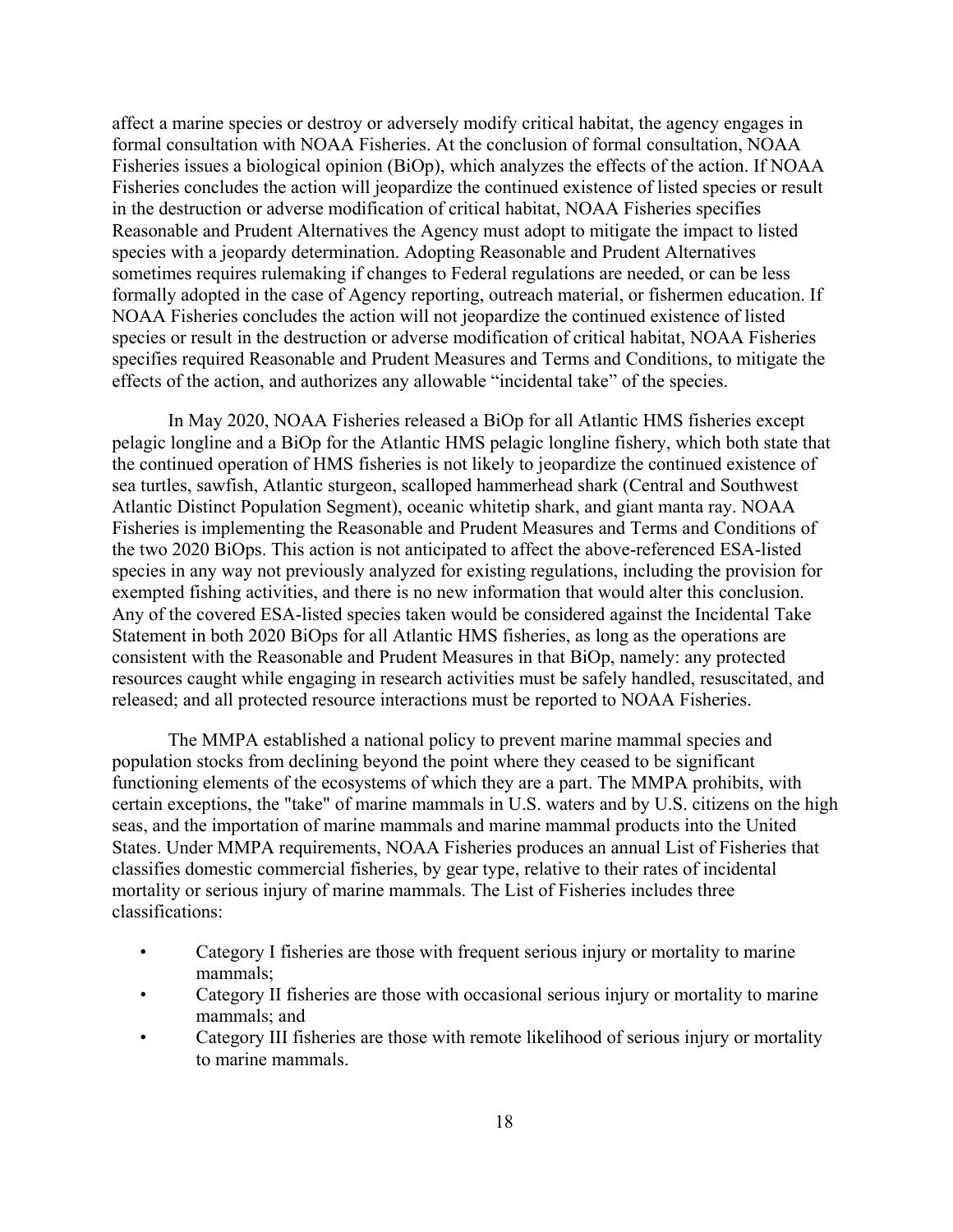affect a marine species or destroy or adversely modify critical habitat, the agency engages in formal consultation with NOAA Fisheries. At the conclusion of formal consultation, NOAA Fisheries issues a biological opinion (BiOp), which analyzes the effects of the action. If NOAA Fisheries concludes the action will jeopardize the continued existence of listed species or result in the destruction or adverse modification of critical habitat, NOAA Fisheries specifies Reasonable and Prudent Alternatives the Agency must adopt to mitigate the impact to listed species with a jeopardy determination. Adopting Reasonable and Prudent Alternatives sometimes requires rulemaking if changes to Federal regulations are needed, or can be less formally adopted in the case of Agency reporting, outreach material, or fishermen education. If NOAA Fisheries concludes the action will not jeopardize the continued existence of listed species or result in the destruction or adverse modification of critical habitat, NOAA Fisheries specifies required Reasonable and Prudent Measures and Terms and Conditions, to mitigate the effects of the action, and authorizes any allowable "incidental take" of the species.

In May 2020, NOAA Fisheries released a BiOp for all Atlantic HMS fisheries except pelagic longline and a BiOp for the Atlantic HMS pelagic longline fishery, which both state that the continued operation of HMS fisheries is not likely to jeopardize the continued existence of sea turtles, sawfish, Atlantic sturgeon, scalloped hammerhead shark (Central and Southwest Atlantic Distinct Population Segment), oceanic whitetip shark, and giant manta ray. NOAA Fisheries is implementing the Reasonable and Prudent Measures and Terms and Conditions of the two 2020 BiOps. This action is not anticipated to affect the above-referenced ESA-listed species in any way not previously analyzed for existing regulations, including the provision for exempted fishing activities, and there is no new information that would alter this conclusion. Any of the covered ESA-listed species taken would be considered against the Incidental Take Statement in both 2020 BiOps for all Atlantic HMS fisheries, as long as the operations are consistent with the Reasonable and Prudent Measures in that BiOp, namely: any protected resources caught while engaging in research activities must be safely handled, resuscitated, and released; and all protected resource interactions must be reported to NOAA Fisheries.

The MMPA established a national policy to prevent marine mammal species and population stocks from declining beyond the point where they ceased to be significant functioning elements of the ecosystems of which they are a part. The MMPA prohibits, with certain exceptions, the "take" of marine mammals in U.S. waters and by U.S. citizens on the high seas, and the importation of marine mammals and marine mammal products into the United States. Under MMPA requirements, NOAA Fisheries produces an annual List of Fisheries that classifies domestic commercial fisheries, by gear type, relative to their rates of incidental mortality or serious injury of marine mammals. The List of Fisheries includes three classifications:

- Category I fisheries are those with frequent serious injury or mortality to marine mammals;
- Category II fisheries are those with occasional serious injury or mortality to marine mammals; and
- Category III fisheries are those with remote likelihood of serious injury or mortality to marine mammals.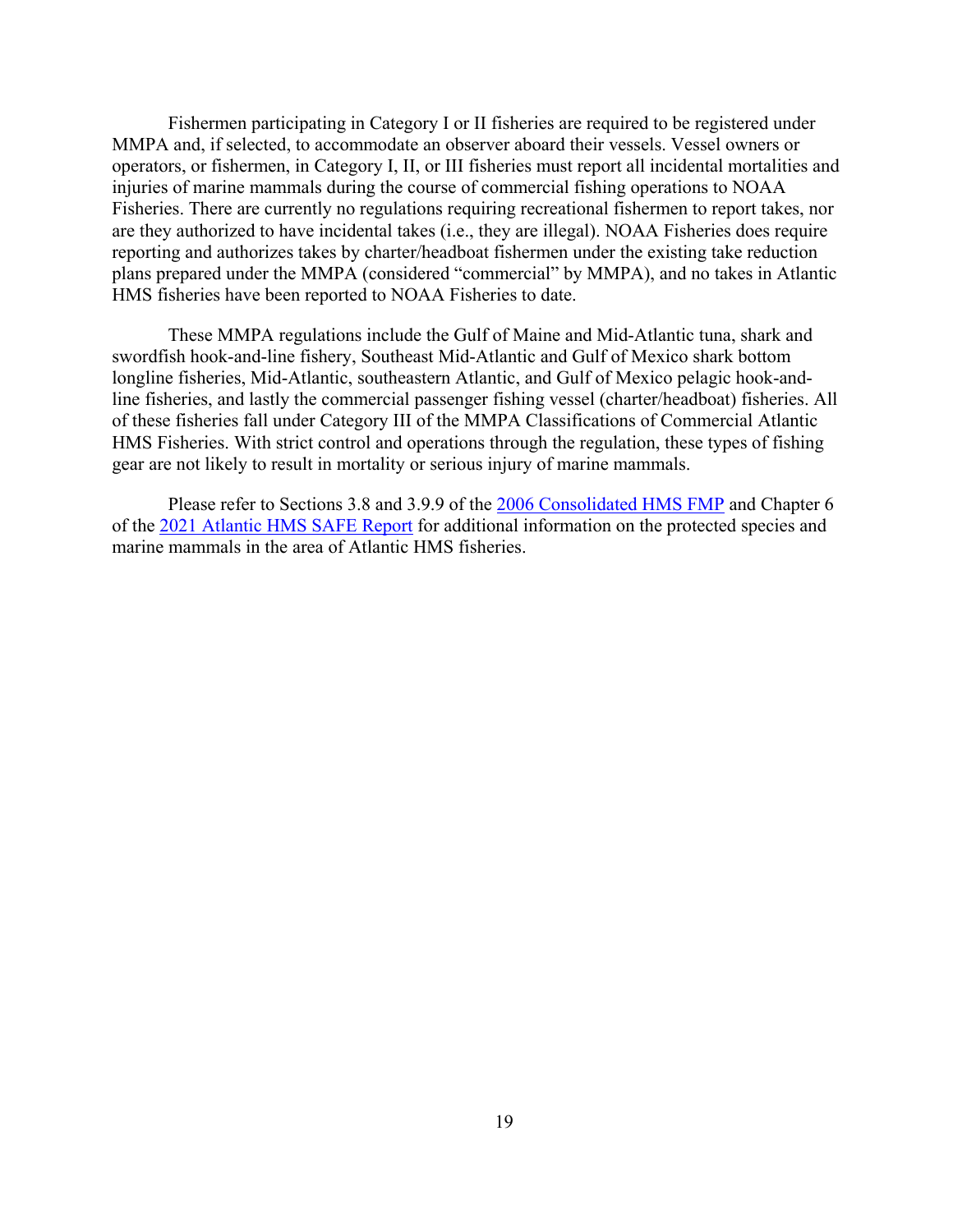Fishermen participating in Category I or II fisheries are required to be registered under MMPA and, if selected, to accommodate an observer aboard their vessels. Vessel owners or operators, or fishermen, in Category I, II, or III fisheries must report all incidental mortalities and injuries of marine mammals during the course of commercial fishing operations to NOAA Fisheries. There are currently no regulations requiring recreational fishermen to report takes, nor are they authorized to have incidental takes (i.e., they are illegal). NOAA Fisheries does require reporting and authorizes takes by charter/headboat fishermen under the existing take reduction plans prepared under the MMPA (considered "commercial" by MMPA), and no takes in Atlantic HMS fisheries have been reported to NOAA Fisheries to date.

These MMPA regulations include the Gulf of Maine and Mid-Atlantic tuna, shark and swordfish hook-and-line fishery, Southeast Mid-Atlantic and Gulf of Mexico shark bottom longline fisheries, Mid-Atlantic, southeastern Atlantic, and Gulf of Mexico pelagic hook-andline fisheries, and lastly the commercial passenger fishing vessel (charter/headboat) fisheries. All of these fisheries fall under Category III of the MMPA Classifications of Commercial Atlantic HMS Fisheries. With strict control and operations through the regulation, these types of fishing gear are not likely to result in mortality or serious injury of marine mammals.

Please refer to Sections 3.8 and 3.9.9 of the [2006 Consolidated HMS FMP](https://www.fisheries.noaa.gov/management-plan/consolidated-atlantic-highly-migratory-species-management-plan) and Chapter 6 of the [2021 Atlantic HMS SAFE Report](https://www.fisheries.noaa.gov/atlantic-highly-migratory-species/atlantic-highly-migratory-species-stock-assessment-and-fisheries-evaluation-reports) for additional information on the protected species and marine mammals in the area of Atlantic HMS fisheries.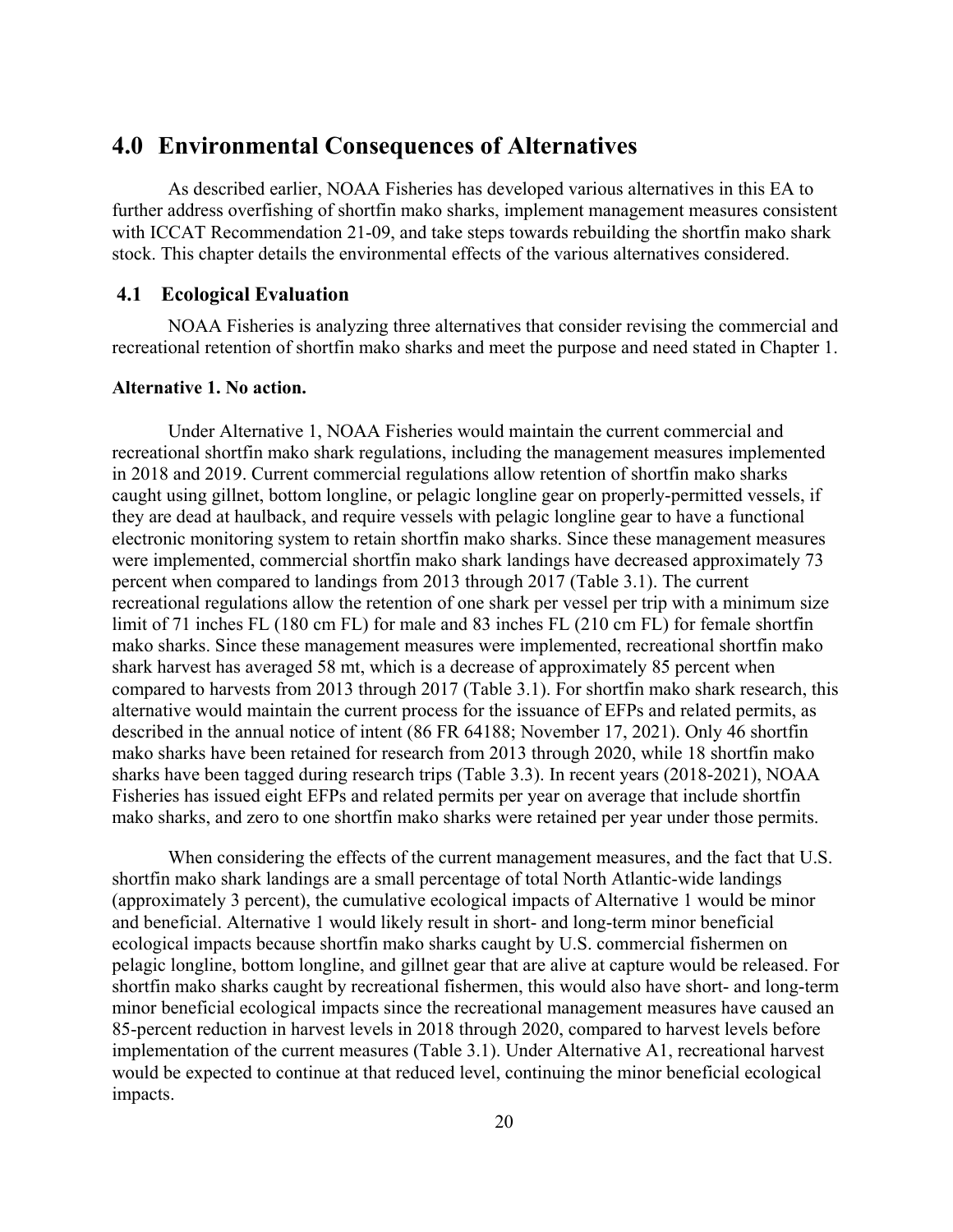# <span id="page-25-0"></span>**4.0 Environmental Consequences of Alternatives**

As described earlier, NOAA Fisheries has developed various alternatives in this EA to further address overfishing of shortfin mako sharks, implement management measures consistent with ICCAT Recommendation 21-09, and take steps towards rebuilding the shortfin mako shark stock. This chapter details the environmental effects of the various alternatives considered.

### <span id="page-25-1"></span>**4.1 Ecological Evaluation**

NOAA Fisheries is analyzing three alternatives that consider revising the commercial and recreational retention of shortfin mako sharks and meet the purpose and need stated in Chapter 1.

## **Alternative 1. No action.**

Under Alternative 1, NOAA Fisheries would maintain the current commercial and recreational shortfin mako shark regulations, including the management measures implemented in 2018 and 2019. Current commercial regulations allow retention of shortfin mako sharks caught using gillnet, bottom longline, or pelagic longline gear on properly-permitted vessels, if they are dead at haulback, and require vessels with pelagic longline gear to have a functional electronic monitoring system to retain shortfin mako sharks. Since these management measures were implemented, commercial shortfin mako shark landings have decreased approximately 73 percent when compared to landings from 2013 through 2017 (Table 3.1). The current recreational regulations allow the retention of one shark per vessel per trip with a minimum size limit of 71 inches FL (180 cm FL) for male and 83 inches FL (210 cm FL) for female shortfin mako sharks. Since these management measures were implemented, recreational shortfin mako shark harvest has averaged 58 mt, which is a decrease of approximately 85 percent when compared to harvests from 2013 through 2017 (Table 3.1). For shortfin mako shark research, this alternative would maintain the current process for the issuance of EFPs and related permits, as described in the annual notice of intent (86 FR 64188; November 17, 2021). Only 46 shortfin mako sharks have been retained for research from 2013 through 2020, while 18 shortfin mako sharks have been tagged during research trips (Table 3.3). In recent years (2018-2021), NOAA Fisheries has issued eight EFPs and related permits per year on average that include shortfin mako sharks, and zero to one shortfin mako sharks were retained per year under those permits.

When considering the effects of the current management measures, and the fact that U.S. shortfin mako shark landings are a small percentage of total North Atlantic-wide landings (approximately 3 percent), the cumulative ecological impacts of Alternative 1 would be minor and beneficial. Alternative 1 would likely result in short- and long-term minor beneficial ecological impacts because shortfin mako sharks caught by U.S. commercial fishermen on pelagic longline, bottom longline, and gillnet gear that are alive at capture would be released. For shortfin mako sharks caught by recreational fishermen, this would also have short- and long-term minor beneficial ecological impacts since the recreational management measures have caused an 85-percent reduction in harvest levels in 2018 through 2020, compared to harvest levels before implementation of the current measures (Table 3.1). Under Alternative A1, recreational harvest would be expected to continue at that reduced level, continuing the minor beneficial ecological impacts.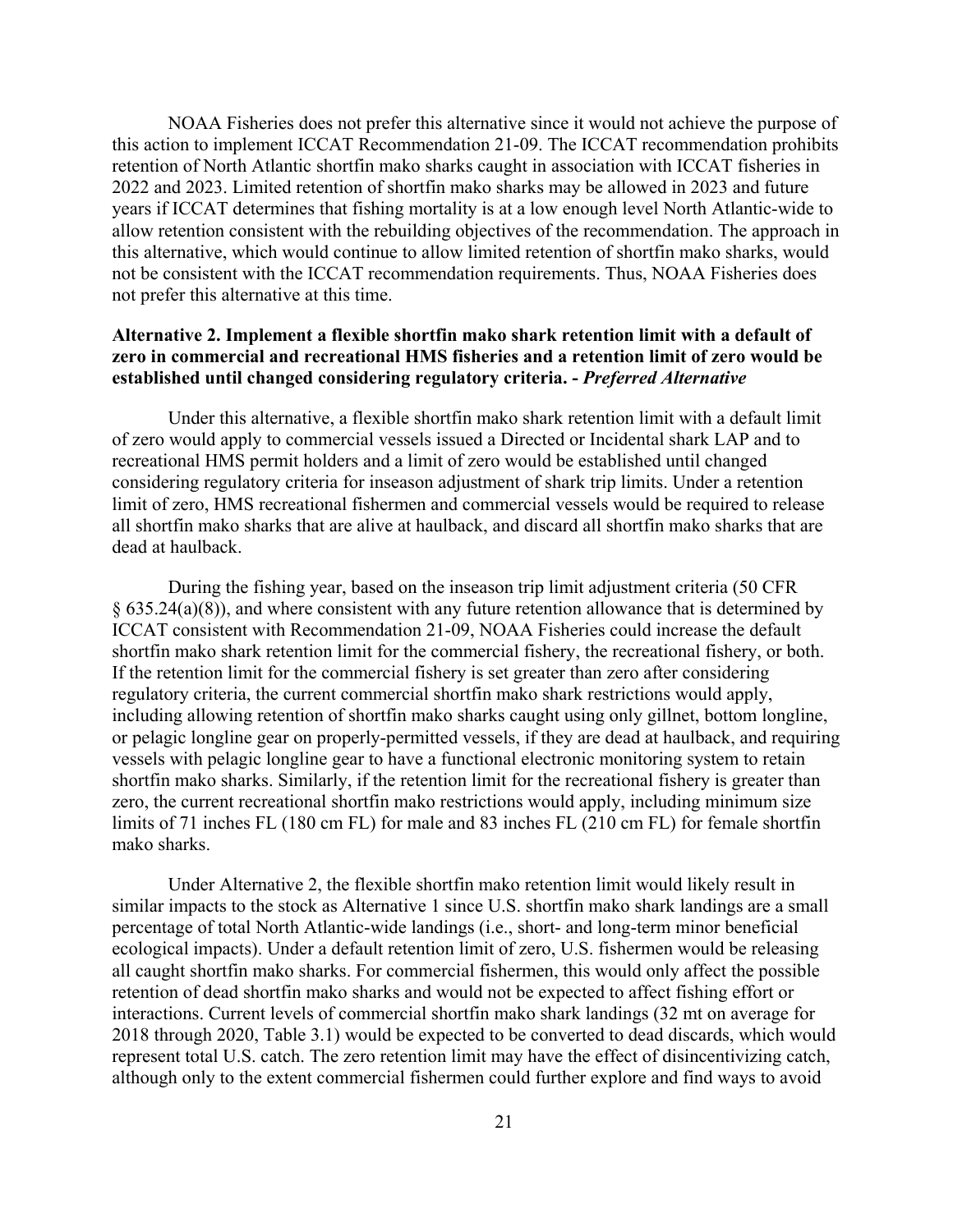NOAA Fisheries does not prefer this alternative since it would not achieve the purpose of this action to implement ICCAT Recommendation 21-09. The ICCAT recommendation prohibits retention of North Atlantic shortfin mako sharks caught in association with ICCAT fisheries in 2022 and 2023. Limited retention of shortfin mako sharks may be allowed in 2023 and future years if ICCAT determines that fishing mortality is at a low enough level North Atlantic-wide to allow retention consistent with the rebuilding objectives of the recommendation. The approach in this alternative, which would continue to allow limited retention of shortfin mako sharks, would not be consistent with the ICCAT recommendation requirements. Thus, NOAA Fisheries does not prefer this alternative at this time.

## **Alternative 2. Implement a flexible shortfin mako shark retention limit with a default of zero in commercial and recreational HMS fisheries and a retention limit of zero would be established until changed considering regulatory criteria. -** *Preferred Alternative*

Under this alternative, a flexible shortfin mako shark retention limit with a default limit of zero would apply to commercial vessels issued a Directed or Incidental shark LAP and to recreational HMS permit holders and a limit of zero would be established until changed considering regulatory criteria for inseason adjustment of shark trip limits. Under a retention limit of zero, HMS recreational fishermen and commercial vessels would be required to release all shortfin mako sharks that are alive at haulback, and discard all shortfin mako sharks that are dead at haulback.

During the fishing year, based on the inseason trip limit adjustment criteria (50 CFR § 635.24(a)(8)), and where consistent with any future retention allowance that is determined by ICCAT consistent with Recommendation 21-09, NOAA Fisheries could increase the default shortfin mako shark retention limit for the commercial fishery, the recreational fishery, or both. If the retention limit for the commercial fishery is set greater than zero after considering regulatory criteria, the current commercial shortfin mako shark restrictions would apply, including allowing retention of shortfin mako sharks caught using only gillnet, bottom longline, or pelagic longline gear on properly-permitted vessels, if they are dead at haulback, and requiring vessels with pelagic longline gear to have a functional electronic monitoring system to retain shortfin mako sharks. Similarly, if the retention limit for the recreational fishery is greater than zero, the current recreational shortfin mako restrictions would apply, including minimum size limits of 71 inches FL (180 cm FL) for male and 83 inches FL (210 cm FL) for female shortfin mako sharks.

Under Alternative 2, the flexible shortfin mako retention limit would likely result in similar impacts to the stock as Alternative 1 since U.S. shortfin mako shark landings are a small percentage of total North Atlantic-wide landings (i.e., short- and long-term minor beneficial ecological impacts). Under a default retention limit of zero, U.S. fishermen would be releasing all caught shortfin mako sharks. For commercial fishermen, this would only affect the possible retention of dead shortfin mako sharks and would not be expected to affect fishing effort or interactions. Current levels of commercial shortfin mako shark landings (32 mt on average for 2018 through 2020, Table 3.1) would be expected to be converted to dead discards, which would represent total U.S. catch. The zero retention limit may have the effect of disincentivizing catch, although only to the extent commercial fishermen could further explore and find ways to avoid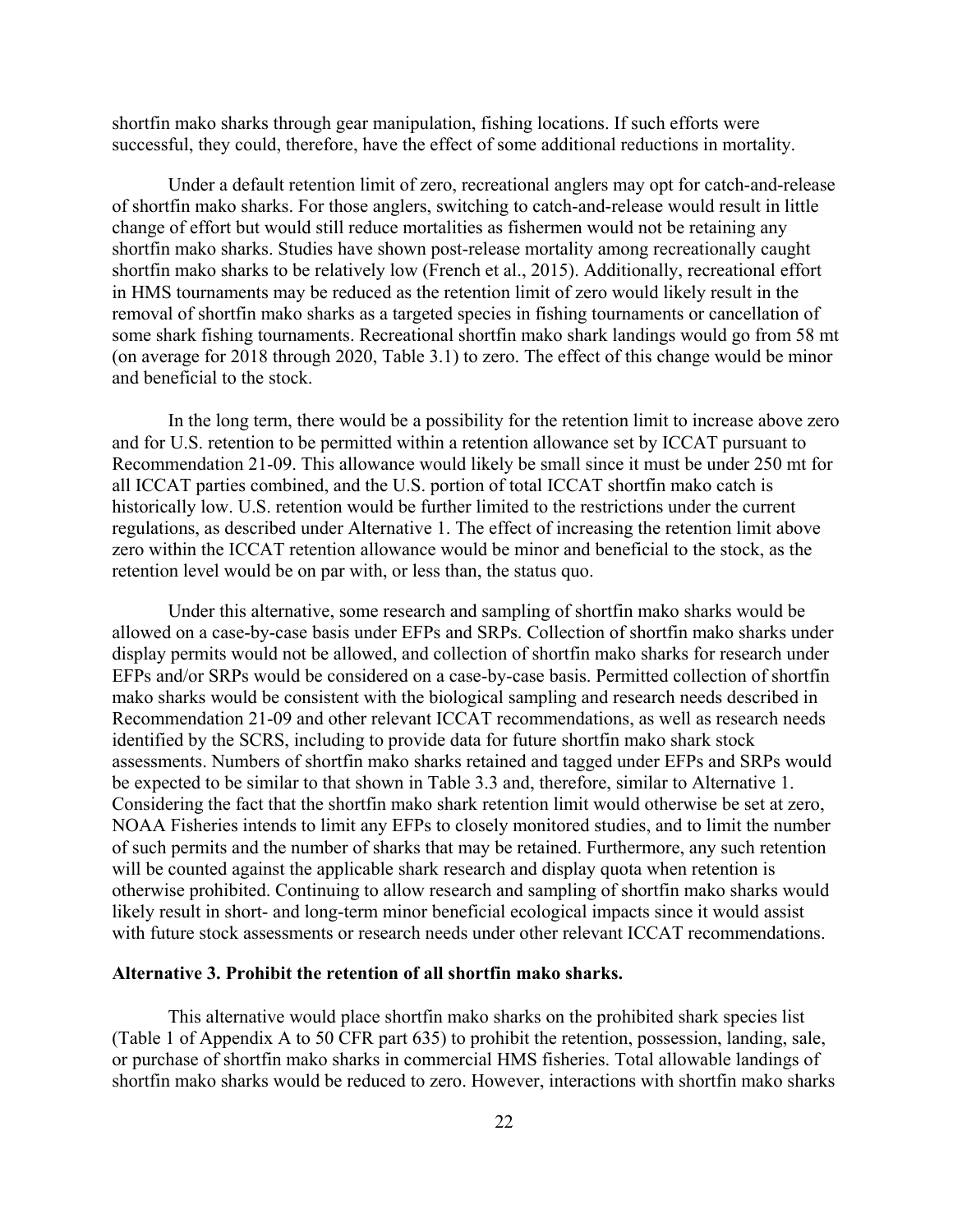shortfin mako sharks through gear manipulation, fishing locations. If such efforts were successful, they could, therefore, have the effect of some additional reductions in mortality.

Under a default retention limit of zero, recreational anglers may opt for catch-and-release of shortfin mako sharks. For those anglers, switching to catch-and-release would result in little change of effort but would still reduce mortalities as fishermen would not be retaining any shortfin mako sharks. Studies have shown post-release mortality among recreationally caught shortfin mako sharks to be relatively low (French et al., 2015). Additionally, recreational effort in HMS tournaments may be reduced as the retention limit of zero would likely result in the removal of shortfin mako sharks as a targeted species in fishing tournaments or cancellation of some shark fishing tournaments. Recreational shortfin mako shark landings would go from 58 mt (on average for 2018 through 2020, Table 3.1) to zero. The effect of this change would be minor and beneficial to the stock.

In the long term, there would be a possibility for the retention limit to increase above zero and for U.S. retention to be permitted within a retention allowance set by ICCAT pursuant to Recommendation 21-09. This allowance would likely be small since it must be under 250 mt for all ICCAT parties combined, and the U.S. portion of total ICCAT shortfin mako catch is historically low. U.S. retention would be further limited to the restrictions under the current regulations, as described under Alternative 1. The effect of increasing the retention limit above zero within the ICCAT retention allowance would be minor and beneficial to the stock, as the retention level would be on par with, or less than, the status quo.

Under this alternative, some research and sampling of shortfin mako sharks would be allowed on a case-by-case basis under EFPs and SRPs. Collection of shortfin mako sharks under display permits would not be allowed, and collection of shortfin mako sharks for research under EFPs and/or SRPs would be considered on a case-by-case basis. Permitted collection of shortfin mako sharks would be consistent with the biological sampling and research needs described in Recommendation 21-09 and other relevant ICCAT recommendations, as well as research needs identified by the SCRS, including to provide data for future shortfin mako shark stock assessments. Numbers of shortfin mako sharks retained and tagged under EFPs and SRPs would be expected to be similar to that shown in Table 3.3 and, therefore, similar to Alternative 1. Considering the fact that the shortfin mako shark retention limit would otherwise be set at zero, NOAA Fisheries intends to limit any EFPs to closely monitored studies, and to limit the number of such permits and the number of sharks that may be retained. Furthermore, any such retention will be counted against the applicable shark research and display quota when retention is otherwise prohibited. Continuing to allow research and sampling of shortfin mako sharks would likely result in short- and long-term minor beneficial ecological impacts since it would assist with future stock assessments or research needs under other relevant ICCAT recommendations.

#### **Alternative 3. Prohibit the retention of all shortfin mako sharks.**

This alternative would place shortfin mako sharks on the prohibited shark species list (Table 1 of Appendix A to 50 CFR part 635) to prohibit the retention, possession, landing, sale, or purchase of shortfin mako sharks in commercial HMS fisheries. Total allowable landings of shortfin mako sharks would be reduced to zero. However, interactions with shortfin mako sharks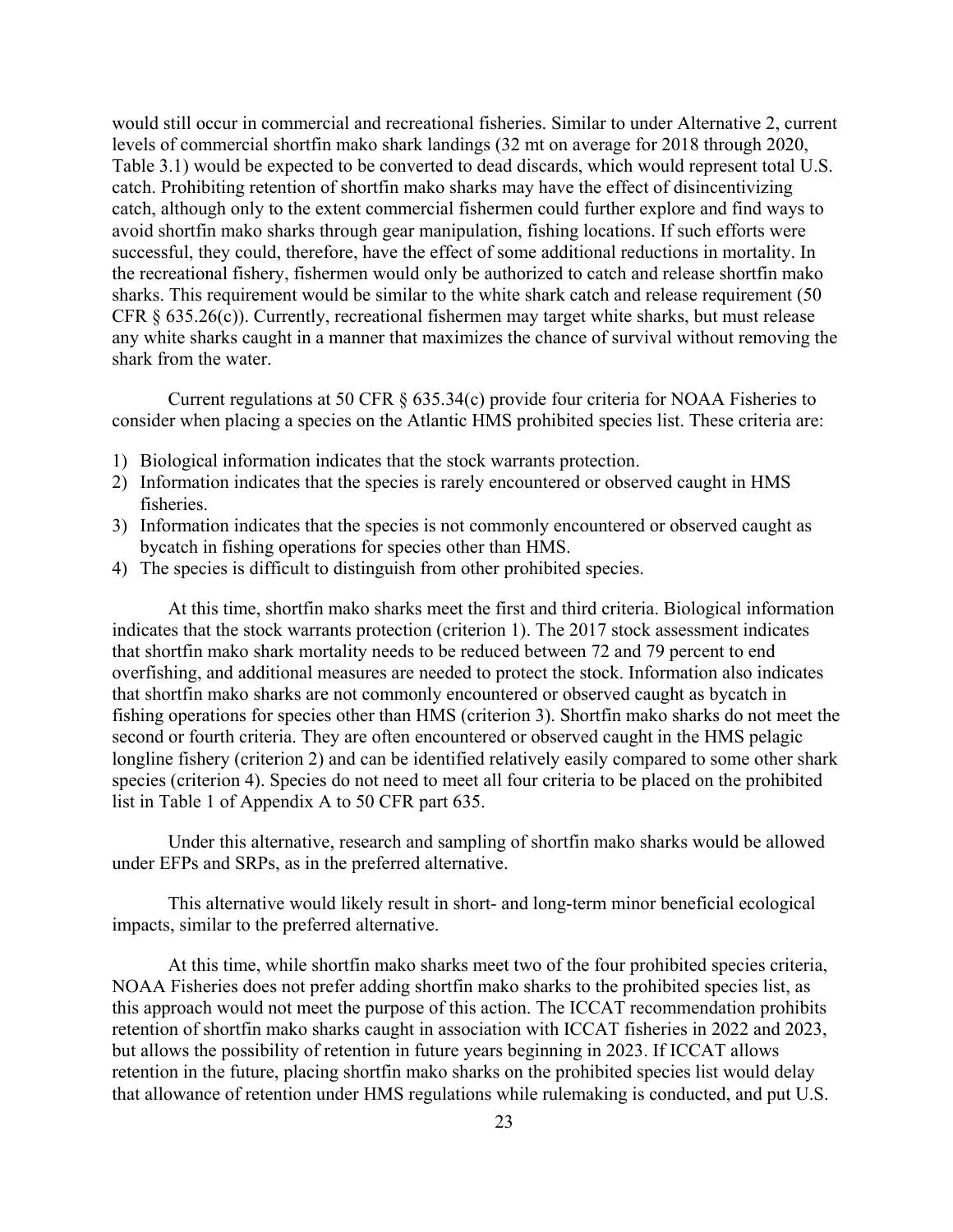would still occur in commercial and recreational fisheries. Similar to under Alternative 2, current levels of commercial shortfin mako shark landings (32 mt on average for 2018 through 2020, Table 3.1) would be expected to be converted to dead discards, which would represent total U.S. catch. Prohibiting retention of shortfin mako sharks may have the effect of disincentivizing catch, although only to the extent commercial fishermen could further explore and find ways to avoid shortfin mako sharks through gear manipulation, fishing locations. If such efforts were successful, they could, therefore, have the effect of some additional reductions in mortality. In the recreational fishery, fishermen would only be authorized to catch and release shortfin mako sharks. This requirement would be similar to the white shark catch and release requirement (50 CFR § 635.26(c)). Currently, recreational fishermen may target white sharks, but must release any white sharks caught in a manner that maximizes the chance of survival without removing the shark from the water.

Current regulations at 50 CFR § 635.34(c) provide four criteria for NOAA Fisheries to consider when placing a species on the Atlantic HMS prohibited species list. These criteria are:

- 1) Biological information indicates that the stock warrants protection.
- 2) Information indicates that the species is rarely encountered or observed caught in HMS fisheries.
- 3) Information indicates that the species is not commonly encountered or observed caught as bycatch in fishing operations for species other than HMS.
- 4) The species is difficult to distinguish from other prohibited species.

At this time, shortfin mako sharks meet the first and third criteria. Biological information indicates that the stock warrants protection (criterion 1). The 2017 stock assessment indicates that shortfin mako shark mortality needs to be reduced between 72 and 79 percent to end overfishing, and additional measures are needed to protect the stock. Information also indicates that shortfin mako sharks are not commonly encountered or observed caught as bycatch in fishing operations for species other than HMS (criterion 3). Shortfin mako sharks do not meet the second or fourth criteria. They are often encountered or observed caught in the HMS pelagic longline fishery (criterion 2) and can be identified relatively easily compared to some other shark species (criterion 4). Species do not need to meet all four criteria to be placed on the prohibited list in Table 1 of Appendix A to 50 CFR part 635.

Under this alternative, research and sampling of shortfin mako sharks would be allowed under EFPs and SRPs, as in the preferred alternative.

This alternative would likely result in short- and long-term minor beneficial ecological impacts, similar to the preferred alternative.

At this time, while shortfin mako sharks meet two of the four prohibited species criteria, NOAA Fisheries does not prefer adding shortfin mako sharks to the prohibited species list, as this approach would not meet the purpose of this action. The ICCAT recommendation prohibits retention of shortfin mako sharks caught in association with ICCAT fisheries in 2022 and 2023, but allows the possibility of retention in future years beginning in 2023. If ICCAT allows retention in the future, placing shortfin mako sharks on the prohibited species list would delay that allowance of retention under HMS regulations while rulemaking is conducted, and put U.S.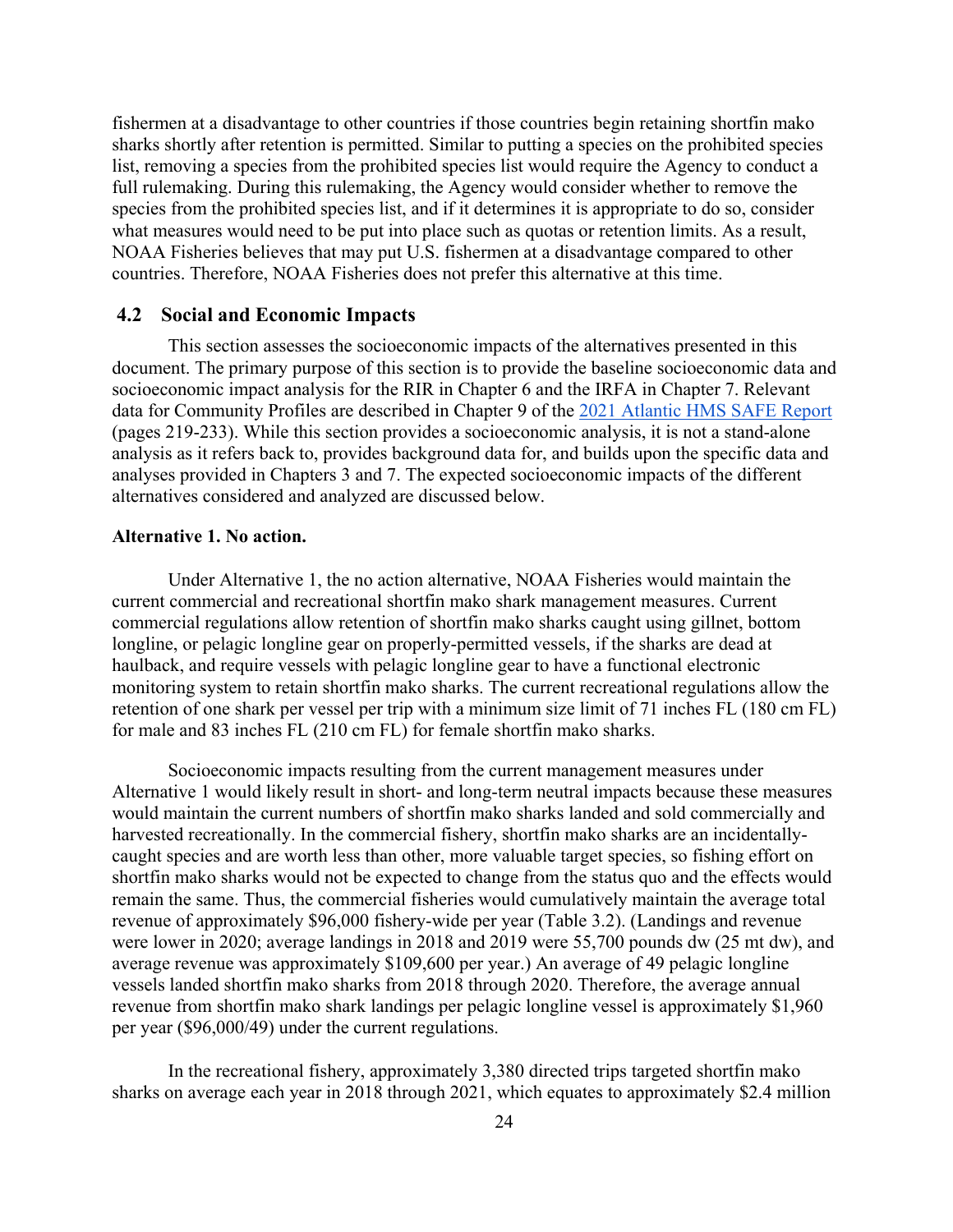fishermen at a disadvantage to other countries if those countries begin retaining shortfin mako sharks shortly after retention is permitted. Similar to putting a species on the prohibited species list, removing a species from the prohibited species list would require the Agency to conduct a full rulemaking. During this rulemaking, the Agency would consider whether to remove the species from the prohibited species list, and if it determines it is appropriate to do so, consider what measures would need to be put into place such as quotas or retention limits. As a result, NOAA Fisheries believes that may put U.S. fishermen at a disadvantage compared to other countries. Therefore, NOAA Fisheries does not prefer this alternative at this time.

#### <span id="page-29-0"></span>**4.2 Social and Economic Impacts**

This section assesses the socioeconomic impacts of the alternatives presented in this document. The primary purpose of this section is to provide the baseline socioeconomic data and socioeconomic impact analysis for the RIR in Chapter 6 and the IRFA in Chapter 7. Relevant data for Community Profiles are described in Chapter 9 of the [2021 Atlantic HMS SAFE Report](https://www.fisheries.noaa.gov/atlantic-highly-migratory-species/atlantic-highly-migratory-species-stock-assessment-and-fisheries-evaluation-reports) (pages 219-233). While this section provides a socioeconomic analysis, it is not a stand-alone analysis as it refers back to, provides background data for, and builds upon the specific data and analyses provided in Chapters 3 and 7. The expected socioeconomic impacts of the different alternatives considered and analyzed are discussed below.

#### **Alternative 1. No action.**

Under Alternative 1, the no action alternative, NOAA Fisheries would maintain the current commercial and recreational shortfin mako shark management measures. Current commercial regulations allow retention of shortfin mako sharks caught using gillnet, bottom longline, or pelagic longline gear on properly-permitted vessels, if the sharks are dead at haulback, and require vessels with pelagic longline gear to have a functional electronic monitoring system to retain shortfin mako sharks. The current recreational regulations allow the retention of one shark per vessel per trip with a minimum size limit of 71 inches FL (180 cm FL) for male and 83 inches FL (210 cm FL) for female shortfin mako sharks.

Socioeconomic impacts resulting from the current management measures under Alternative 1 would likely result in short- and long-term neutral impacts because these measures would maintain the current numbers of shortfin mako sharks landed and sold commercially and harvested recreationally. In the commercial fishery, shortfin mako sharks are an incidentallycaught species and are worth less than other, more valuable target species, so fishing effort on shortfin mako sharks would not be expected to change from the status quo and the effects would remain the same. Thus, the commercial fisheries would cumulatively maintain the average total revenue of approximately \$96,000 fishery-wide per year (Table 3.2). (Landings and revenue were lower in 2020; average landings in 2018 and 2019 were 55,700 pounds dw (25 mt dw), and average revenue was approximately \$109,600 per year.) An average of 49 pelagic longline vessels landed shortfin mako sharks from 2018 through 2020. Therefore, the average annual revenue from shortfin mako shark landings per pelagic longline vessel is approximately \$1,960 per year (\$96,000/49) under the current regulations.

In the recreational fishery, approximately 3,380 directed trips targeted shortfin mako sharks on average each year in 2018 through 2021, which equates to approximately \$2.4 million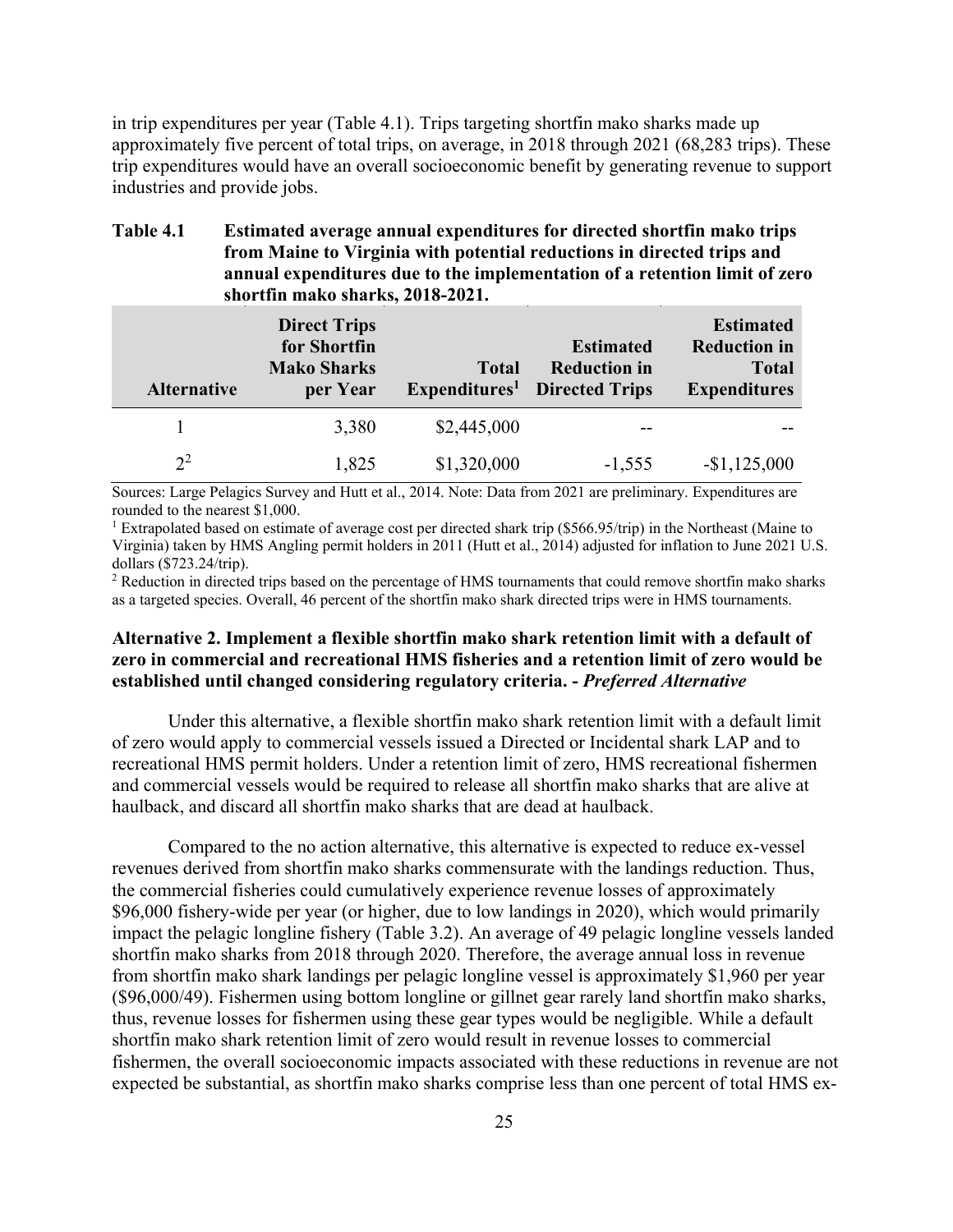in trip expenditures per year (Table 4.1). Trips targeting shortfin mako sharks made up approximately five percent of total trips, on average, in 2018 through 2021 (68,283 trips). These trip expenditures would have an overall socioeconomic benefit by generating revenue to support industries and provide jobs.

| <b>Table 4.1</b> | <b>Estimated average annual expenditures for directed shortfin mako trips</b> |
|------------------|-------------------------------------------------------------------------------|
|                  | from Maine to Virginia with potential reductions in directed trips and        |
|                  | annual expenditures due to the implementation of a retention limit of zero    |
|                  | shortfin mako sharks, 2018-2021.                                              |

| <b>Alternative</b> | <b>Direct Trips</b><br>for Shortfin<br><b>Mako Sharks</b><br>per Year | <b>Total</b> | <b>Estimated</b><br><b>Reduction in</b><br><b>Expenditures</b> <sup>1</sup> Directed Trips | <b>Estimated</b><br><b>Reduction in</b><br><b>Total</b><br><b>Expenditures</b> |
|--------------------|-----------------------------------------------------------------------|--------------|--------------------------------------------------------------------------------------------|--------------------------------------------------------------------------------|
|                    | 3,380                                                                 | \$2,445,000  | --                                                                                         |                                                                                |
| $2^2$              | 1,825                                                                 | \$1,320,000  | $-1,555$                                                                                   | $-$1,125,000$                                                                  |

Sources: Large Pelagics Survey and Hutt et al., 2014. Note: Data from 2021 are preliminary. Expenditures are rounded to the nearest \$1,000.

<sup>1</sup> Extrapolated based on estimate of average cost per directed shark trip (\$566.95/trip) in the Northeast (Maine to Virginia) taken by HMS Angling permit holders in 2011 (Hutt et al., 2014) adjusted for inflation to June 2021 U.S. dollars (\$723.24/trip).

 $2$  Reduction in directed trips based on the percentage of HMS tournaments that could remove shortfin mako sharks as a targeted species. Overall, 46 percent of the shortfin mako shark directed trips were in HMS tournaments.

# **Alternative 2. Implement a flexible shortfin mako shark retention limit with a default of zero in commercial and recreational HMS fisheries and a retention limit of zero would be established until changed considering regulatory criteria. -** *Preferred Alternative*

Under this alternative, a flexible shortfin mako shark retention limit with a default limit of zero would apply to commercial vessels issued a Directed or Incidental shark LAP and to recreational HMS permit holders. Under a retention limit of zero, HMS recreational fishermen and commercial vessels would be required to release all shortfin mako sharks that are alive at haulback, and discard all shortfin mako sharks that are dead at haulback.

Compared to the no action alternative, this alternative is expected to reduce ex-vessel revenues derived from shortfin mako sharks commensurate with the landings reduction. Thus, the commercial fisheries could cumulatively experience revenue losses of approximately \$96,000 fishery-wide per year (or higher, due to low landings in 2020), which would primarily impact the pelagic longline fishery (Table 3.2). An average of 49 pelagic longline vessels landed shortfin mako sharks from 2018 through 2020. Therefore, the average annual loss in revenue from shortfin mako shark landings per pelagic longline vessel is approximately \$1,960 per year (\$96,000/49). Fishermen using bottom longline or gillnet gear rarely land shortfin mako sharks, thus, revenue losses for fishermen using these gear types would be negligible. While a default shortfin mako shark retention limit of zero would result in revenue losses to commercial fishermen, the overall socioeconomic impacts associated with these reductions in revenue are not expected be substantial, as shortfin mako sharks comprise less than one percent of total HMS ex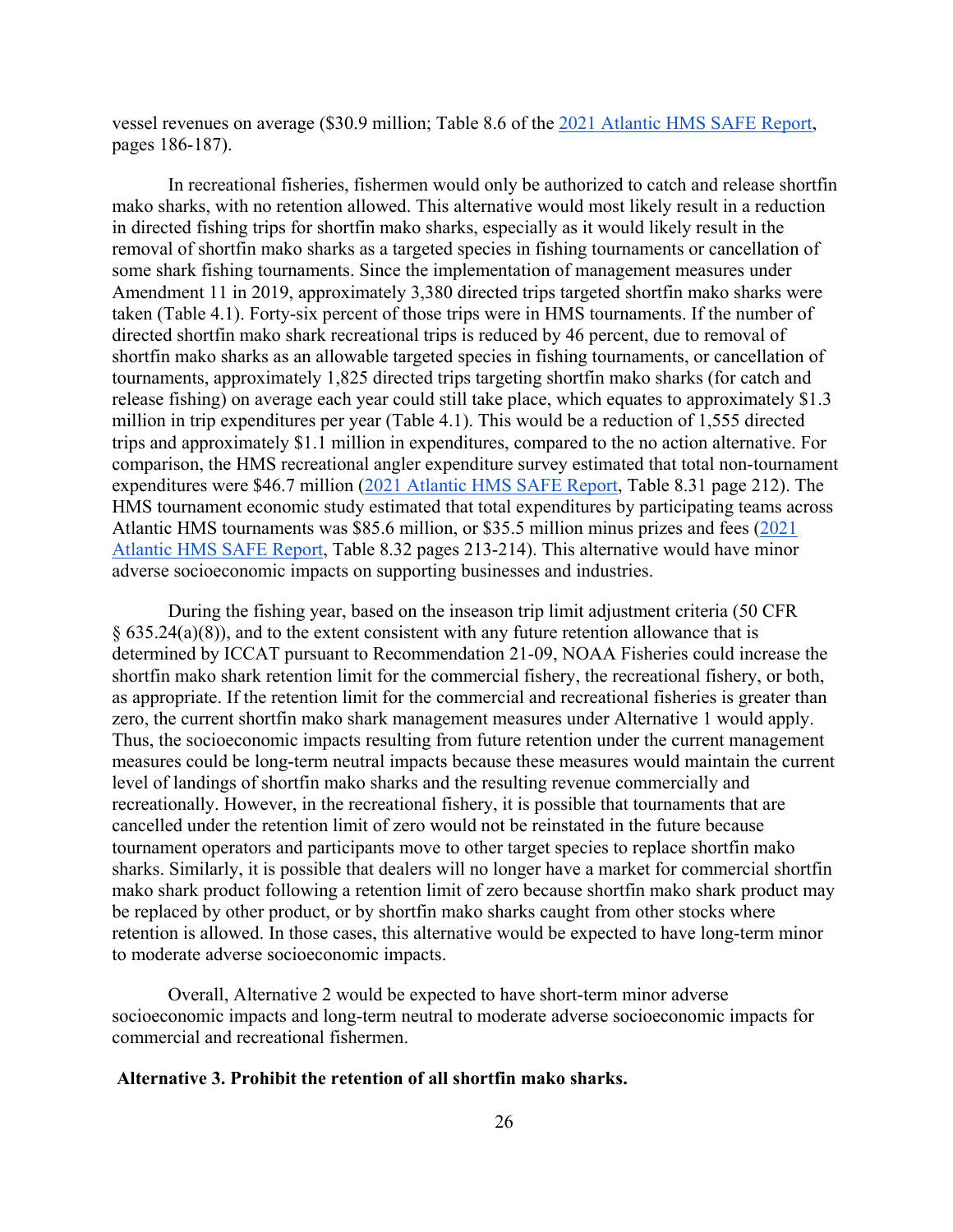vessel revenues on average (\$30.9 million; Table 8.6 of the [2021 Atlantic HMS SAFE Report,](https://www.fisheries.noaa.gov/atlantic-highly-migratory-species/atlantic-highly-migratory-species-stock-assessment-and-fisheries-evaluation-reports) pages 186-187).

In recreational fisheries, fishermen would only be authorized to catch and release shortfin mako sharks, with no retention allowed. This alternative would most likely result in a reduction in directed fishing trips for shortfin mako sharks, especially as it would likely result in the removal of shortfin mako sharks as a targeted species in fishing tournaments or cancellation of some shark fishing tournaments. Since the implementation of management measures under Amendment 11 in 2019, approximately 3,380 directed trips targeted shortfin mako sharks were taken (Table 4.1). Forty-six percent of those trips were in HMS tournaments. If the number of directed shortfin mako shark recreational trips is reduced by 46 percent, due to removal of shortfin mako sharks as an allowable targeted species in fishing tournaments, or cancellation of tournaments, approximately 1,825 directed trips targeting shortfin mako sharks (for catch and release fishing) on average each year could still take place, which equates to approximately \$1.3 million in trip expenditures per year (Table 4.1). This would be a reduction of 1,555 directed trips and approximately \$1.1 million in expenditures, compared to the no action alternative. For comparison, the HMS recreational angler expenditure survey estimated that total non-tournament expenditures were \$46.7 million [\(2021 Atlantic HMS SAFE Report,](https://www.fisheries.noaa.gov/atlantic-highly-migratory-species/atlantic-highly-migratory-species-stock-assessment-and-fisheries-evaluation-reports) Table 8.31 page 212). The HMS tournament economic study estimated that total expenditures by participating teams across Atlantic HMS tournaments was \$85.6 million, or \$35.5 million minus prizes and fees [\(2021](https://www.fisheries.noaa.gov/atlantic-highly-migratory-species/atlantic-highly-migratory-species-stock-assessment-and-fisheries-evaluation-reports)  [Atlantic HMS SAFE Report,](https://www.fisheries.noaa.gov/atlantic-highly-migratory-species/atlantic-highly-migratory-species-stock-assessment-and-fisheries-evaluation-reports) Table 8.32 pages 213-214). This alternative would have minor adverse socioeconomic impacts on supporting businesses and industries.

During the fishing year, based on the inseason trip limit adjustment criteria (50 CFR § 635.24(a)(8)), and to the extent consistent with any future retention allowance that is determined by ICCAT pursuant to Recommendation 21-09, NOAA Fisheries could increase the shortfin mako shark retention limit for the commercial fishery, the recreational fishery, or both, as appropriate. If the retention limit for the commercial and recreational fisheries is greater than zero, the current shortfin mako shark management measures under Alternative 1 would apply. Thus, the socioeconomic impacts resulting from future retention under the current management measures could be long-term neutral impacts because these measures would maintain the current level of landings of shortfin mako sharks and the resulting revenue commercially and recreationally. However, in the recreational fishery, it is possible that tournaments that are cancelled under the retention limit of zero would not be reinstated in the future because tournament operators and participants move to other target species to replace shortfin mako sharks. Similarly, it is possible that dealers will no longer have a market for commercial shortfin mako shark product following a retention limit of zero because shortfin mako shark product may be replaced by other product, or by shortfin mako sharks caught from other stocks where retention is allowed. In those cases, this alternative would be expected to have long-term minor to moderate adverse socioeconomic impacts.

Overall, Alternative 2 would be expected to have short-term minor adverse socioeconomic impacts and long-term neutral to moderate adverse socioeconomic impacts for commercial and recreational fishermen.

## **Alternative 3. Prohibit the retention of all shortfin mako sharks.**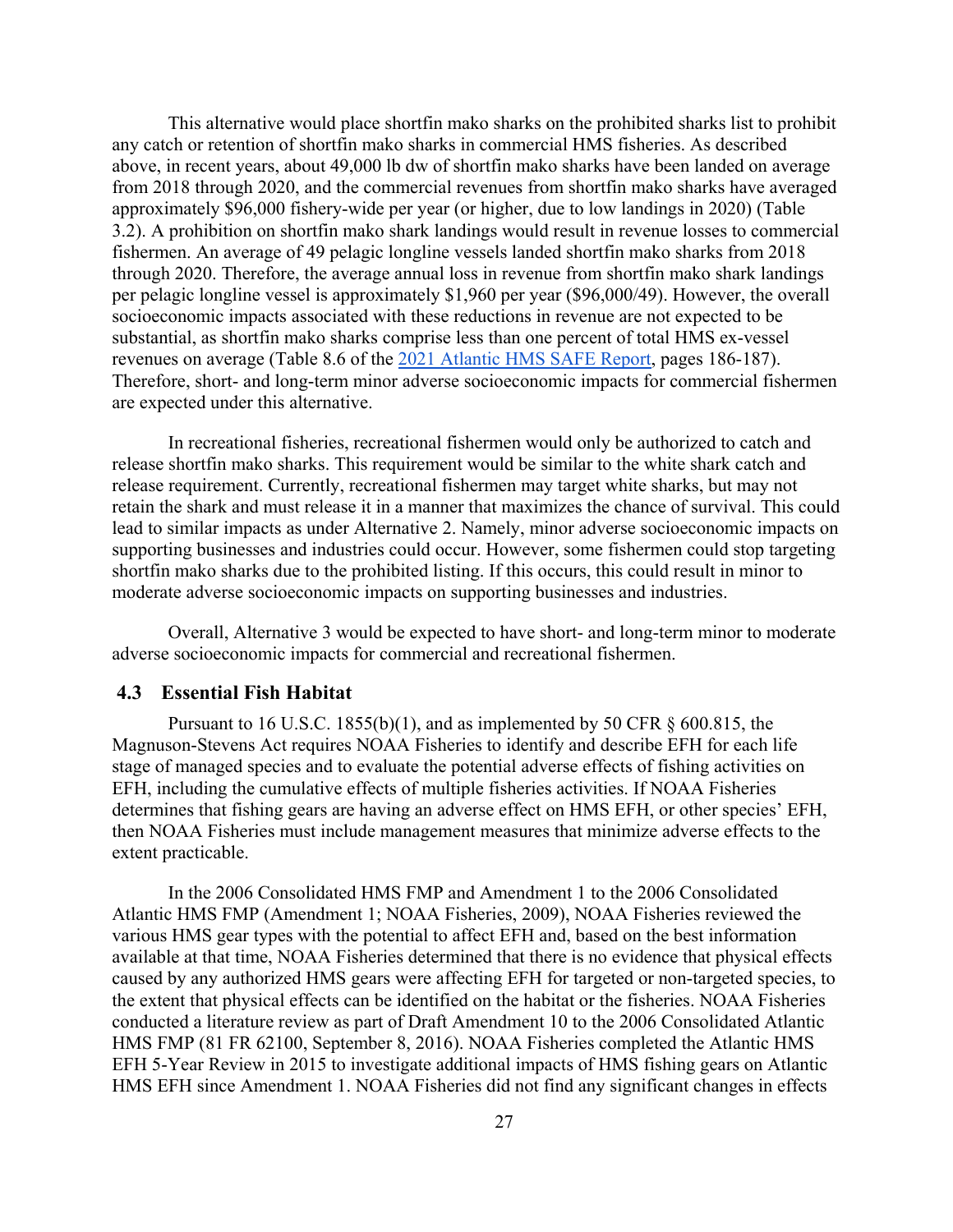This alternative would place shortfin mako sharks on the prohibited sharks list to prohibit any catch or retention of shortfin mako sharks in commercial HMS fisheries. As described above, in recent years, about 49,000 lb dw of shortfin mako sharks have been landed on average from 2018 through 2020, and the commercial revenues from shortfin mako sharks have averaged approximately \$96,000 fishery-wide per year (or higher, due to low landings in 2020) (Table 3.2). A prohibition on shortfin mako shark landings would result in revenue losses to commercial fishermen. An average of 49 pelagic longline vessels landed shortfin mako sharks from 2018 through 2020. Therefore, the average annual loss in revenue from shortfin mako shark landings per pelagic longline vessel is approximately \$1,960 per year (\$96,000/49). However, the overall socioeconomic impacts associated with these reductions in revenue are not expected to be substantial, as shortfin mako sharks comprise less than one percent of total HMS ex-vessel revenues on average (Table 8.6 of the [2021 Atlantic HMS SAFE Report,](https://www.fisheries.noaa.gov/atlantic-highly-migratory-species/atlantic-highly-migratory-species-stock-assessment-and-fisheries-evaluation-reports) pages 186-187). Therefore, short- and long-term minor adverse socioeconomic impacts for commercial fishermen are expected under this alternative.

In recreational fisheries, recreational fishermen would only be authorized to catch and release shortfin mako sharks. This requirement would be similar to the white shark catch and release requirement. Currently, recreational fishermen may target white sharks, but may not retain the shark and must release it in a manner that maximizes the chance of survival. This could lead to similar impacts as under Alternative 2. Namely, minor adverse socioeconomic impacts on supporting businesses and industries could occur. However, some fishermen could stop targeting shortfin mako sharks due to the prohibited listing. If this occurs, this could result in minor to moderate adverse socioeconomic impacts on supporting businesses and industries.

Overall, Alternative 3 would be expected to have short- and long-term minor to moderate adverse socioeconomic impacts for commercial and recreational fishermen.

# <span id="page-32-0"></span>**4.3 Essential Fish Habitat**

Pursuant to 16 U.S.C. 1855(b)(1), and as implemented by 50 CFR  $\S$  600.815, the Magnuson-Stevens Act requires NOAA Fisheries to identify and describe EFH for each life stage of managed species and to evaluate the potential adverse effects of fishing activities on EFH, including the cumulative effects of multiple fisheries activities. If NOAA Fisheries determines that fishing gears are having an adverse effect on HMS EFH, or other species' EFH, then NOAA Fisheries must include management measures that minimize adverse effects to the extent practicable.

In the 2006 Consolidated HMS FMP and Amendment 1 to the 2006 Consolidated Atlantic HMS FMP (Amendment 1; NOAA Fisheries, 2009), NOAA Fisheries reviewed the various HMS gear types with the potential to affect EFH and, based on the best information available at that time, NOAA Fisheries determined that there is no evidence that physical effects caused by any authorized HMS gears were affecting EFH for targeted or non-targeted species, to the extent that physical effects can be identified on the habitat or the fisheries. NOAA Fisheries conducted a literature review as part of Draft Amendment 10 to the 2006 Consolidated Atlantic HMS FMP (81 FR 62100, September 8, 2016). NOAA Fisheries completed the Atlantic HMS EFH 5-Year Review in 2015 to investigate additional impacts of HMS fishing gears on Atlantic HMS EFH since Amendment 1. NOAA Fisheries did not find any significant changes in effects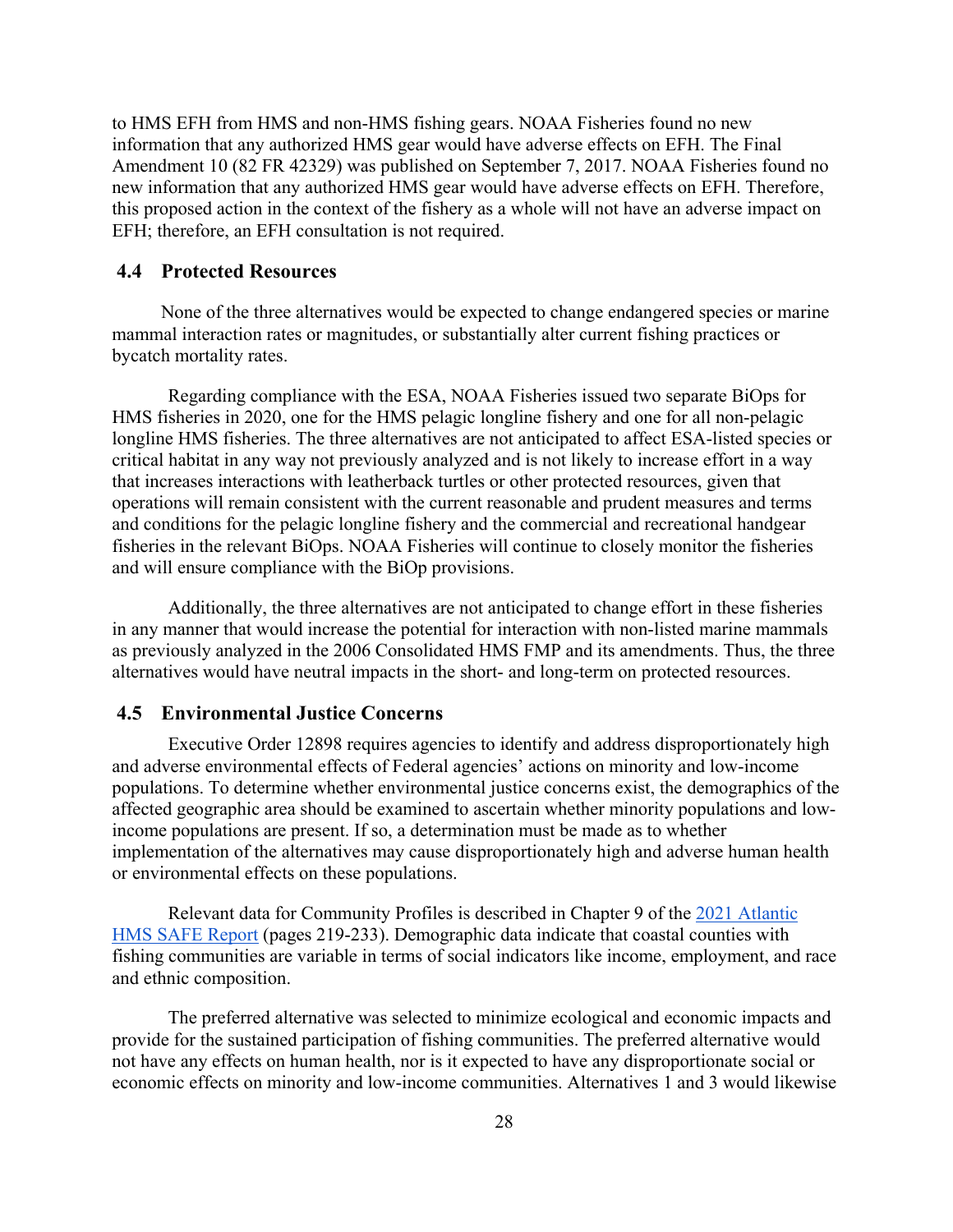to HMS EFH from HMS and non-HMS fishing gears. NOAA Fisheries found no new information that any authorized HMS gear would have adverse effects on EFH. The Final Amendment 10 (82 FR 42329) was published on September 7, 2017. NOAA Fisheries found no new information that any authorized HMS gear would have adverse effects on EFH. Therefore, this proposed action in the context of the fishery as a whole will not have an adverse impact on EFH; therefore, an EFH consultation is not required.

## <span id="page-33-0"></span>**4.4 Protected Resources**

None of the three alternatives would be expected to change endangered species or marine mammal interaction rates or magnitudes, or substantially alter current fishing practices or bycatch mortality rates.

 Regarding compliance with the ESA, NOAA Fisheries issued two separate BiOps for HMS fisheries in 2020, one for the HMS pelagic longline fishery and one for all non-pelagic longline HMS fisheries. The three alternatives are not anticipated to affect ESA-listed species or critical habitat in any way not previously analyzed and is not likely to increase effort in a way that increases interactions with leatherback turtles or other protected resources, given that operations will remain consistent with the current reasonable and prudent measures and terms and conditions for the pelagic longline fishery and the commercial and recreational handgear fisheries in the relevant BiOps. NOAA Fisheries will continue to closely monitor the fisheries and will ensure compliance with the BiOp provisions.

 Additionally, the three alternatives are not anticipated to change effort in these fisheries in any manner that would increase the potential for interaction with non-listed marine mammals as previously analyzed in the 2006 Consolidated HMS FMP and its amendments. Thus, the three alternatives would have neutral impacts in the short- and long-term on protected resources.

# <span id="page-33-1"></span>**4.5 Environmental Justice Concerns**

Executive Order 12898 requires agencies to identify and address disproportionately high and adverse environmental effects of Federal agencies' actions on minority and low-income populations. To determine whether environmental justice concerns exist, the demographics of the affected geographic area should be examined to ascertain whether minority populations and lowincome populations are present. If so, a determination must be made as to whether implementation of the alternatives may cause disproportionately high and adverse human health or environmental effects on these populations.

Relevant data for Community Profiles is described in Chapter 9 of the [2021 Atlantic](https://www.fisheries.noaa.gov/atlantic-highly-migratory-species/atlantic-highly-migratory-species-stock-assessment-and-fisheries-evaluation-reports)  [HMS SAFE Report](https://www.fisheries.noaa.gov/atlantic-highly-migratory-species/atlantic-highly-migratory-species-stock-assessment-and-fisheries-evaluation-reports) (pages 219-233). Demographic data indicate that coastal counties with fishing communities are variable in terms of social indicators like income, employment, and race and ethnic composition.

The preferred alternative was selected to minimize ecological and economic impacts and provide for the sustained participation of fishing communities. The preferred alternative would not have any effects on human health, nor is it expected to have any disproportionate social or economic effects on minority and low-income communities. Alternatives 1 and 3 would likewise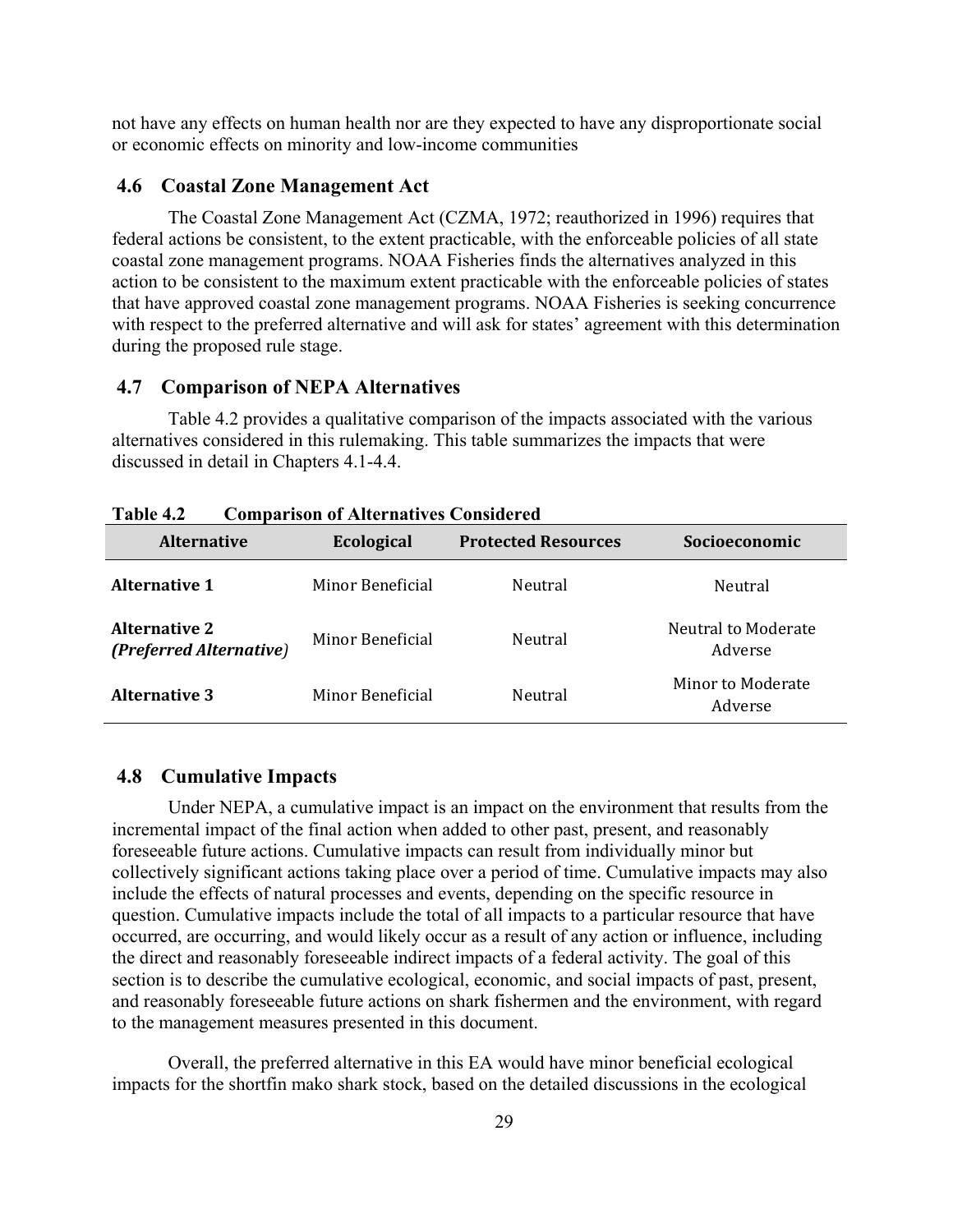not have any effects on human health nor are they expected to have any disproportionate social or economic effects on minority and low-income communities

### <span id="page-34-0"></span>**4.6 Coastal Zone Management Act**

The Coastal Zone Management Act (CZMA, 1972; reauthorized in 1996) requires that federal actions be consistent, to the extent practicable, with the enforceable policies of all state coastal zone management programs. NOAA Fisheries finds the alternatives analyzed in this action to be consistent to the maximum extent practicable with the enforceable policies of states that have approved coastal zone management programs. NOAA Fisheries is seeking concurrence with respect to the preferred alternative and will ask for states' agreement with this determination during the proposed rule stage.

## <span id="page-34-1"></span>**4.7 Comparison of NEPA Alternatives**

Table 4.2 provides a qualitative comparison of the impacts associated with the various alternatives considered in this rulemaking. This table summarizes the impacts that were discussed in detail in Chapters 4.1-4.4.

| Comparison or rired macry to Consider ca        |                   |                            |                                       |  |  |
|-------------------------------------------------|-------------------|----------------------------|---------------------------------------|--|--|
| <b>Alternative</b>                              | <b>Ecological</b> | <b>Protected Resources</b> | Socioeconomic                         |  |  |
| <b>Alternative 1</b>                            | Minor Beneficial  | Neutral                    | Neutral                               |  |  |
| <b>Alternative 2</b><br>(Preferred Alternative) | Minor Beneficial  | Neutral                    | <b>Neutral to Moderate</b><br>Adverse |  |  |
| <b>Alternative 3</b>                            | Minor Beneficial  | Neutral                    | Minor to Moderate<br>Adverse          |  |  |

### <span id="page-34-2"></span>**4.8 Cumulative Impacts**

Under NEPA, a cumulative impact is an impact on the environment that results from the incremental impact of the final action when added to other past, present, and reasonably foreseeable future actions. Cumulative impacts can result from individually minor but collectively significant actions taking place over a period of time. Cumulative impacts may also include the effects of natural processes and events, depending on the specific resource in question. Cumulative impacts include the total of all impacts to a particular resource that have occurred, are occurring, and would likely occur as a result of any action or influence, including the direct and reasonably foreseeable indirect impacts of a federal activity. The goal of this section is to describe the cumulative ecological, economic, and social impacts of past, present, and reasonably foreseeable future actions on shark fishermen and the environment, with regard to the management measures presented in this document.

Overall, the preferred alternative in this EA would have minor beneficial ecological impacts for the shortfin mako shark stock, based on the detailed discussions in the ecological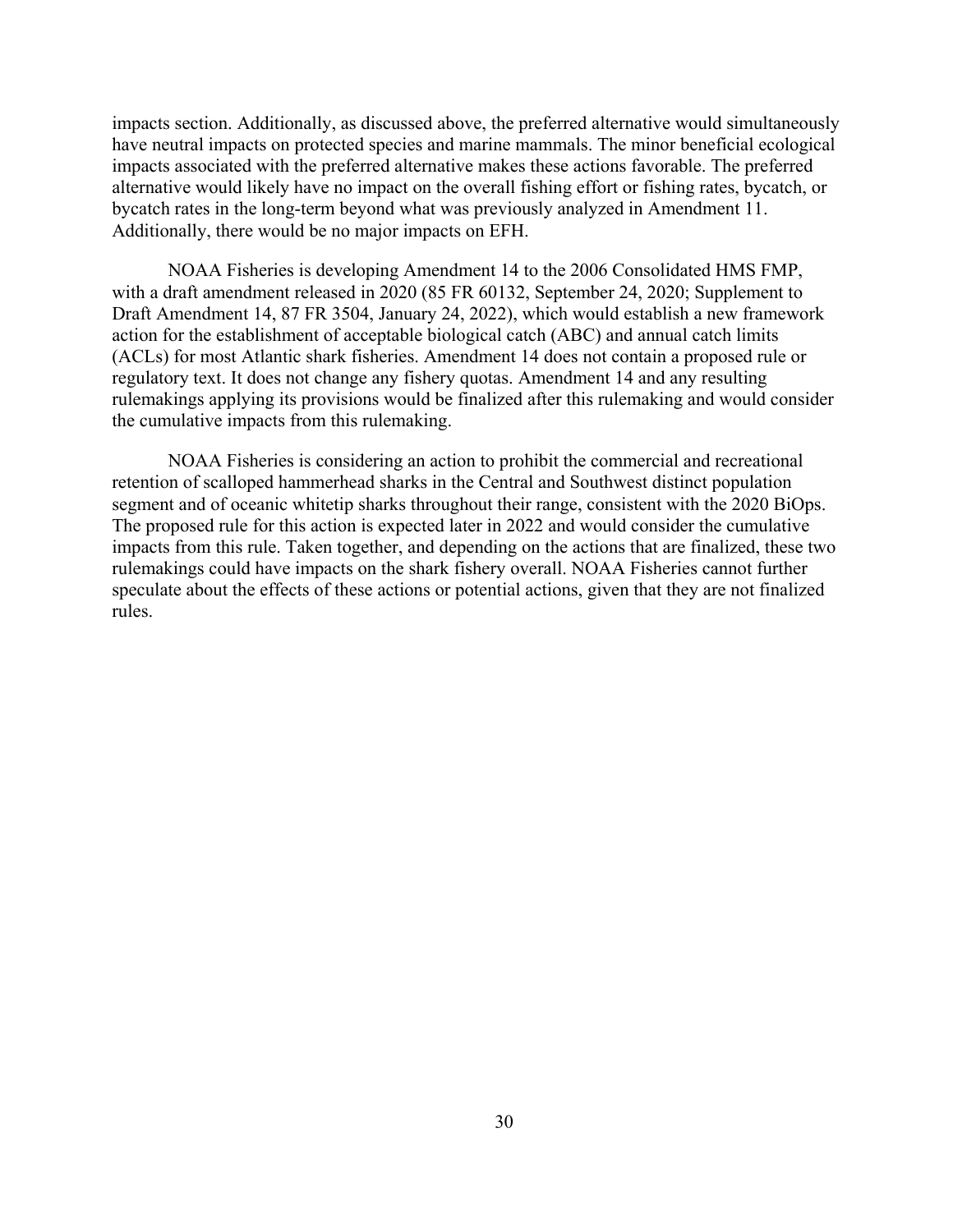impacts section. Additionally, as discussed above, the preferred alternative would simultaneously have neutral impacts on protected species and marine mammals. The minor beneficial ecological impacts associated with the preferred alternative makes these actions favorable. The preferred alternative would likely have no impact on the overall fishing effort or fishing rates, bycatch, or bycatch rates in the long-term beyond what was previously analyzed in Amendment 11. Additionally, there would be no major impacts on EFH.

NOAA Fisheries is developing Amendment 14 to the 2006 Consolidated HMS FMP, with a draft amendment released in 2020 (85 FR 60132, September 24, 2020; Supplement to Draft Amendment 14, 87 FR 3504, January 24, 2022), which would establish a new framework action for the establishment of acceptable biological catch (ABC) and annual catch limits (ACLs) for most Atlantic shark fisheries. Amendment 14 does not contain a proposed rule or regulatory text. It does not change any fishery quotas. Amendment 14 and any resulting rulemakings applying its provisions would be finalized after this rulemaking and would consider the cumulative impacts from this rulemaking.

NOAA Fisheries is considering an action to prohibit the commercial and recreational retention of scalloped hammerhead sharks in the Central and Southwest distinct population segment and of oceanic whitetip sharks throughout their range, consistent with the 2020 BiOps. The proposed rule for this action is expected later in 2022 and would consider the cumulative impacts from this rule. Taken together, and depending on the actions that are finalized, these two rulemakings could have impacts on the shark fishery overall. NOAA Fisheries cannot further speculate about the effects of these actions or potential actions, given that they are not finalized rules.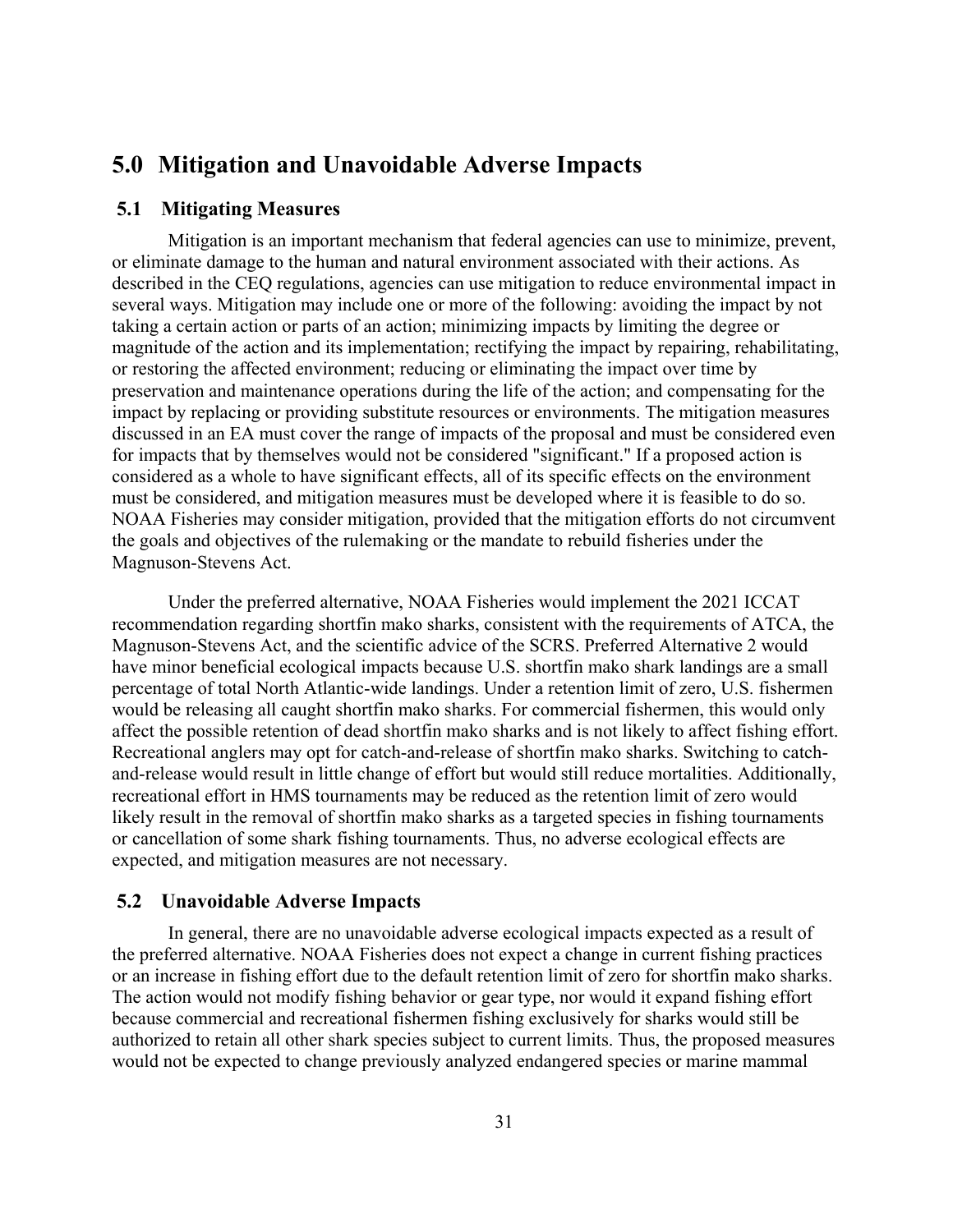# <span id="page-36-0"></span>**5.0 Mitigation and Unavoidable Adverse Impacts**

## <span id="page-36-1"></span>**5.1 Mitigating Measures**

Mitigation is an important mechanism that federal agencies can use to minimize, prevent, or eliminate damage to the human and natural environment associated with their actions. As described in the CEQ regulations, agencies can use mitigation to reduce environmental impact in several ways. Mitigation may include one or more of the following: avoiding the impact by not taking a certain action or parts of an action; minimizing impacts by limiting the degree or magnitude of the action and its implementation; rectifying the impact by repairing, rehabilitating, or restoring the affected environment; reducing or eliminating the impact over time by preservation and maintenance operations during the life of the action; and compensating for the impact by replacing or providing substitute resources or environments. The mitigation measures discussed in an EA must cover the range of impacts of the proposal and must be considered even for impacts that by themselves would not be considered "significant." If a proposed action is considered as a whole to have significant effects, all of its specific effects on the environment must be considered, and mitigation measures must be developed where it is feasible to do so. NOAA Fisheries may consider mitigation, provided that the mitigation efforts do not circumvent the goals and objectives of the rulemaking or the mandate to rebuild fisheries under the Magnuson-Stevens Act.

Under the preferred alternative, NOAA Fisheries would implement the 2021 ICCAT recommendation regarding shortfin mako sharks, consistent with the requirements of ATCA, the Magnuson-Stevens Act, and the scientific advice of the SCRS. Preferred Alternative 2 would have minor beneficial ecological impacts because U.S. shortfin mako shark landings are a small percentage of total North Atlantic-wide landings. Under a retention limit of zero, U.S. fishermen would be releasing all caught shortfin mako sharks. For commercial fishermen, this would only affect the possible retention of dead shortfin mako sharks and is not likely to affect fishing effort. Recreational anglers may opt for catch-and-release of shortfin mako sharks. Switching to catchand-release would result in little change of effort but would still reduce mortalities. Additionally, recreational effort in HMS tournaments may be reduced as the retention limit of zero would likely result in the removal of shortfin mako sharks as a targeted species in fishing tournaments or cancellation of some shark fishing tournaments. Thus, no adverse ecological effects are expected, and mitigation measures are not necessary.

#### <span id="page-36-2"></span>**5.2 Unavoidable Adverse Impacts**

In general, there are no unavoidable adverse ecological impacts expected as a result of the preferred alternative. NOAA Fisheries does not expect a change in current fishing practices or an increase in fishing effort due to the default retention limit of zero for shortfin mako sharks. The action would not modify fishing behavior or gear type, nor would it expand fishing effort because commercial and recreational fishermen fishing exclusively for sharks would still be authorized to retain all other shark species subject to current limits. Thus, the proposed measures would not be expected to change previously analyzed endangered species or marine mammal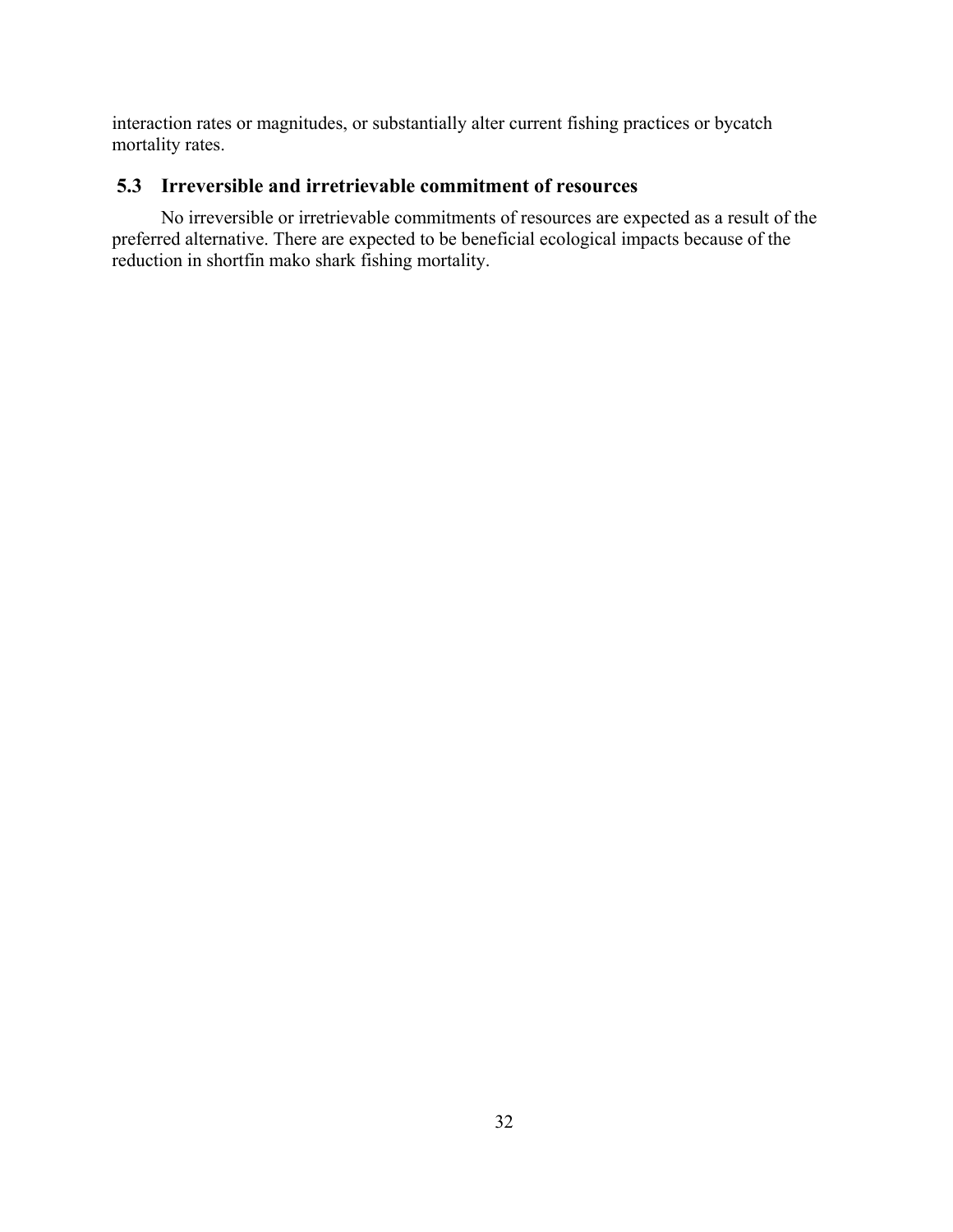interaction rates or magnitudes, or substantially alter current fishing practices or bycatch mortality rates.

# <span id="page-37-0"></span>**5.3 Irreversible and irretrievable commitment of resources**

No irreversible or irretrievable commitments of resources are expected as a result of the preferred alternative. There are expected to be beneficial ecological impacts because of the reduction in shortfin mako shark fishing mortality.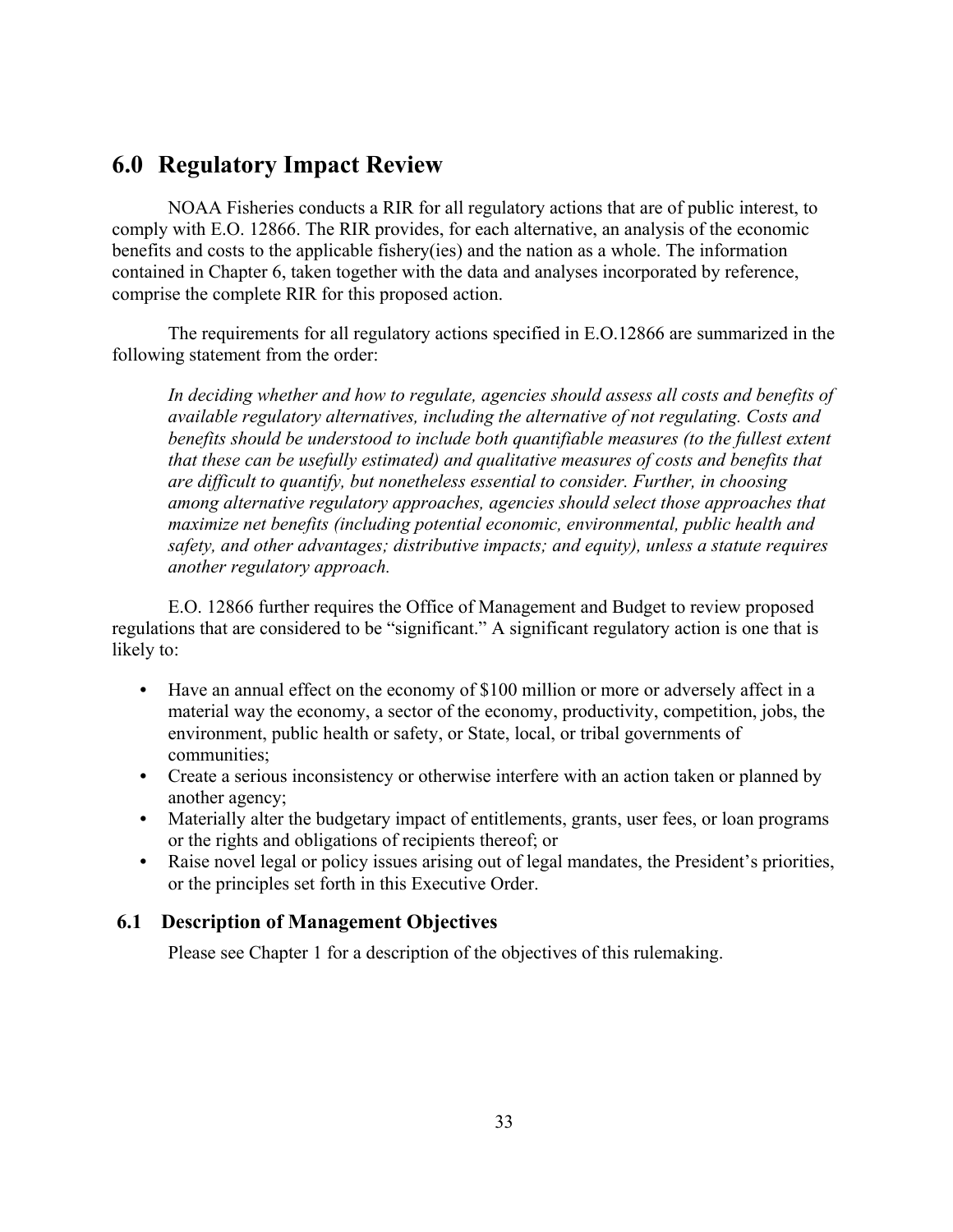# <span id="page-38-0"></span>**6.0 Regulatory Impact Review**

NOAA Fisheries conducts a RIR for all regulatory actions that are of public interest, to comply with E.O. 12866. The RIR provides, for each alternative, an analysis of the economic benefits and costs to the applicable fishery(ies) and the nation as a whole. The information contained in Chapter 6, taken together with the data and analyses incorporated by reference, comprise the complete RIR for this proposed action.

The requirements for all regulatory actions specified in E.O.12866 are summarized in the following statement from the order:

*In deciding whether and how to regulate, agencies should assess all costs and benefits of available regulatory alternatives, including the alternative of not regulating. Costs and*  benefits should be understood to include both quantifiable measures (to the fullest extent *that these can be usefully estimated) and qualitative measures of costs and benefits that are difficult to quantify, but nonetheless essential to consider. Further, in choosing among alternative regulatory approaches, agencies should select those approaches that maximize net benefits (including potential economic, environmental, public health and safety, and other advantages; distributive impacts; and equity), unless a statute requires another regulatory approach.*

E.O. 12866 further requires the Office of Management and Budget to review proposed regulations that are considered to be "significant." A significant regulatory action is one that is likely to:

- **•** Have an annual effect on the economy of \$100 million or more or adversely affect in a material way the economy, a sector of the economy, productivity, competition, jobs, the environment, public health or safety, or State, local, or tribal governments of communities;
- **•** Create a serious inconsistency or otherwise interfere with an action taken or planned by another agency;
- Materially alter the budgetary impact of entitlements, grants, user fees, or loan programs or the rights and obligations of recipients thereof; or
- Raise novel legal or policy issues arising out of legal mandates, the President's priorities, or the principles set forth in this Executive Order.

## <span id="page-38-1"></span>**6.1 Description of Management Objectives**

Please see Chapter 1 for a description of the objectives of this rulemaking.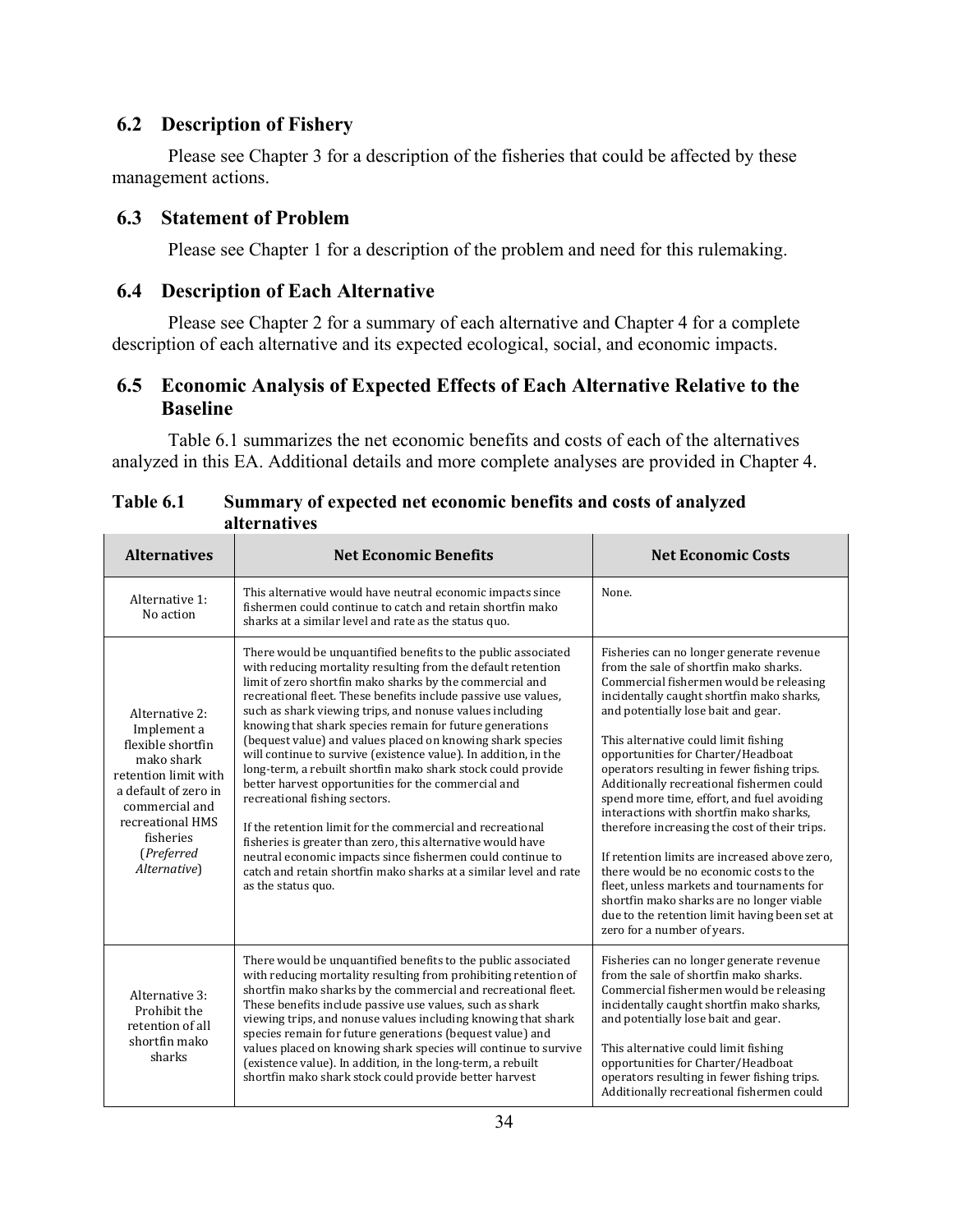# <span id="page-39-0"></span>**6.2 Description of Fishery**

Please see Chapter 3 for a description of the fisheries that could be affected by these management actions.

# <span id="page-39-1"></span>**6.3 Statement of Problem**

Please see Chapter 1 for a description of the problem and need for this rulemaking.

# <span id="page-39-2"></span>**6.4 Description of Each Alternative**

Please see Chapter 2 for a summary of each alternative and Chapter 4 for a complete description of each alternative and its expected ecological, social, and economic impacts.

# <span id="page-39-3"></span>**6.5 Economic Analysis of Expected Effects of Each Alternative Relative to the Baseline**

Table 6.1 summarizes the net economic benefits and costs of each of the alternatives analyzed in this EA. Additional details and more complete analyses are provided in Chapter 4.

| <b>Alternatives</b>                                                                                                                                                                               | <b>Net Economic Benefits</b>                                                                                                                                                                                                                                                                                                                                                                                                                                                                                                                                                                                                                                                                                                                                                                                                                                                                                                                                       | <b>Net Economic Costs</b>                                                                                                                                                                                                                                                                                                                                                                                                                                                                                                                                                                                                                                                                                                                                                                                   |  |
|---------------------------------------------------------------------------------------------------------------------------------------------------------------------------------------------------|--------------------------------------------------------------------------------------------------------------------------------------------------------------------------------------------------------------------------------------------------------------------------------------------------------------------------------------------------------------------------------------------------------------------------------------------------------------------------------------------------------------------------------------------------------------------------------------------------------------------------------------------------------------------------------------------------------------------------------------------------------------------------------------------------------------------------------------------------------------------------------------------------------------------------------------------------------------------|-------------------------------------------------------------------------------------------------------------------------------------------------------------------------------------------------------------------------------------------------------------------------------------------------------------------------------------------------------------------------------------------------------------------------------------------------------------------------------------------------------------------------------------------------------------------------------------------------------------------------------------------------------------------------------------------------------------------------------------------------------------------------------------------------------------|--|
| Alternative 1:<br>No action                                                                                                                                                                       | This alternative would have neutral economic impacts since<br>fishermen could continue to catch and retain shortfin mako<br>sharks at a similar level and rate as the status quo.                                                                                                                                                                                                                                                                                                                                                                                                                                                                                                                                                                                                                                                                                                                                                                                  | None.                                                                                                                                                                                                                                                                                                                                                                                                                                                                                                                                                                                                                                                                                                                                                                                                       |  |
| Alternative 2:<br>Implement a<br>flexible shortfin<br>mako shark<br>retention limit with<br>a default of zero in<br>commercial and<br>recreational HMS<br>fisheries<br>(Preferred<br>Alternative) | There would be unquantified benefits to the public associated<br>with reducing mortality resulting from the default retention<br>limit of zero shortfin mako sharks by the commercial and<br>recreational fleet. These benefits include passive use values,<br>such as shark viewing trips, and nonuse values including<br>knowing that shark species remain for future generations<br>(bequest value) and values placed on knowing shark species<br>will continue to survive (existence value). In addition, in the<br>long-term, a rebuilt shortfin mako shark stock could provide<br>better harvest opportunities for the commercial and<br>recreational fishing sectors.<br>If the retention limit for the commercial and recreational<br>fisheries is greater than zero, this alternative would have<br>neutral economic impacts since fishermen could continue to<br>catch and retain shortfin mako sharks at a similar level and rate<br>as the status quo. | Fisheries can no longer generate revenue<br>from the sale of shortfin mako sharks.<br>Commercial fishermen would be releasing<br>incidentally caught shortfin mako sharks,<br>and potentially lose bait and gear.<br>This alternative could limit fishing<br>opportunities for Charter/Headboat<br>operators resulting in fewer fishing trips.<br>Additionally recreational fishermen could<br>spend more time, effort, and fuel avoiding<br>interactions with shortfin mako sharks,<br>therefore increasing the cost of their trips.<br>If retention limits are increased above zero,<br>there would be no economic costs to the<br>fleet, unless markets and tournaments for<br>shortfin mako sharks are no longer viable<br>due to the retention limit having been set at<br>zero for a number of years. |  |
| Alternative 3:<br>Prohibit the<br>retention of all<br>shortfin mako<br>sharks                                                                                                                     | There would be unquantified benefits to the public associated<br>with reducing mortality resulting from prohibiting retention of<br>shortfin mako sharks by the commercial and recreational fleet.<br>These benefits include passive use values, such as shark<br>viewing trips, and nonuse values including knowing that shark<br>species remain for future generations (bequest value) and<br>values placed on knowing shark species will continue to survive<br>(existence value). In addition, in the long-term, a rebuilt<br>shortfin mako shark stock could provide better harvest                                                                                                                                                                                                                                                                                                                                                                           | Fisheries can no longer generate revenue<br>from the sale of shortfin mako sharks.<br>Commercial fishermen would be releasing<br>incidentally caught shortfin mako sharks,<br>and potentially lose bait and gear.<br>This alternative could limit fishing<br>opportunities for Charter/Headboat<br>operators resulting in fewer fishing trips.<br>Additionally recreational fishermen could                                                                                                                                                                                                                                                                                                                                                                                                                 |  |

## **Table 6.1 Summary of expected net economic benefits and costs of analyzed alternatives**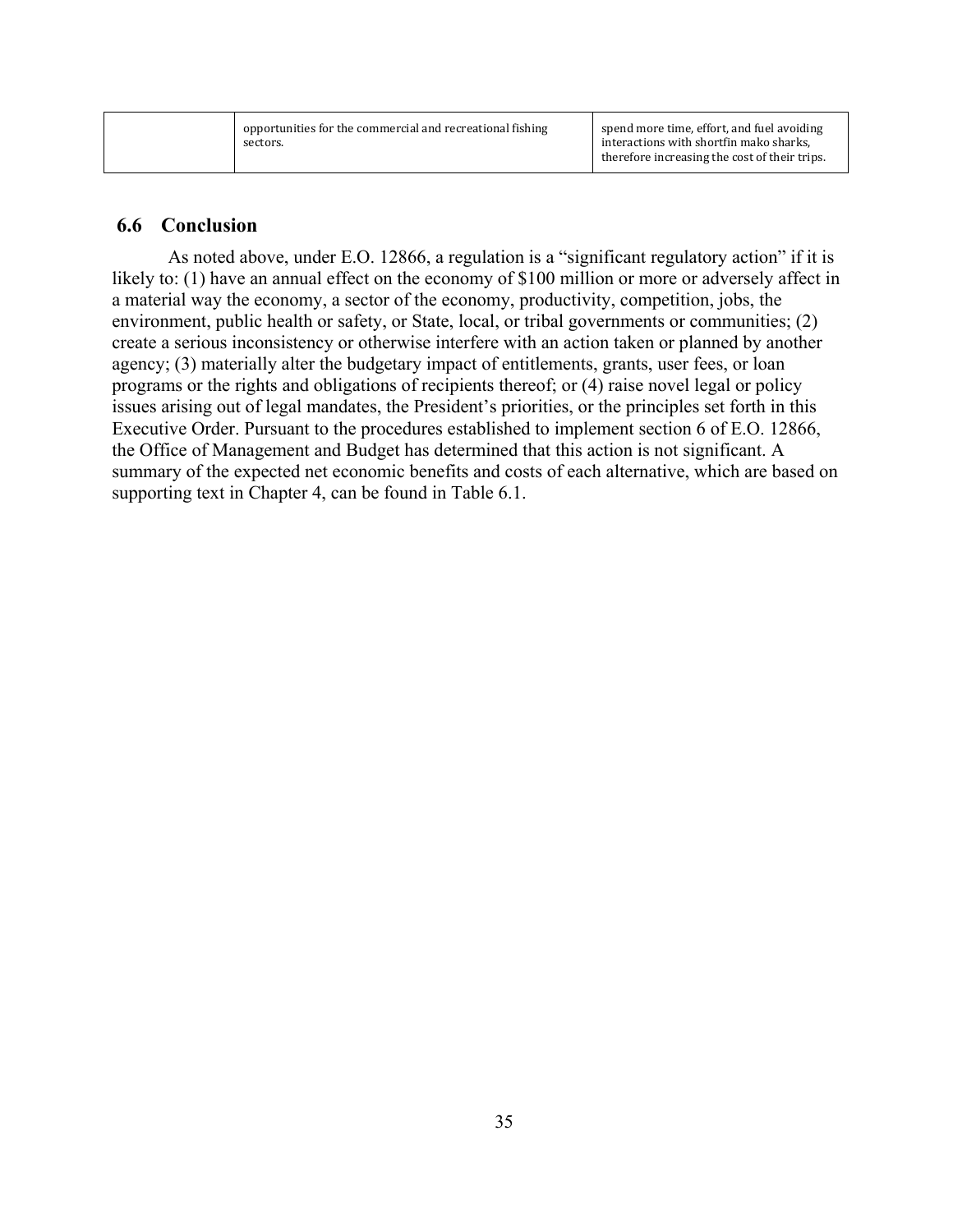| opportunities for the commercial and recreational fishing<br>sectors. | spend more time, effort, and fuel avoiding<br>interactions with shortfin mako sharks,<br>therefore increasing the cost of their trips. |
|-----------------------------------------------------------------------|----------------------------------------------------------------------------------------------------------------------------------------|
|                                                                       |                                                                                                                                        |

## <span id="page-40-0"></span>**6.6 Conclusion**

As noted above, under E.O. 12866, a regulation is a "significant regulatory action" if it is likely to: (1) have an annual effect on the economy of \$100 million or more or adversely affect in a material way the economy, a sector of the economy, productivity, competition, jobs, the environment, public health or safety, or State, local, or tribal governments or communities; (2) create a serious inconsistency or otherwise interfere with an action taken or planned by another agency; (3) materially alter the budgetary impact of entitlements, grants, user fees, or loan programs or the rights and obligations of recipients thereof; or (4) raise novel legal or policy issues arising out of legal mandates, the President's priorities, or the principles set forth in this Executive Order. Pursuant to the procedures established to implement section 6 of E.O. 12866, the Office of Management and Budget has determined that this action is not significant. A summary of the expected net economic benefits and costs of each alternative, which are based on supporting text in Chapter 4, can be found in Table 6.1.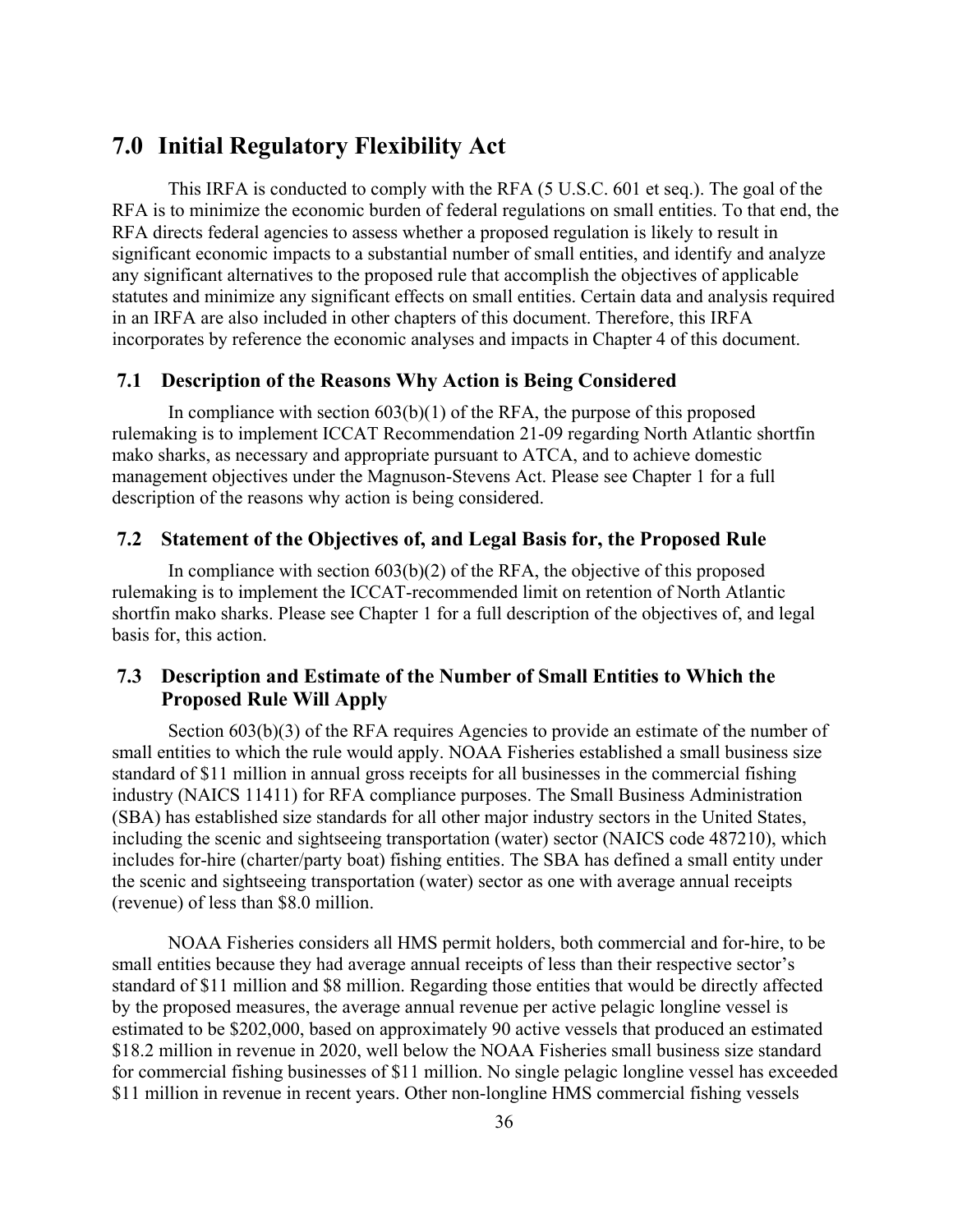# <span id="page-41-0"></span>**7.0 Initial Regulatory Flexibility Act**

This IRFA is conducted to comply with the RFA (5 U.S.C. 601 et seq.). The goal of the RFA is to minimize the economic burden of federal regulations on small entities. To that end, the RFA directs federal agencies to assess whether a proposed regulation is likely to result in significant economic impacts to a substantial number of small entities, and identify and analyze any significant alternatives to the proposed rule that accomplish the objectives of applicable statutes and minimize any significant effects on small entities. Certain data and analysis required in an IRFA are also included in other chapters of this document. Therefore, this IRFA incorporates by reference the economic analyses and impacts in Chapter 4 of this document.

## <span id="page-41-1"></span>**7.1 Description of the Reasons Why Action is Being Considered**

In compliance with section  $603(b)(1)$  of the RFA, the purpose of this proposed rulemaking is to implement ICCAT Recommendation 21-09 regarding North Atlantic shortfin mako sharks, as necessary and appropriate pursuant to ATCA, and to achieve domestic management objectives under the Magnuson-Stevens Act. Please see Chapter 1 for a full description of the reasons why action is being considered.

## <span id="page-41-2"></span>**7.2 Statement of the Objectives of, and Legal Basis for, the Proposed Rule**

In compliance with section  $603(b)(2)$  of the RFA, the objective of this proposed rulemaking is to implement the ICCAT-recommended limit on retention of North Atlantic shortfin mako sharks. Please see Chapter 1 for a full description of the objectives of, and legal basis for, this action.

# <span id="page-41-3"></span>**7.3 Description and Estimate of the Number of Small Entities to Which the Proposed Rule Will Apply**

Section 603(b)(3) of the RFA requires Agencies to provide an estimate of the number of small entities to which the rule would apply. NOAA Fisheries established a small business size standard of \$11 million in annual gross receipts for all businesses in the commercial fishing industry (NAICS 11411) for RFA compliance purposes. The Small Business Administration (SBA) has established size standards for all other major industry sectors in the United States, including the scenic and sightseeing transportation (water) sector (NAICS code 487210), which includes for-hire (charter/party boat) fishing entities. The SBA has defined a small entity under the scenic and sightseeing transportation (water) sector as one with average annual receipts (revenue) of less than \$8.0 million.

NOAA Fisheries considers all HMS permit holders, both commercial and for-hire, to be small entities because they had average annual receipts of less than their respective sector's standard of \$11 million and \$8 million. Regarding those entities that would be directly affected by the proposed measures, the average annual revenue per active pelagic longline vessel is estimated to be \$202,000, based on approximately 90 active vessels that produced an estimated \$18.2 million in revenue in 2020, well below the NOAA Fisheries small business size standard for commercial fishing businesses of \$11 million. No single pelagic longline vessel has exceeded \$11 million in revenue in recent years. Other non-longline HMS commercial fishing vessels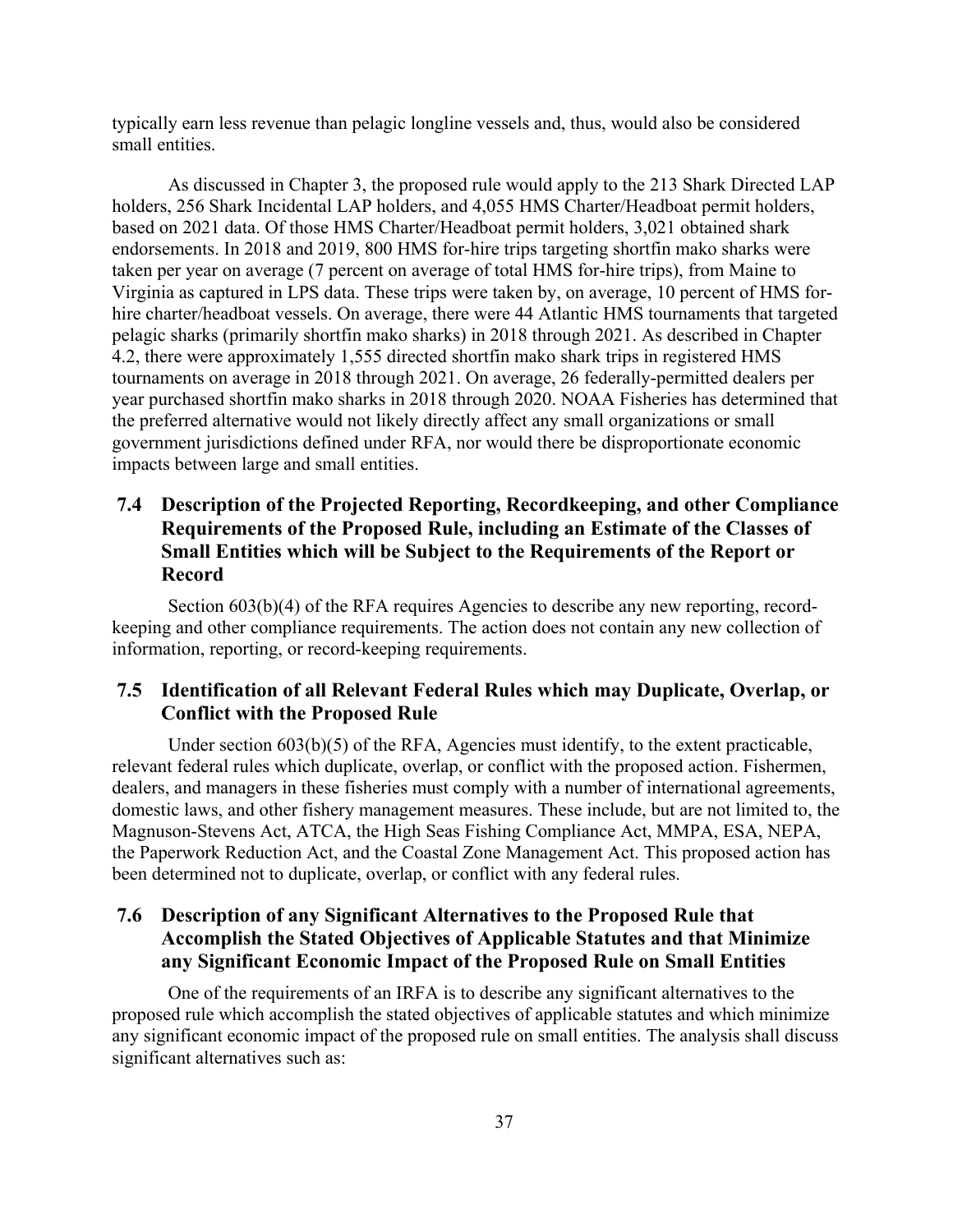typically earn less revenue than pelagic longline vessels and, thus, would also be considered small entities.

As discussed in Chapter 3, the proposed rule would apply to the 213 Shark Directed LAP holders, 256 Shark Incidental LAP holders, and 4,055 HMS Charter/Headboat permit holders, based on 2021 data. Of those HMS Charter/Headboat permit holders, 3,021 obtained shark endorsements. In 2018 and 2019, 800 HMS for-hire trips targeting shortfin mako sharks were taken per year on average (7 percent on average of total HMS for-hire trips), from Maine to Virginia as captured in LPS data. These trips were taken by, on average, 10 percent of HMS forhire charter/headboat vessels. On average, there were 44 Atlantic HMS tournaments that targeted pelagic sharks (primarily shortfin mako sharks) in 2018 through 2021. As described in Chapter 4.2, there were approximately 1,555 directed shortfin mako shark trips in registered HMS tournaments on average in 2018 through 2021. On average, 26 federally-permitted dealers per year purchased shortfin mako sharks in 2018 through 2020. NOAA Fisheries has determined that the preferred alternative would not likely directly affect any small organizations or small government jurisdictions defined under RFA, nor would there be disproportionate economic impacts between large and small entities.

# <span id="page-42-0"></span>**7.4 Description of the Projected Reporting, Recordkeeping, and other Compliance Requirements of the Proposed Rule, including an Estimate of the Classes of Small Entities which will be Subject to the Requirements of the Report or Record**

Section 603(b)(4) of the RFA requires Agencies to describe any new reporting, recordkeeping and other compliance requirements. The action does not contain any new collection of information, reporting, or record-keeping requirements.

# <span id="page-42-1"></span>**7.5 Identification of all Relevant Federal Rules which may Duplicate, Overlap, or Conflict with the Proposed Rule**

Under section 603(b)(5) of the RFA, Agencies must identify, to the extent practicable, relevant federal rules which duplicate, overlap, or conflict with the proposed action. Fishermen, dealers, and managers in these fisheries must comply with a number of international agreements, domestic laws, and other fishery management measures. These include, but are not limited to, the Magnuson-Stevens Act, ATCA, the High Seas Fishing Compliance Act, MMPA, ESA, NEPA, the Paperwork Reduction Act, and the Coastal Zone Management Act. This proposed action has been determined not to duplicate, overlap, or conflict with any federal rules.

# <span id="page-42-2"></span>**7.6 Description of any Significant Alternatives to the Proposed Rule that Accomplish the Stated Objectives of Applicable Statutes and that Minimize any Significant Economic Impact of the Proposed Rule on Small Entities**

One of the requirements of an IRFA is to describe any significant alternatives to the proposed rule which accomplish the stated objectives of applicable statutes and which minimize any significant economic impact of the proposed rule on small entities. The analysis shall discuss significant alternatives such as: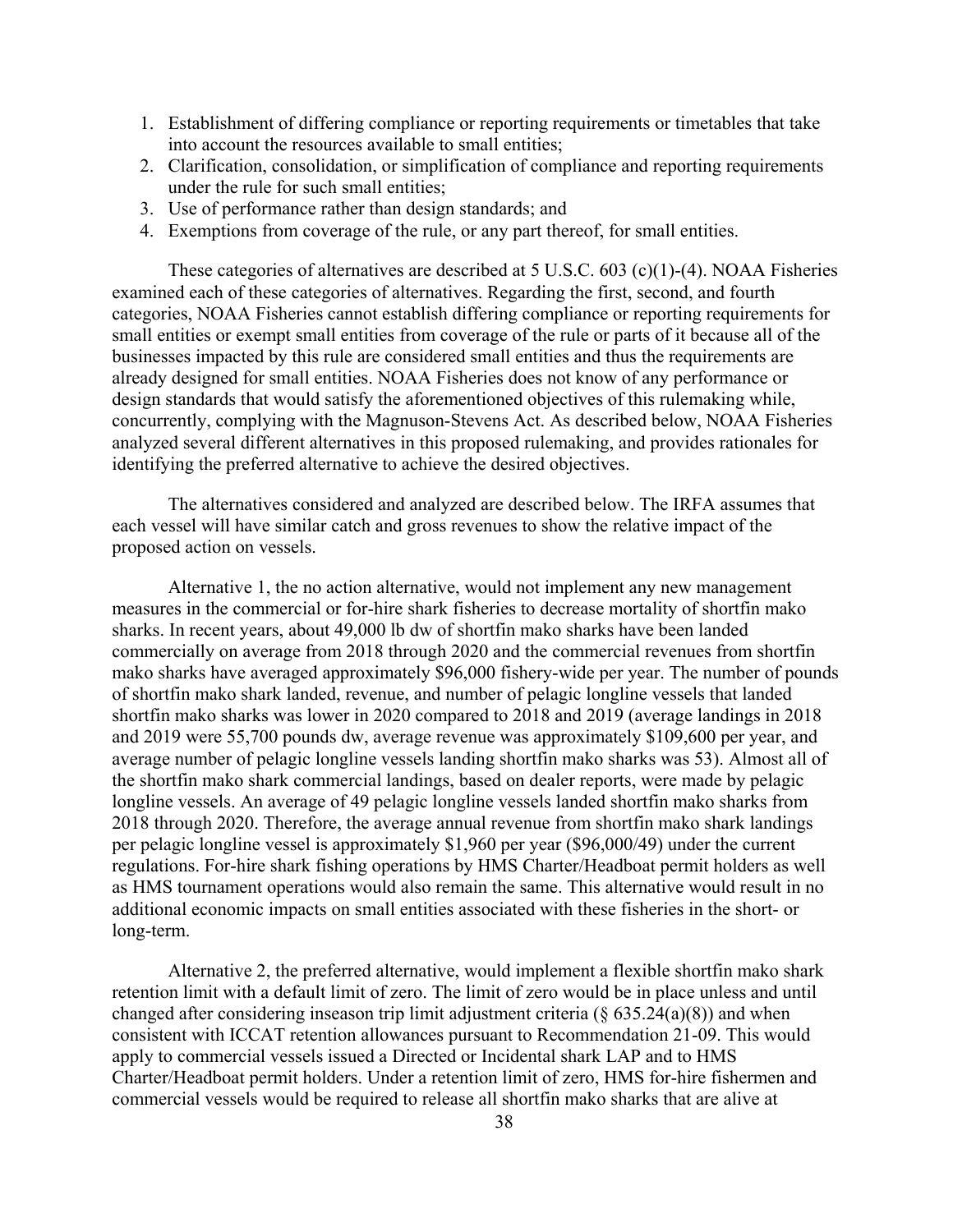- 1. Establishment of differing compliance or reporting requirements or timetables that take into account the resources available to small entities;
- 2. Clarification, consolidation, or simplification of compliance and reporting requirements under the rule for such small entities;
- 3. Use of performance rather than design standards; and
- 4. Exemptions from coverage of the rule, or any part thereof, for small entities.

These categories of alternatives are described at 5 U.S.C. 603 (c)(1)-(4). NOAA Fisheries examined each of these categories of alternatives. Regarding the first, second, and fourth categories, NOAA Fisheries cannot establish differing compliance or reporting requirements for small entities or exempt small entities from coverage of the rule or parts of it because all of the businesses impacted by this rule are considered small entities and thus the requirements are already designed for small entities. NOAA Fisheries does not know of any performance or design standards that would satisfy the aforementioned objectives of this rulemaking while, concurrently, complying with the Magnuson-Stevens Act. As described below, NOAA Fisheries analyzed several different alternatives in this proposed rulemaking, and provides rationales for identifying the preferred alternative to achieve the desired objectives.

The alternatives considered and analyzed are described below. The IRFA assumes that each vessel will have similar catch and gross revenues to show the relative impact of the proposed action on vessels.

Alternative 1, the no action alternative, would not implement any new management measures in the commercial or for-hire shark fisheries to decrease mortality of shortfin mako sharks. In recent years, about 49,000 lb dw of shortfin mako sharks have been landed commercially on average from 2018 through 2020 and the commercial revenues from shortfin mako sharks have averaged approximately \$96,000 fishery-wide per year. The number of pounds of shortfin mako shark landed, revenue, and number of pelagic longline vessels that landed shortfin mako sharks was lower in 2020 compared to 2018 and 2019 (average landings in 2018 and 2019 were 55,700 pounds dw, average revenue was approximately \$109,600 per year, and average number of pelagic longline vessels landing shortfin mako sharks was 53). Almost all of the shortfin mako shark commercial landings, based on dealer reports, were made by pelagic longline vessels. An average of 49 pelagic longline vessels landed shortfin mako sharks from 2018 through 2020. Therefore, the average annual revenue from shortfin mako shark landings per pelagic longline vessel is approximately \$1,960 per year (\$96,000/49) under the current regulations. For-hire shark fishing operations by HMS Charter/Headboat permit holders as well as HMS tournament operations would also remain the same. This alternative would result in no additional economic impacts on small entities associated with these fisheries in the short- or long-term.

Alternative 2, the preferred alternative, would implement a flexible shortfin mako shark retention limit with a default limit of zero. The limit of zero would be in place unless and until changed after considering inseason trip limit adjustment criteria  $(\S$  635.24(a)(8)) and when consistent with ICCAT retention allowances pursuant to Recommendation 21-09. This would apply to commercial vessels issued a Directed or Incidental shark LAP and to HMS Charter/Headboat permit holders. Under a retention limit of zero, HMS for-hire fishermen and commercial vessels would be required to release all shortfin mako sharks that are alive at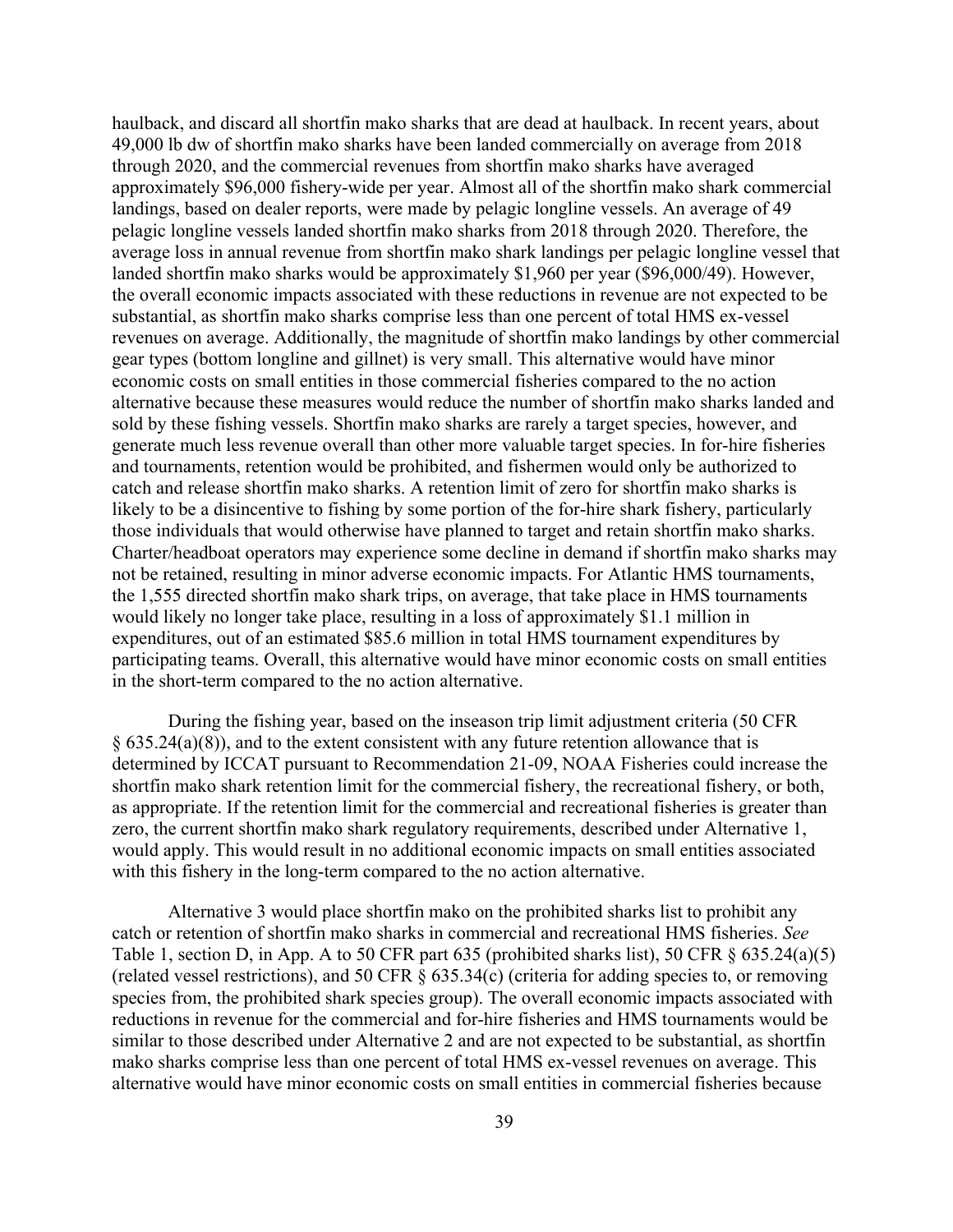haulback, and discard all shortfin mako sharks that are dead at haulback. In recent years, about 49,000 lb dw of shortfin mako sharks have been landed commercially on average from 2018 through 2020, and the commercial revenues from shortfin mako sharks have averaged approximately \$96,000 fishery-wide per year. Almost all of the shortfin mako shark commercial landings, based on dealer reports, were made by pelagic longline vessels. An average of 49 pelagic longline vessels landed shortfin mako sharks from 2018 through 2020. Therefore, the average loss in annual revenue from shortfin mako shark landings per pelagic longline vessel that landed shortfin mako sharks would be approximately \$1,960 per year (\$96,000/49). However, the overall economic impacts associated with these reductions in revenue are not expected to be substantial, as shortfin mako sharks comprise less than one percent of total HMS ex-vessel revenues on average. Additionally, the magnitude of shortfin mako landings by other commercial gear types (bottom longline and gillnet) is very small. This alternative would have minor economic costs on small entities in those commercial fisheries compared to the no action alternative because these measures would reduce the number of shortfin mako sharks landed and sold by these fishing vessels. Shortfin mako sharks are rarely a target species, however, and generate much less revenue overall than other more valuable target species. In for-hire fisheries and tournaments, retention would be prohibited, and fishermen would only be authorized to catch and release shortfin mako sharks. A retention limit of zero for shortfin mako sharks is likely to be a disincentive to fishing by some portion of the for-hire shark fishery, particularly those individuals that would otherwise have planned to target and retain shortfin mako sharks. Charter/headboat operators may experience some decline in demand if shortfin mako sharks may not be retained, resulting in minor adverse economic impacts. For Atlantic HMS tournaments, the 1,555 directed shortfin mako shark trips, on average, that take place in HMS tournaments would likely no longer take place, resulting in a loss of approximately \$1.1 million in expenditures, out of an estimated \$85.6 million in total HMS tournament expenditures by participating teams. Overall, this alternative would have minor economic costs on small entities in the short-term compared to the no action alternative.

During the fishing year, based on the inseason trip limit adjustment criteria (50 CFR § 635.24(a)(8)), and to the extent consistent with any future retention allowance that is determined by ICCAT pursuant to Recommendation 21-09, NOAA Fisheries could increase the shortfin mako shark retention limit for the commercial fishery, the recreational fishery, or both, as appropriate. If the retention limit for the commercial and recreational fisheries is greater than zero, the current shortfin mako shark regulatory requirements, described under Alternative 1, would apply. This would result in no additional economic impacts on small entities associated with this fishery in the long-term compared to the no action alternative.

Alternative 3 would place shortfin mako on the prohibited sharks list to prohibit any catch or retention of shortfin mako sharks in commercial and recreational HMS fisheries. *See*  Table 1, section D, in App. A to 50 CFR part 635 (prohibited sharks list), 50 CFR § 635.24(a)(5) (related vessel restrictions), and 50 CFR § 635.34(c) (criteria for adding species to, or removing species from, the prohibited shark species group). The overall economic impacts associated with reductions in revenue for the commercial and for-hire fisheries and HMS tournaments would be similar to those described under Alternative 2 and are not expected to be substantial, as shortfin mako sharks comprise less than one percent of total HMS ex-vessel revenues on average. This alternative would have minor economic costs on small entities in commercial fisheries because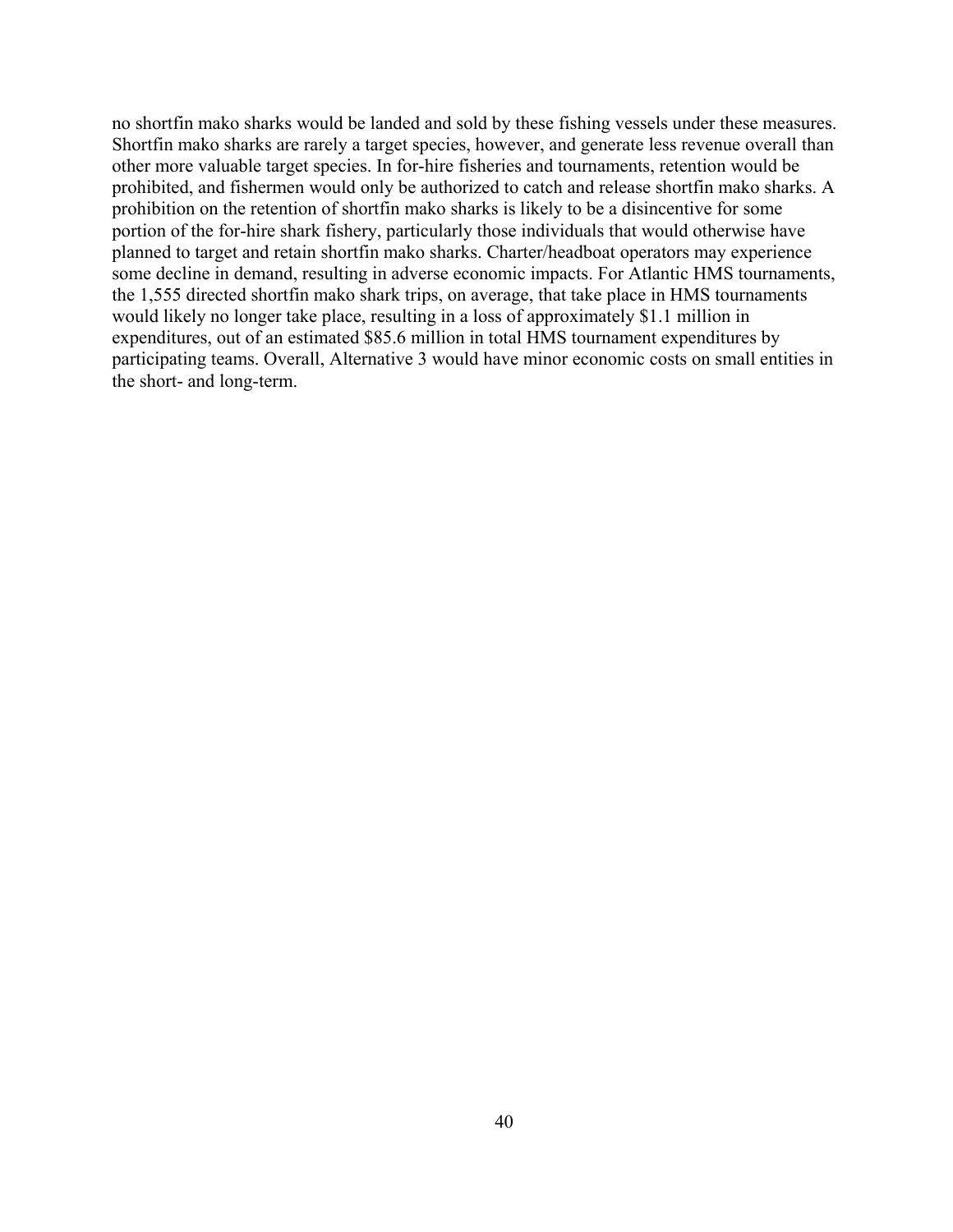no shortfin mako sharks would be landed and sold by these fishing vessels under these measures. Shortfin mako sharks are rarely a target species, however, and generate less revenue overall than other more valuable target species. In for-hire fisheries and tournaments, retention would be prohibited, and fishermen would only be authorized to catch and release shortfin mako sharks. A prohibition on the retention of shortfin mako sharks is likely to be a disincentive for some portion of the for-hire shark fishery, particularly those individuals that would otherwise have planned to target and retain shortfin mako sharks. Charter/headboat operators may experience some decline in demand, resulting in adverse economic impacts. For Atlantic HMS tournaments, the 1,555 directed shortfin mako shark trips, on average, that take place in HMS tournaments would likely no longer take place, resulting in a loss of approximately \$1.1 million in expenditures, out of an estimated \$85.6 million in total HMS tournament expenditures by participating teams. Overall, Alternative 3 would have minor economic costs on small entities in the short- and long-term.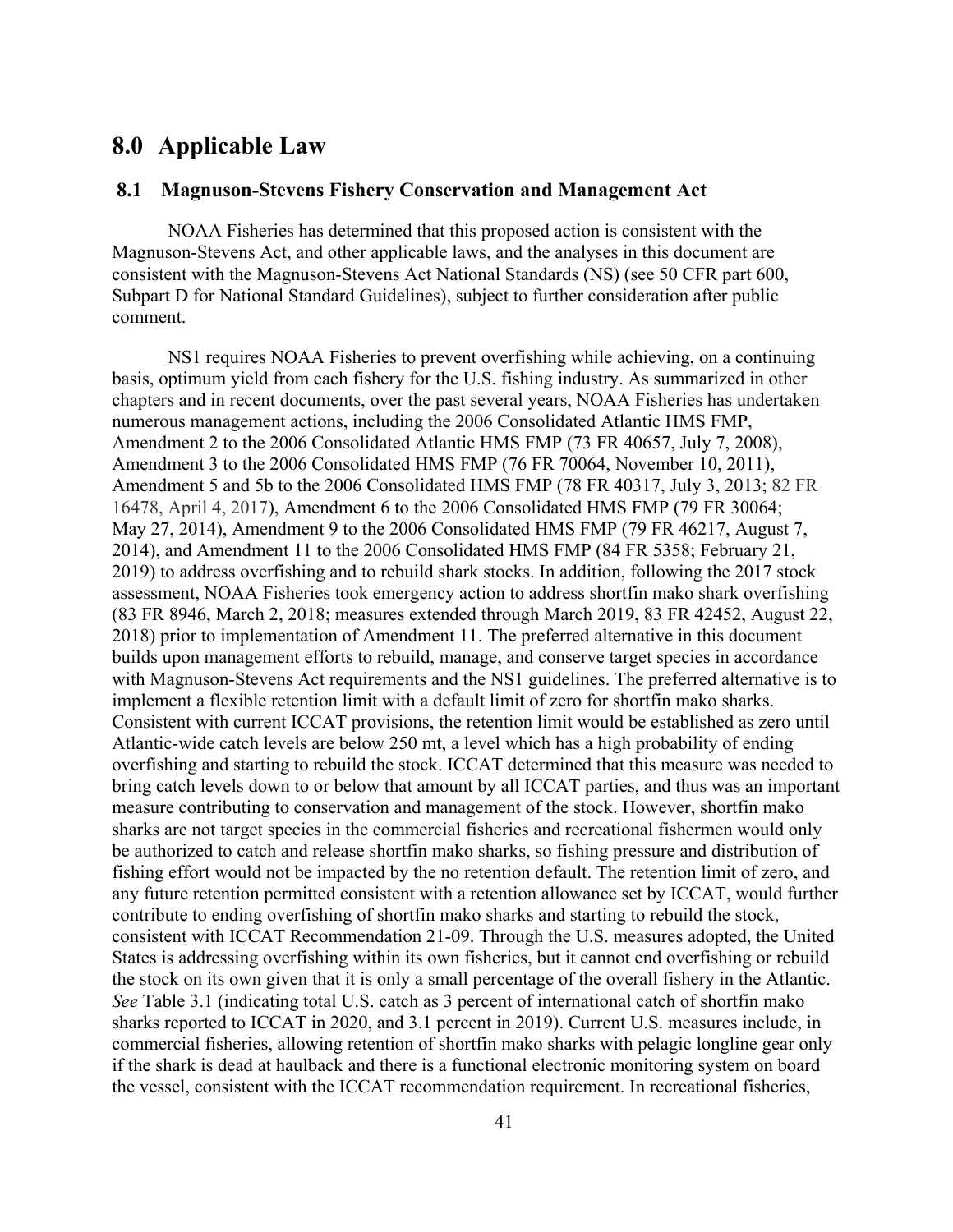# <span id="page-46-0"></span>**8.0 Applicable Law**

## <span id="page-46-1"></span>**8.1 Magnuson-Stevens Fishery Conservation and Management Act**

NOAA Fisheries has determined that this proposed action is consistent with the Magnuson-Stevens Act, and other applicable laws, and the analyses in this document are consistent with the Magnuson-Stevens Act National Standards (NS) (see 50 CFR part 600, Subpart D for National Standard Guidelines), subject to further consideration after public comment.

NS1 requires NOAA Fisheries to prevent overfishing while achieving, on a continuing basis, optimum yield from each fishery for the U.S. fishing industry. As summarized in other chapters and in recent documents, over the past several years, NOAA Fisheries has undertaken numerous management actions, including the 2006 Consolidated Atlantic HMS FMP, Amendment 2 to the 2006 Consolidated Atlantic HMS FMP (73 FR 40657, July 7, 2008), Amendment 3 to the 2006 Consolidated HMS FMP (76 FR 70064, November 10, 2011), Amendment 5 and 5b to the 2006 Consolidated HMS FMP (78 FR 40317, July 3, 2013; 82 FR 16478, April 4, 2017), Amendment 6 to the 2006 Consolidated HMS FMP (79 FR 30064; May 27, 2014), Amendment 9 to the 2006 Consolidated HMS FMP (79 FR 46217, August 7, 2014), and Amendment 11 to the 2006 Consolidated HMS FMP (84 FR 5358; February 21, 2019) to address overfishing and to rebuild shark stocks. In addition, following the 2017 stock assessment, NOAA Fisheries took emergency action to address shortfin mako shark overfishing (83 FR 8946, March 2, 2018; measures extended through March 2019, 83 FR 42452, August 22, 2018) prior to implementation of Amendment 11. The preferred alternative in this document builds upon management efforts to rebuild, manage, and conserve target species in accordance with Magnuson-Stevens Act requirements and the NS1 guidelines. The preferred alternative is to implement a flexible retention limit with a default limit of zero for shortfin mako sharks. Consistent with current ICCAT provisions, the retention limit would be established as zero until Atlantic-wide catch levels are below 250 mt, a level which has a high probability of ending overfishing and starting to rebuild the stock. ICCAT determined that this measure was needed to bring catch levels down to or below that amount by all ICCAT parties, and thus was an important measure contributing to conservation and management of the stock. However, shortfin mako sharks are not target species in the commercial fisheries and recreational fishermen would only be authorized to catch and release shortfin mako sharks, so fishing pressure and distribution of fishing effort would not be impacted by the no retention default. The retention limit of zero, and any future retention permitted consistent with a retention allowance set by ICCAT, would further contribute to ending overfishing of shortfin mako sharks and starting to rebuild the stock, consistent with ICCAT Recommendation 21-09. Through the U.S. measures adopted, the United States is addressing overfishing within its own fisheries, but it cannot end overfishing or rebuild the stock on its own given that it is only a small percentage of the overall fishery in the Atlantic. *See* Table 3.1 (indicating total U.S. catch as 3 percent of international catch of shortfin mako sharks reported to ICCAT in 2020, and 3.1 percent in 2019). Current U.S. measures include, in commercial fisheries, allowing retention of shortfin mako sharks with pelagic longline gear only if the shark is dead at haulback and there is a functional electronic monitoring system on board the vessel, consistent with the ICCAT recommendation requirement. In recreational fisheries,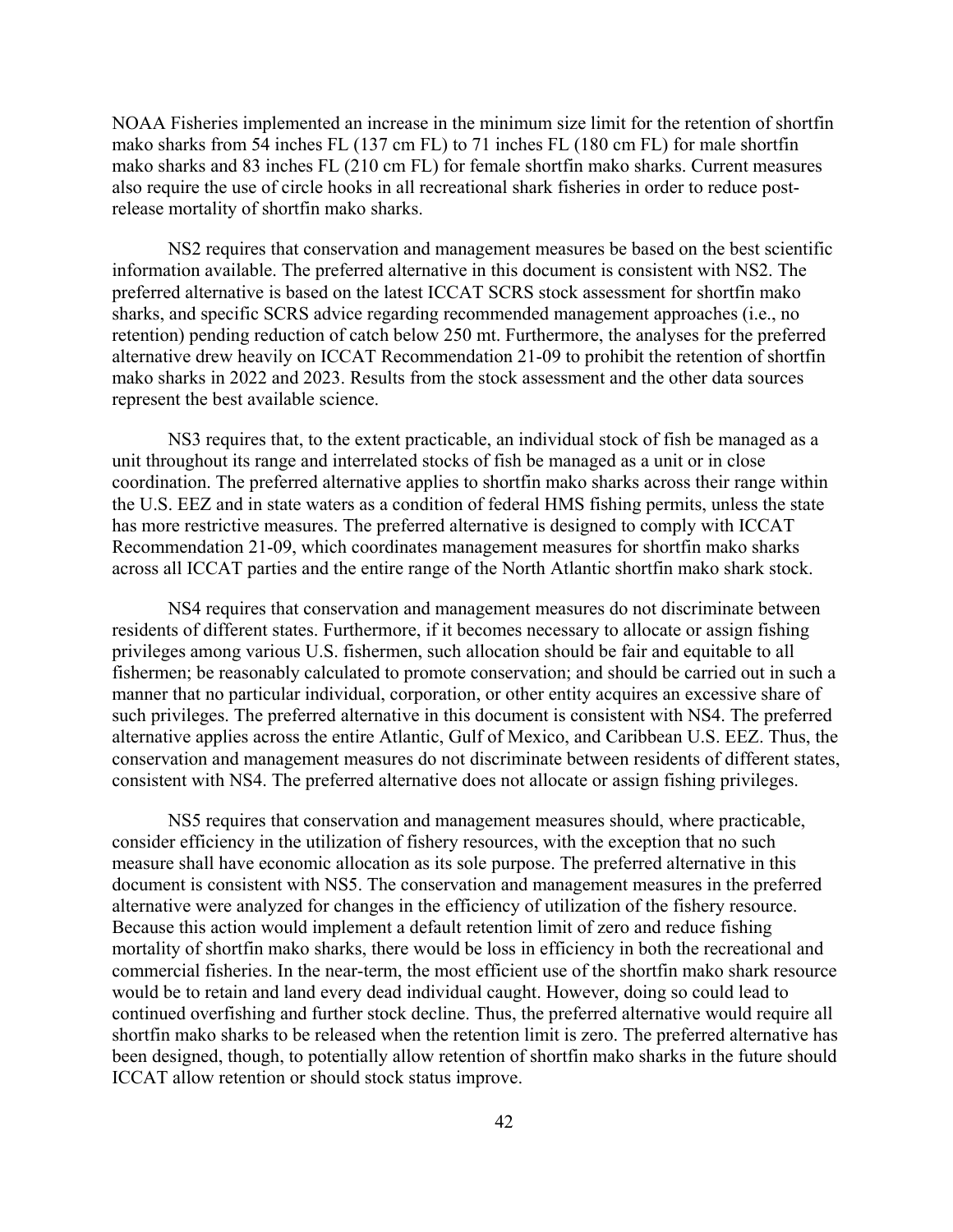NOAA Fisheries implemented an increase in the minimum size limit for the retention of shortfin mako sharks from 54 inches FL (137 cm FL) to 71 inches FL (180 cm FL) for male shortfin mako sharks and 83 inches FL (210 cm FL) for female shortfin mako sharks. Current measures also require the use of circle hooks in all recreational shark fisheries in order to reduce postrelease mortality of shortfin mako sharks.

NS2 requires that conservation and management measures be based on the best scientific information available. The preferred alternative in this document is consistent with NS2. The preferred alternative is based on the latest ICCAT SCRS stock assessment for shortfin mako sharks, and specific SCRS advice regarding recommended management approaches (i.e., no retention) pending reduction of catch below 250 mt. Furthermore, the analyses for the preferred alternative drew heavily on ICCAT Recommendation 21-09 to prohibit the retention of shortfin mako sharks in 2022 and 2023. Results from the stock assessment and the other data sources represent the best available science.

NS3 requires that, to the extent practicable, an individual stock of fish be managed as a unit throughout its range and interrelated stocks of fish be managed as a unit or in close coordination. The preferred alternative applies to shortfin mako sharks across their range within the U.S. EEZ and in state waters as a condition of federal HMS fishing permits, unless the state has more restrictive measures. The preferred alternative is designed to comply with ICCAT Recommendation 21-09, which coordinates management measures for shortfin mako sharks across all ICCAT parties and the entire range of the North Atlantic shortfin mako shark stock.

NS4 requires that conservation and management measures do not discriminate between residents of different states. Furthermore, if it becomes necessary to allocate or assign fishing privileges among various U.S. fishermen, such allocation should be fair and equitable to all fishermen; be reasonably calculated to promote conservation; and should be carried out in such a manner that no particular individual, corporation, or other entity acquires an excessive share of such privileges. The preferred alternative in this document is consistent with NS4. The preferred alternative applies across the entire Atlantic, Gulf of Mexico, and Caribbean U.S. EEZ. Thus, the conservation and management measures do not discriminate between residents of different states, consistent with NS4. The preferred alternative does not allocate or assign fishing privileges.

NS5 requires that conservation and management measures should, where practicable, consider efficiency in the utilization of fishery resources, with the exception that no such measure shall have economic allocation as its sole purpose. The preferred alternative in this document is consistent with NS5. The conservation and management measures in the preferred alternative were analyzed for changes in the efficiency of utilization of the fishery resource. Because this action would implement a default retention limit of zero and reduce fishing mortality of shortfin mako sharks, there would be loss in efficiency in both the recreational and commercial fisheries. In the near-term, the most efficient use of the shortfin mako shark resource would be to retain and land every dead individual caught. However, doing so could lead to continued overfishing and further stock decline. Thus, the preferred alternative would require all shortfin mako sharks to be released when the retention limit is zero. The preferred alternative has been designed, though, to potentially allow retention of shortfin mako sharks in the future should ICCAT allow retention or should stock status improve.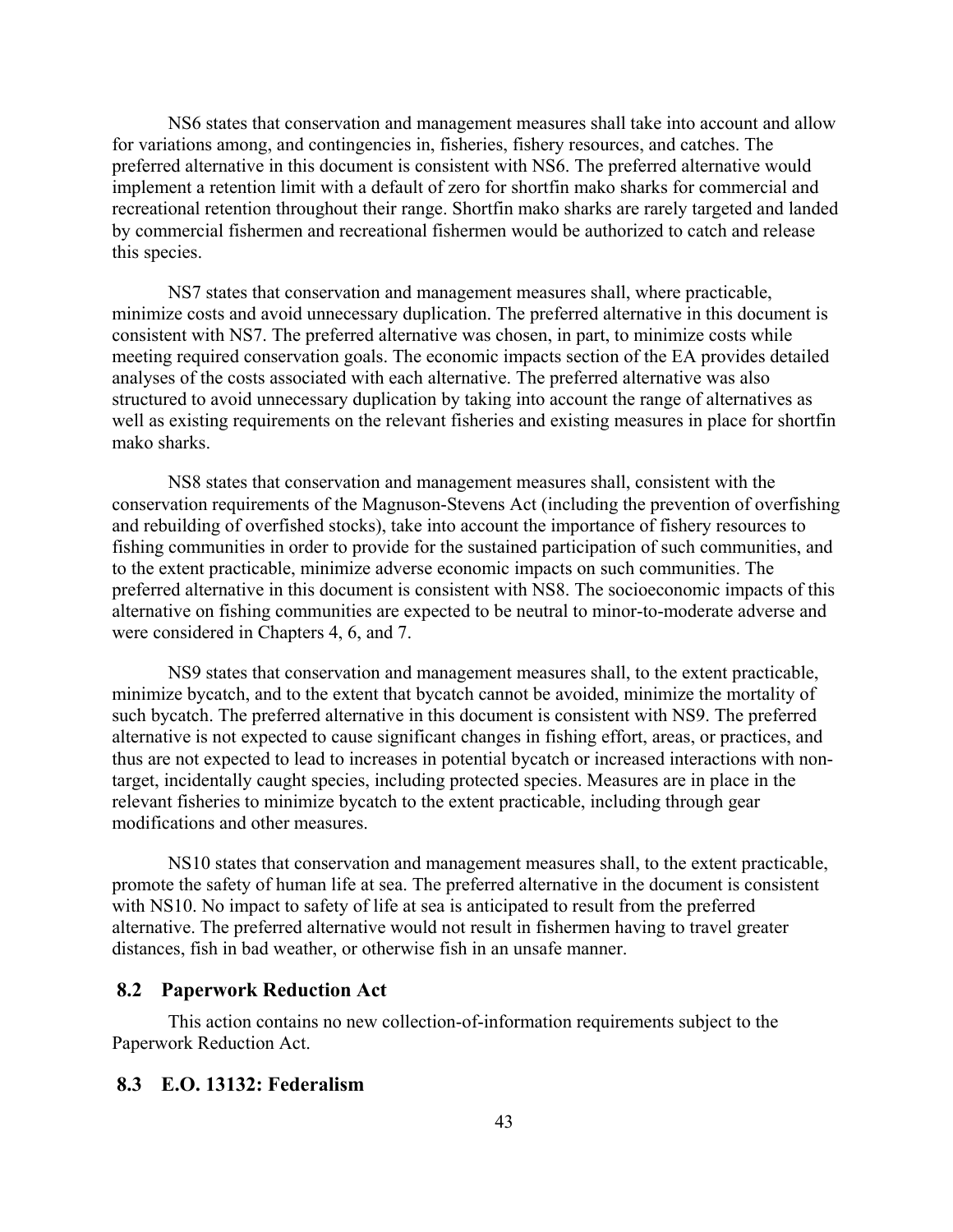NS6 states that conservation and management measures shall take into account and allow for variations among, and contingencies in, fisheries, fishery resources, and catches. The preferred alternative in this document is consistent with NS6. The preferred alternative would implement a retention limit with a default of zero for shortfin mako sharks for commercial and recreational retention throughout their range. Shortfin mako sharks are rarely targeted and landed by commercial fishermen and recreational fishermen would be authorized to catch and release this species.

NS7 states that conservation and management measures shall, where practicable, minimize costs and avoid unnecessary duplication. The preferred alternative in this document is consistent with NS7. The preferred alternative was chosen, in part, to minimize costs while meeting required conservation goals. The economic impacts section of the EA provides detailed analyses of the costs associated with each alternative. The preferred alternative was also structured to avoid unnecessary duplication by taking into account the range of alternatives as well as existing requirements on the relevant fisheries and existing measures in place for shortfin mako sharks.

NS8 states that conservation and management measures shall, consistent with the conservation requirements of the Magnuson-Stevens Act (including the prevention of overfishing and rebuilding of overfished stocks), take into account the importance of fishery resources to fishing communities in order to provide for the sustained participation of such communities, and to the extent practicable, minimize adverse economic impacts on such communities. The preferred alternative in this document is consistent with NS8. The socioeconomic impacts of this alternative on fishing communities are expected to be neutral to minor-to-moderate adverse and were considered in Chapters 4, 6, and 7.

NS9 states that conservation and management measures shall, to the extent practicable, minimize bycatch, and to the extent that bycatch cannot be avoided, minimize the mortality of such bycatch. The preferred alternative in this document is consistent with NS9. The preferred alternative is not expected to cause significant changes in fishing effort, areas, or practices, and thus are not expected to lead to increases in potential bycatch or increased interactions with nontarget, incidentally caught species, including protected species. Measures are in place in the relevant fisheries to minimize bycatch to the extent practicable, including through gear modifications and other measures.

NS10 states that conservation and management measures shall, to the extent practicable, promote the safety of human life at sea. The preferred alternative in the document is consistent with NS10. No impact to safety of life at sea is anticipated to result from the preferred alternative. The preferred alternative would not result in fishermen having to travel greater distances, fish in bad weather, or otherwise fish in an unsafe manner.

### <span id="page-48-0"></span>**8.2 Paperwork Reduction Act**

This action contains no new collection-of-information requirements subject to the Paperwork Reduction Act.

#### <span id="page-48-1"></span>**8.3 E.O. 13132: Federalism**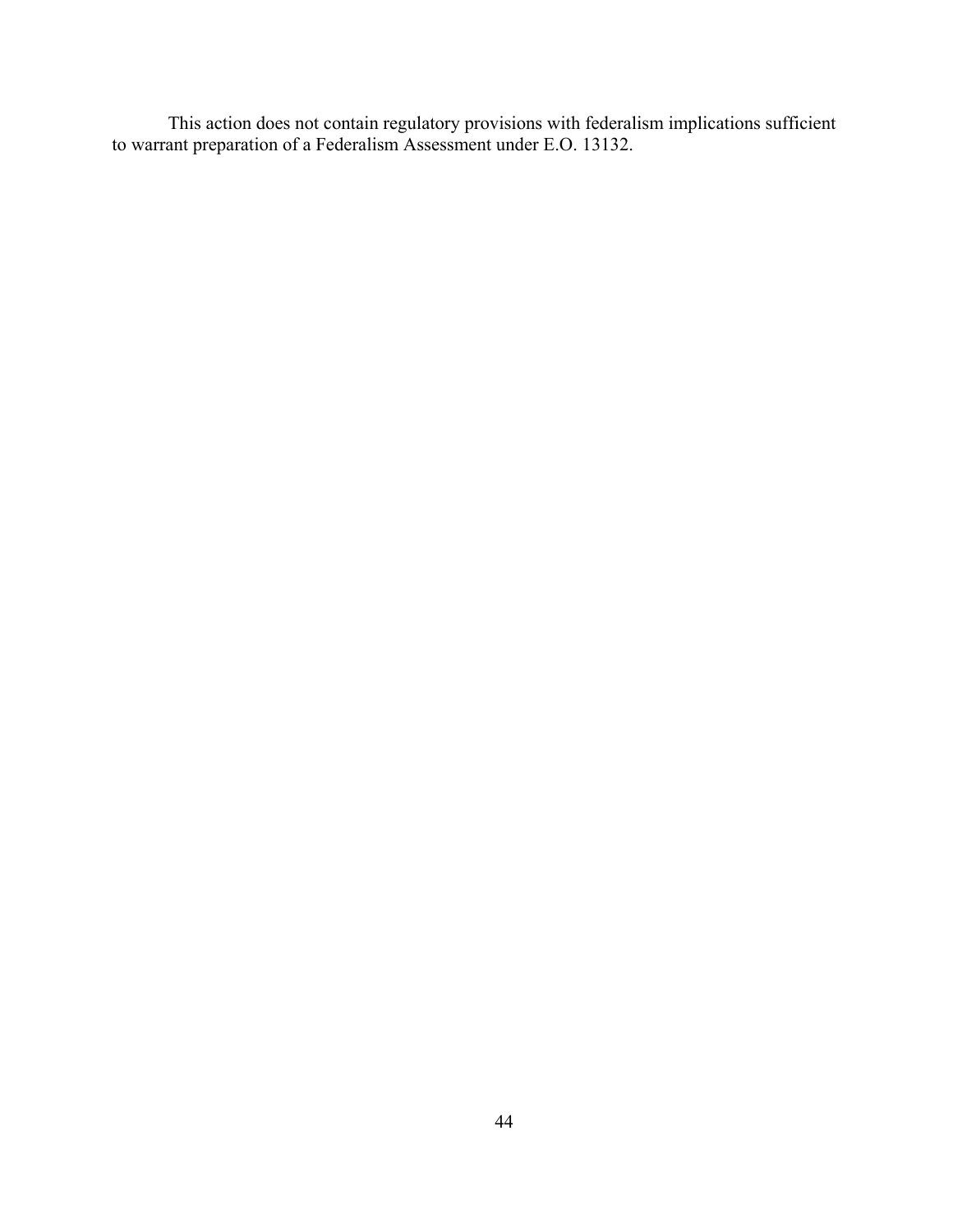This action does not contain regulatory provisions with federalism implications sufficient to warrant preparation of a Federalism Assessment under E.O. 13132.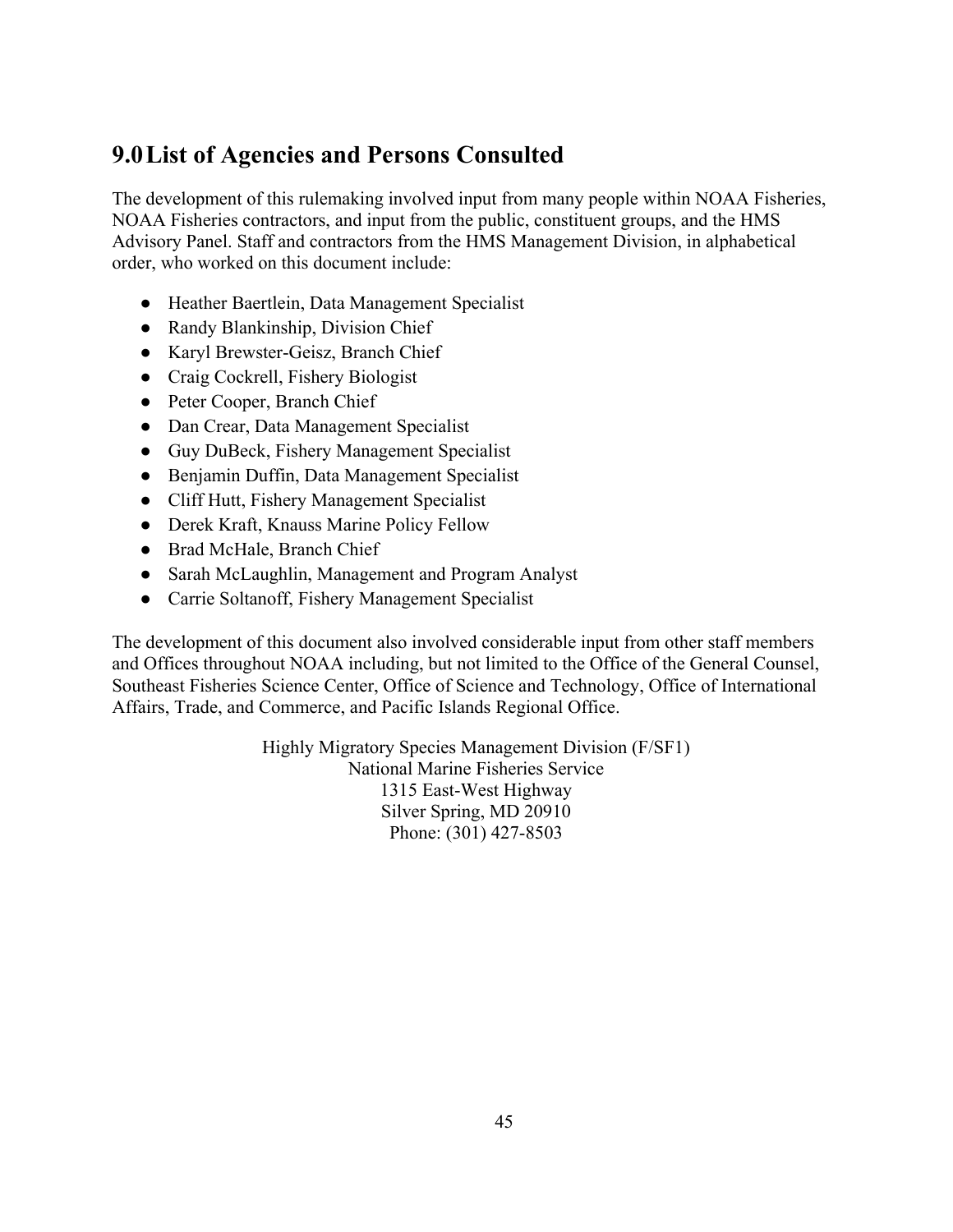# <span id="page-50-0"></span>**9.0List of Agencies and Persons Consulted**

The development of this rulemaking involved input from many people within NOAA Fisheries, NOAA Fisheries contractors, and input from the public, constituent groups, and the HMS Advisory Panel. Staff and contractors from the HMS Management Division, in alphabetical order, who worked on this document include:

- Heather Baertlein, Data Management Specialist
- Randy Blankinship, Division Chief
- Karyl Brewster-Geisz, Branch Chief
- Craig Cockrell, Fishery Biologist
- Peter Cooper, Branch Chief
- Dan Crear, Data Management Specialist
- Guy DuBeck, Fishery Management Specialist
- Benjamin Duffin, Data Management Specialist
- Cliff Hutt, Fishery Management Specialist
- Derek Kraft, Knauss Marine Policy Fellow
- Brad McHale, Branch Chief
- Sarah McLaughlin, Management and Program Analyst
- Carrie Soltanoff, Fishery Management Specialist

The development of this document also involved considerable input from other staff members and Offices throughout NOAA including, but not limited to the Office of the General Counsel, Southeast Fisheries Science Center, Office of Science and Technology, Office of International Affairs, Trade, and Commerce, and Pacific Islands Regional Office.

> Highly Migratory Species Management Division (F/SF1) National Marine Fisheries Service 1315 East-West Highway Silver Spring, MD 20910 Phone: (301) 427-8503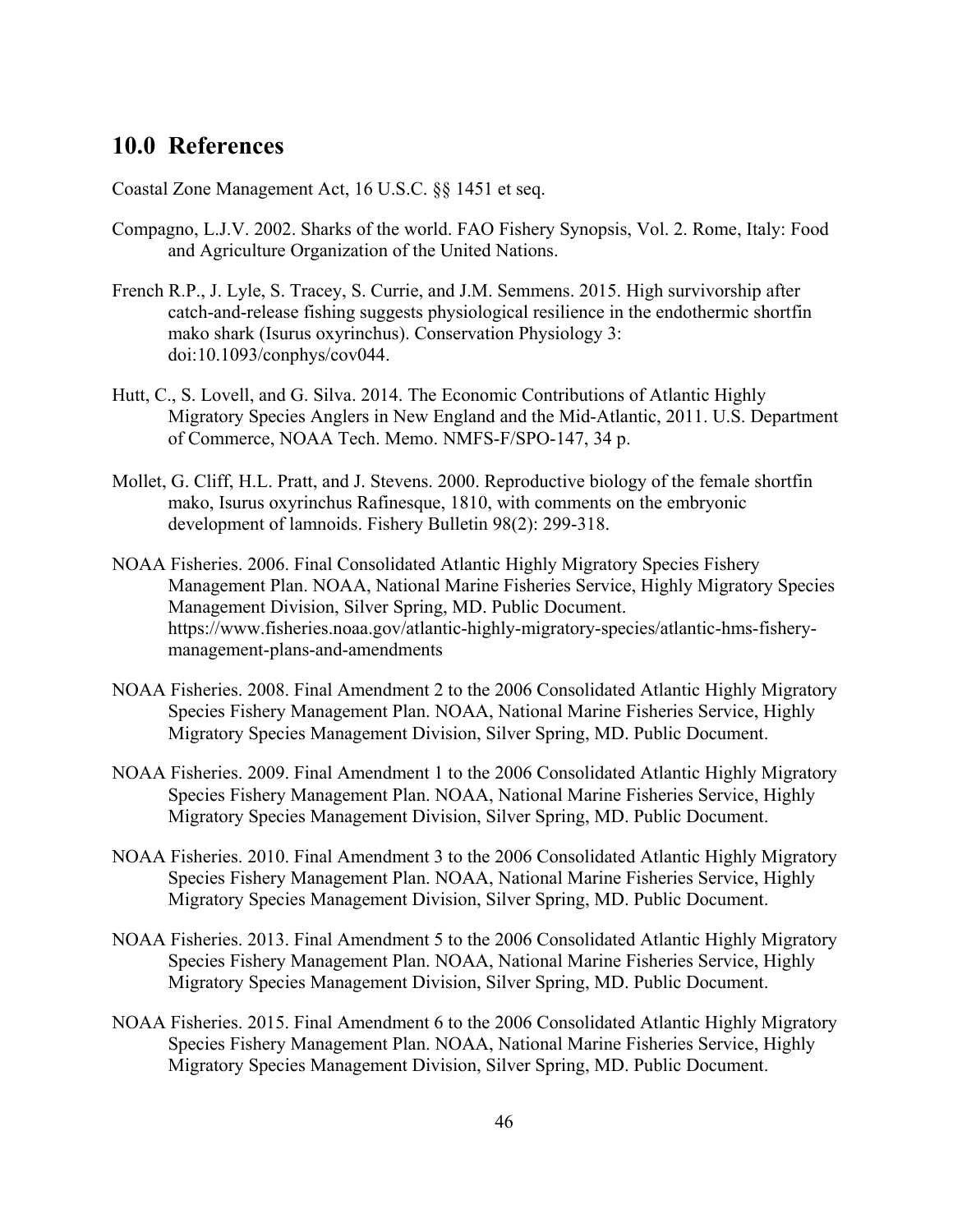# <span id="page-51-0"></span>**10.0 References**

Coastal Zone Management Act, 16 U.S.C. §§ 1451 et seq.

- Compagno, L.J.V. 2002. Sharks of the world. FAO Fishery Synopsis, Vol. 2. Rome, Italy: Food and Agriculture Organization of the United Nations.
- French R.P., J. Lyle, S. Tracey, S. Currie, and J.M. Semmens. 2015. High survivorship after catch-and-release fishing suggests physiological resilience in the endothermic shortfin mako shark (Isurus oxyrinchus). Conservation Physiology 3: doi:10.1093/conphys/cov044.
- Hutt, C., S. Lovell, and G. Silva. 2014. The Economic Contributions of Atlantic Highly Migratory Species Anglers in New England and the Mid-Atlantic, 2011. U.S. Department of Commerce, NOAA Tech. Memo. NMFS-F/SPO-147, 34 p.
- Mollet, G. Cliff, H.L. Pratt, and J. Stevens. 2000. Reproductive biology of the female shortfin mako, Isurus oxyrinchus Rafinesque, 1810, with comments on the embryonic development of lamnoids. Fishery Bulletin 98(2): 299-318.
- NOAA Fisheries. 2006. Final Consolidated Atlantic Highly Migratory Species Fishery Management Plan. NOAA, National Marine Fisheries Service, Highly Migratory Species Management Division, Silver Spring, MD. Public Document. https://www.fisheries.noaa.gov/atlantic-highly-migratory-species/atlantic-hms-fisherymanagement-plans-and-amendments
- NOAA Fisheries. 2008. Final Amendment 2 to the 2006 Consolidated Atlantic Highly Migratory Species Fishery Management Plan. NOAA, National Marine Fisheries Service, Highly Migratory Species Management Division, Silver Spring, MD. Public Document.
- NOAA Fisheries. 2009. Final Amendment 1 to the 2006 Consolidated Atlantic Highly Migratory Species Fishery Management Plan. NOAA, National Marine Fisheries Service, Highly Migratory Species Management Division, Silver Spring, MD. Public Document.
- NOAA Fisheries. 2010. Final Amendment 3 to the 2006 Consolidated Atlantic Highly Migratory Species Fishery Management Plan. NOAA, National Marine Fisheries Service, Highly Migratory Species Management Division, Silver Spring, MD. Public Document.
- NOAA Fisheries. 2013. Final Amendment 5 to the 2006 Consolidated Atlantic Highly Migratory Species Fishery Management Plan. NOAA, National Marine Fisheries Service, Highly Migratory Species Management Division, Silver Spring, MD. Public Document.
- NOAA Fisheries. 2015. Final Amendment 6 to the 2006 Consolidated Atlantic Highly Migratory Species Fishery Management Plan. NOAA, National Marine Fisheries Service, Highly Migratory Species Management Division, Silver Spring, MD. Public Document.